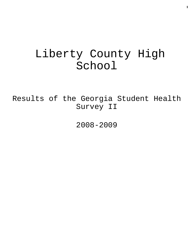# Liberty County High School

Results of the Georgia Student Health Survey II

2008-2009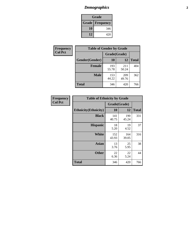# *Demographics* **2**

| Grade                    |     |  |  |  |
|--------------------------|-----|--|--|--|
| <b>Grade   Frequency</b> |     |  |  |  |
| 10                       | 346 |  |  |  |
| 12                       | 420 |  |  |  |

| Frequency      | <b>Table of Gender by Grade</b> |              |              |              |  |  |
|----------------|---------------------------------|--------------|--------------|--------------|--|--|
| <b>Col Pct</b> |                                 | Grade(Grade) |              |              |  |  |
|                | Gender(Gender)                  | 10           | 12           | <b>Total</b> |  |  |
|                | <b>Female</b>                   | 193<br>55.78 | 211<br>50.24 | 404          |  |  |
|                | <b>Male</b>                     | 153<br>44.22 | 209<br>49.76 | 362          |  |  |
|                | <b>Total</b>                    | 346          | 420          | 766          |  |  |

| Frequency<br>Col Pct |
|----------------------|
|                      |

| <b>Table of Ethnicity by Grade</b> |              |              |              |  |  |  |
|------------------------------------|--------------|--------------|--------------|--|--|--|
|                                    | Grade(Grade) |              |              |  |  |  |
| <b>Ethnicity</b> (Ethnicity)       | 10           | 12           | <b>Total</b> |  |  |  |
| <b>Black</b>                       | 141<br>40.75 | 190<br>45.24 | 331          |  |  |  |
| <b>Hispanic</b>                    | 18<br>5.20   | 19<br>4.52   | 37           |  |  |  |
| White                              | 152<br>43.93 | 164<br>39.05 | 316          |  |  |  |
| <b>Asian</b>                       | 13<br>3.76   | 25<br>5.95   | 38           |  |  |  |
| <b>Other</b>                       | 22<br>6.36   | 22<br>5.24   | 44           |  |  |  |
| <b>Total</b>                       | 346          | 420          | 766          |  |  |  |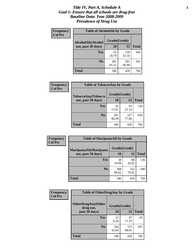#### *Title IV, Part A, Schedule A* **3** *Goal 1: Ensure that all schools are drug-free Baseline Data: Year 2008-2009 Prevalence of Drug Use*

| Frequency<br><b>Col Pct</b> | <b>Table of AlcoholAlt by Grade</b> |              |              |              |  |  |
|-----------------------------|-------------------------------------|--------------|--------------|--------------|--|--|
|                             | AlcoholAlt(Alcohol                  | Grade(Grade) |              |              |  |  |
|                             | use, past 30 days)                  | <b>10</b>    | 12           | <b>Total</b> |  |  |
|                             | Yes                                 | 65<br>18.79  | 139<br>33.10 | 204          |  |  |
|                             | N <sub>0</sub>                      | 281<br>81.21 | 281<br>66.90 | 562          |  |  |
|                             | Total                               | 346          | 420          | 766          |  |  |

| Frequency<br><b>Col Pct</b> | <b>Table of TobaccoAny by Grade</b> |              |              |              |  |  |
|-----------------------------|-------------------------------------|--------------|--------------|--------------|--|--|
|                             | <b>TobaccoAny(Tobacco</b>           | Grade(Grade) |              |              |  |  |
|                             | use, past 30 days)                  | 10           | 12           | <b>Total</b> |  |  |
|                             | Yes                                 | 45<br>13.01  | 93<br>22.14  | 138          |  |  |
|                             | N <sub>0</sub>                      | 301<br>86.99 | 327<br>77.86 | 628          |  |  |
|                             | <b>Total</b>                        | 346          | 420          | 766          |  |  |

| Frequency<br><b>Col Pct</b> | <b>Table of MarijuanaAlt by Grade</b> |              |              |              |  |
|-----------------------------|---------------------------------------|--------------|--------------|--------------|--|
|                             | MarijuanaAlt(Marijuana                | Grade(Grade) |              |              |  |
|                             | use, past 30 days)                    | <b>10</b>    | 12           | <b>Total</b> |  |
|                             | <b>Yes</b>                            | 38<br>10.98  | 88<br>20.95  | 126          |  |
|                             | N <sub>0</sub>                        | 308<br>89.02 | 332<br>79.05 | 640          |  |
|                             | <b>Total</b>                          | 346          | 420          | 766          |  |

| Frequency      | <b>Table of OtherDrugAny by Grade</b>  |              |              |              |  |
|----------------|----------------------------------------|--------------|--------------|--------------|--|
| <b>Col Pct</b> | <b>OtherDrugAny(Other</b><br>drug use, | Grade(Grade) |              |              |  |
|                | past 30 days)                          | 10           | <b>12</b>    | <b>Total</b> |  |
|                | Yes                                    | 22<br>6.36   | 47<br>11.19  | 69           |  |
|                | N <sub>0</sub>                         | 324<br>93.64 | 373<br>88.81 | 697          |  |
|                | <b>Total</b>                           | 346          | 420          | 766          |  |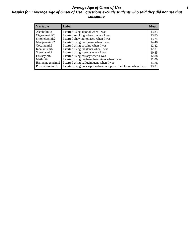#### *Average Age of Onset of Use* **4** *Results for "Average Age of Onset of Use" questions exclude students who said they did not use that substance*

| <b>Variable</b>    | Label                                                              | <b>Mean</b> |
|--------------------|--------------------------------------------------------------------|-------------|
| Alcoholinit2       | I started using alcohol when I was                                 | 13.83       |
| Cigarettesinit2    | I started smoking tobacco when I was                               | 13.85       |
| Smokelessinit2     | I started chewing tobacco when I was                               | 13.74       |
| Marijuanainit2     | I started using marijuana when I was                               | 14.48       |
| Cocaineinit2       | I started using cocaine when I was                                 | 12.42       |
| Inhalantsinit2     | I started using inhalants when I was                               | 12.31       |
| Steroidsinit2      | I started using steroids when I was                                | 10.85       |
| Ecstasyinit2       | I started using ecstasy when I was                                 | 12.88       |
| Methinit2          | I started using methamphetamines when I was                        | 12.00       |
| Hallucinogensinit2 | I started using hallucinogens when I was                           | 14.36       |
| Prescriptioninit2  | I started using prescription drugs not prescribed to me when I was | 13.32       |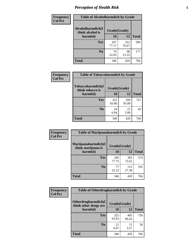# *Perception of Health Risk* **5**

| Frequency      | <b>Table of Alcoholharmdich by Grade</b> |              |              |              |  |
|----------------|------------------------------------------|--------------|--------------|--------------|--|
| <b>Col Pct</b> | Alcoholharmdich(I<br>think alcohol is    | Grade(Grade) |              |              |  |
|                | harmful)                                 | 10           | 12           | <b>Total</b> |  |
|                | Yes                                      | 267<br>77.17 | 322<br>76.67 | 589          |  |
|                | N <sub>0</sub>                           | 79<br>22.83  | 98<br>23.33  | 177          |  |
|                | <b>Total</b>                             | 346          | 420          | 766          |  |

| Frequency      | <b>Table of Tobaccoharmdich by Grade</b> |              |              |              |  |
|----------------|------------------------------------------|--------------|--------------|--------------|--|
| <b>Col Pct</b> | Tobaccoharmdich(I<br>think tobacco is    | Grade(Grade) |              |              |  |
|                | harmful)                                 | 10           | 12           | <b>Total</b> |  |
|                | Yes                                      | 322<br>93.06 | 399<br>95.00 | 721          |  |
|                | N <sub>0</sub>                           | 24<br>6.94   | 21<br>5.00   | 45           |  |
|                | <b>Total</b>                             | 346          | 420          | 766          |  |

| Frequency      | <b>Table of Marijuanaharmdich by Grade</b> |              |              |              |  |  |
|----------------|--------------------------------------------|--------------|--------------|--------------|--|--|
| <b>Col Pct</b> | Marijuanaharmdich(I<br>think marijuana is  | Grade(Grade) |              |              |  |  |
|                | harmful)                                   | 10           | 12           | <b>Total</b> |  |  |
|                | <b>Yes</b>                                 | 269<br>77.75 | 305<br>72.62 | 574          |  |  |
|                | N <sub>0</sub>                             | 77<br>22.25  | 115<br>27.38 | 192          |  |  |
|                | <b>Total</b>                               | 346          | 420          | 766          |  |  |

| <b>Frequency</b> | <b>Table of Otherdrugharmdich by Grade</b>                   |              |              |              |  |  |  |  |
|------------------|--------------------------------------------------------------|--------------|--------------|--------------|--|--|--|--|
| <b>Col Pct</b>   | Otherdrugharmdich(I<br>Grade(Grade)<br>think other drugs are |              |              |              |  |  |  |  |
|                  | harmful)                                                     | 10           | 12           | <b>Total</b> |  |  |  |  |
|                  | <b>Yes</b>                                                   | 325<br>93.93 | 405<br>96.43 | 730          |  |  |  |  |
|                  | N <sub>0</sub>                                               | 21<br>6.07   | 15<br>3.57   | 36           |  |  |  |  |
|                  | <b>Total</b>                                                 | 346          | 420          | 766          |  |  |  |  |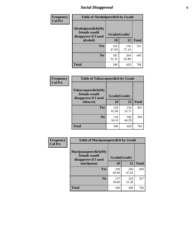# *Social Disapproval* **6**

| Frequency      | <b>Table of Alcoholpeerdich by Grade</b>                    |              |              |              |
|----------------|-------------------------------------------------------------|--------------|--------------|--------------|
| <b>Col Pct</b> | Alcoholpeerdich(My<br>friends would<br>disapprove if I used | Grade(Grade) |              |              |
|                | alcohol)                                                    | 10           | 12           | <b>Total</b> |
|                | <b>Yes</b>                                                  | 165<br>47.69 | 156<br>37.14 | 321          |
|                | N <sub>0</sub>                                              | 181<br>52.31 | 264<br>62.86 | 445          |
|                | <b>Total</b>                                                | 346          | 420          | 766          |

| <b>Frequency</b> |
|------------------|
| <b>Col Pct</b>   |

| <b>Table of Tobaccopeerdich by Grade</b>                    |              |              |              |  |  |  |
|-------------------------------------------------------------|--------------|--------------|--------------|--|--|--|
| Tobaccopeerdich(My<br>friends would<br>disapprove if I used | Grade(Grade) |              |              |  |  |  |
| tobacco)                                                    | 10           | 12           | <b>Total</b> |  |  |  |
| Yes                                                         | 228<br>65.90 | 234<br>55.71 | 462          |  |  |  |
| N <sub>0</sub>                                              | 118<br>34.10 | 186<br>44.29 | 304          |  |  |  |
| <b>Total</b>                                                | 346          | 420          | 766          |  |  |  |

| Frequency      | <b>Table of Marijuanapeerdich by Grade</b>                    |              |              |              |  |  |  |  |  |
|----------------|---------------------------------------------------------------|--------------|--------------|--------------|--|--|--|--|--|
| <b>Col Pct</b> | Marijuanapeerdich(My<br>friends would<br>disapprove if I used | Grade(Grade) |              |              |  |  |  |  |  |
|                | marijuana)                                                    | 10           | 12           | <b>Total</b> |  |  |  |  |  |
|                | <b>Yes</b>                                                    | 209<br>60.40 | 200<br>47.62 | 409          |  |  |  |  |  |
|                | N <sub>0</sub>                                                | 137<br>39.60 | 220<br>52.38 | 357          |  |  |  |  |  |
|                | <b>Total</b>                                                  | 346          | 420          | 766          |  |  |  |  |  |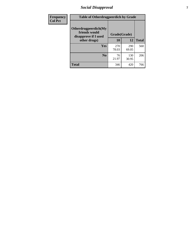# *Social Disapproval* **7**

| Frequency      | <b>Table of Otherdrugpeerdich by Grade</b>                    |              |              |              |  |  |  |  |
|----------------|---------------------------------------------------------------|--------------|--------------|--------------|--|--|--|--|
| <b>Col Pct</b> | Otherdrugpeerdich(My<br>friends would<br>disapprove if I used | Grade(Grade) |              |              |  |  |  |  |
|                | other drugs)                                                  | 10           | 12           | <b>Total</b> |  |  |  |  |
|                | Yes                                                           | 270<br>78.03 | 290<br>69.05 | 560          |  |  |  |  |
|                | N <sub>0</sub>                                                | 76<br>21.97  | 130<br>30.95 | 206          |  |  |  |  |
|                | <b>Total</b>                                                  | 346          | 420          | 766          |  |  |  |  |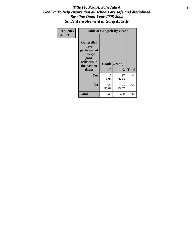### Title IV, Part A, Schedule A **8** *Goal 2: To help ensure that all schools are safe and disciplined Baseline Data: Year 2008-2009 Student Involvement in Gang Activity*

| Frequency      | <b>Table of Gangself by Grade</b>                                                                 |                    |              |              |
|----------------|---------------------------------------------------------------------------------------------------|--------------------|--------------|--------------|
| <b>Col Pct</b> | Gangself(I<br>have<br>participated<br>in illegal<br>gang<br>activities in<br>the past 30<br>days) | Grade(Grade)<br>10 | 12           | <b>Total</b> |
|                | Yes                                                                                               | 17<br>4.91         | 27<br>6.43   | 44           |
|                | N <sub>0</sub>                                                                                    | 329<br>95.09       | 393<br>93.57 | 722          |
|                | <b>Total</b>                                                                                      | 346                | 420          | 766          |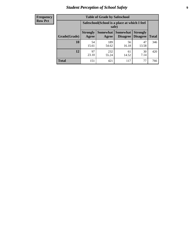# *Student Perception of School Safety* **9**

| <b>Frequency</b><br>Row Pct |
|-----------------------------|
|                             |

| <b>Table of Grade by Safeschool</b> |                                                                                                                                           |                                                        |             |             |     |  |  |
|-------------------------------------|-------------------------------------------------------------------------------------------------------------------------------------------|--------------------------------------------------------|-------------|-------------|-----|--|--|
|                                     |                                                                                                                                           | Safeschool (School is a place at which I feel<br>safe) |             |             |     |  |  |
| Grade(Grade)                        | <b>Somewhat</b><br>Somewhat<br><b>Strongly</b><br><b>Strongly</b><br><b>Disagree</b><br>Agree<br><b>Disagree</b><br><b>Total</b><br>Agree |                                                        |             |             |     |  |  |
| 10                                  | 54<br>15.61                                                                                                                               | 189<br>54.62                                           | 56<br>16.18 | 47<br>13.58 | 346 |  |  |
| 12                                  | 97<br>23.10                                                                                                                               | 232<br>55.24                                           | 61<br>14.52 | 30<br>7.14  | 420 |  |  |
| <b>Total</b>                        | 151                                                                                                                                       | 421                                                    | 117         | 77          | 766 |  |  |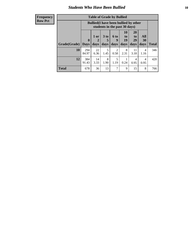### *Students Who Have Been Bullied* **10**

| <b>Frequency</b> |
|------------------|
| Row Pct          |

| <b>Table of Grade by Bullied</b> |                             |                                                                               |                              |                        |                        |                        |                   |              |
|----------------------------------|-----------------------------|-------------------------------------------------------------------------------|------------------------------|------------------------|------------------------|------------------------|-------------------|--------------|
|                                  |                             | <b>Bullied</b> (I have been bullied by other<br>students in the past 30 days) |                              |                        |                        |                        |                   |              |
| Grade(Grade)                     | $\mathbf{0}$<br><b>Days</b> | 1 or<br>2<br>days                                                             | 3 <sub>to</sub><br>5<br>days | 6 to<br>9<br>days      | 10<br>to<br>19<br>days | 20<br>to<br>29<br>days | All<br>30<br>days | <b>Total</b> |
| 10                               | 294<br>84.97                | 22<br>6.36                                                                    | 5<br>1.45                    | $\overline{2}$<br>0.58 | 8<br>2.31              | 11<br>3.18             | 4<br>1.16         | 346          |
| 12                               | 384<br>91.43                | 14<br>3.33                                                                    | 8<br>1.90                    | 5<br>1.19              | 0.24                   | 4<br>0.95              | 4<br>0.95         | 420          |
| <b>Total</b>                     | 678                         | 36                                                                            | 13                           | 7                      | 9                      | 15                     | 8                 | 766          |

 $\blacksquare$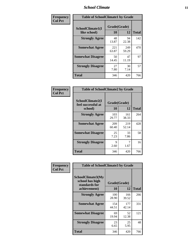### *School Climate* **11**

| <b>Frequency</b> | <b>Table of SchoolClimate1 by Grade</b> |                    |              |              |  |  |  |
|------------------|-----------------------------------------|--------------------|--------------|--------------|--|--|--|
| <b>Col Pct</b>   | SchoolClimate1(I<br>like school)        | Grade(Grade)<br>10 | 12           | <b>Total</b> |  |  |  |
|                  | <b>Strongly Agree</b>                   | 48<br>13.87        | 94<br>22.38  | 142          |  |  |  |
|                  | <b>Somewhat Agree</b>                   | 221<br>63.87       | 249<br>59.29 | 470          |  |  |  |
|                  | <b>Somewhat Disagree</b>                | 50<br>14.45        | 47<br>11.19  | 97           |  |  |  |
|                  | <b>Strongly Disagree</b>                | 27<br>7.80         | 30<br>7.14   | 57           |  |  |  |
|                  | <b>Total</b>                            | 346                | 420          | 766          |  |  |  |

| <b>Frequency</b> |
|------------------|
| <b>Col Pct</b>   |

| <b>Table of SchoolClimate2 by Grade</b>           |                    |              |              |  |  |
|---------------------------------------------------|--------------------|--------------|--------------|--|--|
| SchoolClimate2(I<br>feel successful at<br>school) | Grade(Grade)<br>10 | 12           | <b>Total</b> |  |  |
| <b>Strongly Agree</b>                             | 103<br>29.77       | 161<br>38.33 | 264          |  |  |
| <b>Somewhat Agree</b>                             | 209<br>60.40       | 219<br>52.14 | 428          |  |  |
| <b>Somewhat Disagree</b>                          | 25<br>7.23         | 33<br>7.86   | 58           |  |  |
| <b>Strongly Disagree</b>                          | 9<br>2.60          | 7<br>1.67    | 16           |  |  |
| <b>Total</b>                                      | 346                | 420          | 766          |  |  |

| Frequency      | <b>Table of SchoolClimate3 by Grade</b>                                      |                          |              |              |
|----------------|------------------------------------------------------------------------------|--------------------------|--------------|--------------|
| <b>Col Pct</b> | <b>SchoolClimate3(My</b><br>school has high<br>standards for<br>achievement) | Grade(Grade)<br>10<br>12 |              | <b>Total</b> |
|                |                                                                              |                          |              |              |
|                | <b>Strongly Agree</b>                                                        | 100<br>28.90             | 166<br>39.52 | 266          |
|                | <b>Somewhat Agree</b>                                                        | 154<br>44.51             | 177<br>42.14 | 331          |
|                | <b>Somewhat Disagree</b>                                                     | 69<br>19.94              | 52<br>12.38  | 121          |
|                | <b>Strongly Disagree</b>                                                     | 23<br>6.65               | 25<br>5.95   | 48           |
|                | Total                                                                        | 346                      | 420          | 766          |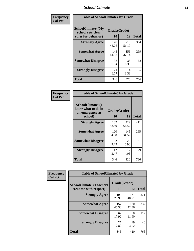### *School Climate* **12**

| Frequency      | <b>Table of SchoolClimate4 by Grade</b>                       |                    |              |              |  |
|----------------|---------------------------------------------------------------|--------------------|--------------|--------------|--|
| <b>Col Pct</b> | SchoolClimate4(My<br>school sets clear<br>rules for behavior) | Grade(Grade)<br>10 | 12           | <b>Total</b> |  |
|                | <b>Strongly Agree</b>                                         | 149<br>43.06       | 215<br>51.19 | 364          |  |
|                | <b>Somewhat Agree</b>                                         | 143<br>41.33       | 156<br>37.14 | 299          |  |
|                | <b>Somewhat Disagree</b>                                      | 33<br>9.54         | 35<br>8.33   | 68           |  |
|                | <b>Strongly Disagree</b>                                      | 21<br>6.07         | 14<br>3.33   | 35           |  |
|                | <b>Total</b>                                                  | 346                | 420          | 766          |  |

| <b>Table of SchoolClimate5 by Grade</b>                              |                    |              |              |  |
|----------------------------------------------------------------------|--------------------|--------------|--------------|--|
| SchoolClimate5(I<br>know what to do in<br>an emergency at<br>school) | Grade(Grade)<br>10 | 12           | <b>Total</b> |  |
| <b>Strongly Agree</b>                                                | 182<br>52.60       | 229<br>54.52 | 411          |  |
| <b>Somewhat Agree</b>                                                | 120<br>34.68       | 145<br>34.52 | 265          |  |
| <b>Somewhat Disagree</b>                                             | 32<br>9.25         | 29<br>6.90   | 61           |  |
| <b>Strongly Disagree</b>                                             | 12<br>3.47         | 17<br>4.05   | 29           |  |
| Total                                                                | 346                | 420          | 766          |  |

| Frequency      | <b>Table of SchoolClimate6 by Grade</b>                  |                    |              |              |  |
|----------------|----------------------------------------------------------|--------------------|--------------|--------------|--|
| <b>Col Pct</b> | <b>SchoolClimate6(Teachers</b><br>treat me with respect) | Grade(Grade)<br>10 | 12           | <b>Total</b> |  |
|                | <b>Strongly Agree</b>                                    | 100<br>28.90       | 171<br>40.71 | 271          |  |
|                | <b>Somewhat Agree</b>                                    | 157<br>45.38       | 180<br>42.86 | 337          |  |
|                | <b>Somewhat Disagree</b>                                 | 62<br>17.92        | 50<br>11.90  | 112          |  |
|                | <b>Strongly Disagree</b>                                 | 27<br>7.80         | 19<br>4.52   | 46           |  |
|                | <b>Total</b>                                             | 346                | 420          | 766          |  |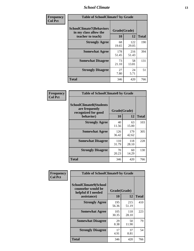### *School Climate* **13**

| Frequency      | <b>Table of SchoolClimate7 by Grade</b>                                       |                           |              |              |  |
|----------------|-------------------------------------------------------------------------------|---------------------------|--------------|--------------|--|
| <b>Col Pct</b> | <b>SchoolClimate7(Behaviors</b><br>in my class allow the<br>teacher to teach) | Grade(Grade)<br><b>10</b> | 12           | <b>Total</b> |  |
|                | <b>Strongly Agree</b>                                                         | 68<br>19.65               | 122<br>29.05 | 190          |  |
|                | <b>Somewhat Agree</b>                                                         | 178<br>51.45              | 216<br>51.43 | 394          |  |
|                | <b>Somewhat Disagree</b>                                                      | 73<br>21.10               | 58<br>13.81  | 131          |  |
|                | <b>Strongly Disagree</b>                                                      | 27<br>7.80                | 24<br>5.71   | 51           |  |
|                | <b>Total</b>                                                                  | 346                       | 420          | 766          |  |

| Frequency      | <b>Table of SchoolClimate8 by Grade</b>                                              |                    |              |              |  |  |
|----------------|--------------------------------------------------------------------------------------|--------------------|--------------|--------------|--|--|
| <b>Col Pct</b> | <b>SchoolClimate8(Students</b><br>are frequently<br>recognized for good<br>behavior) | Grade(Grade)<br>10 | 12           | <b>Total</b> |  |  |
|                | <b>Strongly Agree</b>                                                                | 40<br>11.56        | 63<br>15.00  | 103          |  |  |
|                | <b>Somewhat Agree</b>                                                                | 126<br>36.42       | 179<br>42.62 | 305          |  |  |
|                | <b>Somewhat Disagree</b>                                                             | 110<br>31.79       | 118<br>28.10 | 228          |  |  |
|                | <b>Strongly Disagree</b>                                                             | 70<br>20.23        | 60<br>14.29  | 130          |  |  |
|                | <b>Total</b>                                                                         | 346                | 420          | 766          |  |  |

| Frequency      | <b>Table of SchoolClimate9 by Grade</b>                                           |                    |              |              |  |
|----------------|-----------------------------------------------------------------------------------|--------------------|--------------|--------------|--|
| <b>Col Pct</b> | SchoolClimate9(School<br>counselor would be<br>helpful if I needed<br>assistance) | Grade(Grade)<br>10 | 12           | <b>Total</b> |  |
|                | <b>Strongly Agree</b>                                                             | 195<br>56.36       | 215<br>51.19 | 410          |  |
|                | <b>Somewhat Agree</b>                                                             | 105<br>30.35       | 118<br>28.10 | 223          |  |
|                | <b>Somewhat Disagree</b>                                                          | 29<br>8.38         | 50<br>11.90  | 79           |  |
|                | <b>Strongly Disagree</b>                                                          | 17<br>4.91         | 37<br>8.81   | 54           |  |
|                | <b>Total</b>                                                                      | 346                | 420          | 766          |  |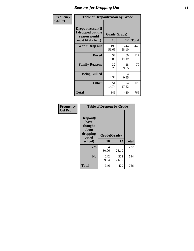### *Reasons for Dropping Out* **14**

| Frequency      | <b>Table of Dropoutreason by Grade</b>                                   |                    |              |              |  |
|----------------|--------------------------------------------------------------------------|--------------------|--------------|--------------|--|
| <b>Col Pct</b> | Dropoutreason(If<br>I dropped out the<br>reason would<br>most likely be) | Grade(Grade)<br>10 | 12           | <b>Total</b> |  |
|                | Won't Drop out                                                           | 196<br>56.65       | 244<br>58.10 | 440          |  |
|                | <b>Bored</b>                                                             | 52<br>15.03        | 60<br>14.29  | 112          |  |
|                | <b>Family Reasons</b>                                                    | 32<br>9.25         | 38<br>9.05   | 70           |  |
|                | <b>Being Bullied</b>                                                     | 15<br>4.34         | 4<br>0.95    | 19           |  |
|                | <b>Other</b>                                                             | 51<br>14.74        | 74<br>17.62  | 125          |  |
|                | <b>Total</b>                                                             | 346                | 420          | 766          |  |

| Frequency      | <b>Table of Dropout by Grade</b>                                       |                    |              |              |  |  |
|----------------|------------------------------------------------------------------------|--------------------|--------------|--------------|--|--|
| <b>Col Pct</b> | Dropout(I<br>have<br>thought<br>about<br>dropping<br>out of<br>school) | Grade(Grade)<br>10 | 12           | <b>Total</b> |  |  |
|                |                                                                        |                    |              |              |  |  |
|                | Yes                                                                    | 104<br>30.06       | 118<br>28.10 | 222          |  |  |
|                | N <sub>0</sub>                                                         | 242<br>69.94       | 302<br>71.90 | 544          |  |  |
|                | <b>Total</b>                                                           | 346                | 420          | 766          |  |  |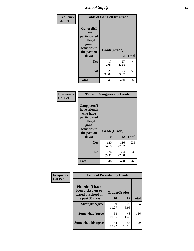*School Safety* **15**

| Frequency      | <b>Table of Gangself by Grade</b>                                                                 |                    |              |              |  |
|----------------|---------------------------------------------------------------------------------------------------|--------------------|--------------|--------------|--|
| <b>Col Pct</b> | Gangself(I<br>have<br>participated<br>in illegal<br>gang<br>activities in<br>the past 30<br>days) | Grade(Grade)<br>10 | 12           | <b>Total</b> |  |
|                | Yes                                                                                               | 17<br>4.91         | 27<br>6.43   | 44           |  |
|                | N <sub>0</sub>                                                                                    | 329<br>95.09       | 393<br>93.57 | 722          |  |
|                | <b>Total</b>                                                                                      | 346                | 420          | 766          |  |

| Frequency<br><b>Col Pct</b> | <b>Table of Gangpeers by Grade</b>                                                                                             |                    |              |              |
|-----------------------------|--------------------------------------------------------------------------------------------------------------------------------|--------------------|--------------|--------------|
|                             | <b>Gangpeers</b> (I<br>have friends<br>who have<br>participated<br>in illegal<br>gang<br>activities in<br>the past 30<br>days) | Grade(Grade)<br>10 | 12           | <b>Total</b> |
|                             | Yes                                                                                                                            | 120<br>34.68       | 116<br>27.62 | 236          |
|                             | N <sub>0</sub>                                                                                                                 | 226<br>65.32       | 304<br>72.38 | 530          |
|                             | <b>Total</b>                                                                                                                   | 346                | 420          | 766          |

| Frequency      | <b>Table of Pickedon by Grade</b>                                  |              |             |              |
|----------------|--------------------------------------------------------------------|--------------|-------------|--------------|
| <b>Col Pct</b> | <b>Pickedon(I have</b><br>been picked on or<br>teased at school in | Grade(Grade) |             |              |
|                | the past 30 days)                                                  | 10           | 12          | <b>Total</b> |
|                | <b>Strongly Agree</b>                                              | 39<br>11.27  | 25<br>5.95  | 64           |
|                | <b>Somewhat Agree</b>                                              | 68<br>19.65  | 48<br>11.43 | 116          |
|                | <b>Somewhat Disagree</b>                                           | 44<br>12.72  | 55<br>13.10 | 99           |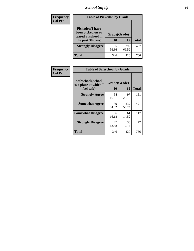# *School Safety* **16**

| Frequency      | <b>Table of Pickedon by Grade</b>                                                        |                    |              |              |
|----------------|------------------------------------------------------------------------------------------|--------------------|--------------|--------------|
| <b>Col Pct</b> | <b>Pickedon</b> (I have<br>been picked on or<br>teased at school in<br>the past 30 days) | Grade(Grade)<br>10 | 12           | <b>Total</b> |
|                | <b>Strongly Disagree</b>                                                                 | 195<br>56.36       | 292<br>69.52 | 487          |
|                | Total                                                                                    | 346                | 420          | 766          |

| Frequency      | <b>Table of Safeschool by Grade</b>                      |                    |              |              |
|----------------|----------------------------------------------------------|--------------------|--------------|--------------|
| <b>Col Pct</b> | Safeschool(School<br>is a place at which I<br>feel safe) | Grade(Grade)<br>10 | 12           | <b>Total</b> |
|                | <b>Strongly Agree</b>                                    | 54<br>15.61        | 97<br>23.10  | 151          |
|                | <b>Somewhat Agree</b>                                    | 189<br>54.62       | 232<br>55.24 | 421          |
|                | <b>Somewhat Disagree</b>                                 | 56<br>16.18        | 61<br>14.52  | 117          |
|                | <b>Strongly Disagree</b>                                 | 47<br>13.58        | 30<br>7.14   | 77           |
|                | Total                                                    | 346                | 420          | 766          |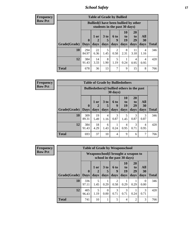*School Safety* **17**

| <b>Table of Grade by Bullied</b> |                            |                                                                               |                              |                        |                        |                        |                          |              |  |  |  |  |
|----------------------------------|----------------------------|-------------------------------------------------------------------------------|------------------------------|------------------------|------------------------|------------------------|--------------------------|--------------|--|--|--|--|
|                                  |                            | <b>Bullied</b> (I have been bullied by other<br>students in the past 30 days) |                              |                        |                        |                        |                          |              |  |  |  |  |
| Grade(Grade)                     | $\mathbf 0$<br><b>Days</b> | $1$ or<br>2<br>days                                                           | 3 <sub>to</sub><br>5<br>days | 6 to<br>9<br>days      | 10<br>to<br>19<br>days | 20<br>to<br>29<br>days | All<br><b>30</b><br>days | <b>Total</b> |  |  |  |  |
| 10                               | 294<br>84.97               | 22<br>6.36                                                                    | 5<br>1.45                    | $\mathfrak{D}$<br>0.58 | 8<br>2.31              | 11<br>3.18             | 4<br>1.16                | 346          |  |  |  |  |
| 12                               | 384<br>91.43               | 14<br>3.33                                                                    | 8<br>1.90                    | 5<br>1.19              | 0.24                   | 4<br>0.95              | 4<br>0.95                | 420          |  |  |  |  |
| <b>Total</b>                     | 678                        | 36                                                                            | 13                           | 7                      | 9                      | 15                     | 8                        | 766          |  |  |  |  |

| Frequency      |              |                                                                |                     | <b>Table of Grade by Bulliedothers</b> |                   |                        |                        |                          |              |  |
|----------------|--------------|----------------------------------------------------------------|---------------------|----------------------------------------|-------------------|------------------------|------------------------|--------------------------|--------------|--|
| <b>Row Pct</b> |              | <b>Bulliedothers</b> (I bullied others in the past<br>30 days) |                     |                                        |                   |                        |                        |                          |              |  |
|                | Grade(Grade) | $\mathbf{0}$<br><b>Days</b>                                    | $1$ or<br>2<br>days | 3 <sub>to</sub><br>days                | 6 to<br>9<br>days | 10<br>to<br>19<br>days | 20<br>to<br>29<br>days | All<br><b>30</b><br>days | <b>Total</b> |  |
|                | 10           | 309                                                            | 19                  | 4                                      | 3                 | 5                      | 3                      | 3                        | 346          |  |
|                |              | 89.31                                                          | 5.49                | 1.16                                   | 0.87              | 1.45                   | 0.87                   | 0.87                     |              |  |
|                | 12           | 384<br>91.43                                                   | 18<br>4.29          | 6<br>1.43                              | 0.24              | 4<br>0.95              | 3<br>0.71              | 4<br>0.95                | 420          |  |
|                | <b>Total</b> | 693                                                            | 37                  | 10                                     | $\overline{4}$    | 9                      | 6                      | 7                        | 766          |  |

| Frequency      |                     |              |           | <b>Table of Grade by Weaponschool</b>                             |                  |                |                       |                  |              |
|----------------|---------------------|--------------|-----------|-------------------------------------------------------------------|------------------|----------------|-----------------------|------------------|--------------|
| <b>Row Pct</b> |                     |              |           | Weaponschool(I brought a weapon to<br>school in the past 30 days) |                  |                |                       |                  |              |
|                |                     | $\mathbf 0$  | 1 or      | 3 <sub>to</sub><br>5                                              | <b>6 to</b><br>9 | 10<br>to<br>19 | <b>20</b><br>to<br>29 | All<br>30        |              |
|                | Grade(Grade)   Days |              | days      | days                                                              | days             | days           | days                  | days             | <b>Total</b> |
|                | 10                  | 336<br>97.11 | 5<br>1.45 | 0.29                                                              | 2<br>0.58        | 0.29           | 0.29                  | $\Omega$<br>0.00 | 346          |
|                | 12                  | 405<br>96.43 | 5<br>1.19 | 0<br>0.00                                                         | 3<br>0.71        | 3<br>0.71      | 0.24                  | 3<br>0.71        | 420          |
|                | <b>Total</b>        | 741          | 10        |                                                                   | 5                | $\overline{4}$ | $\overline{2}$        | 3                | 766          |

Ŧ.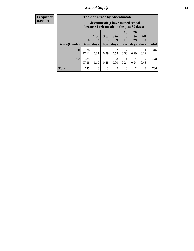*School Safety* **18**

| <b>Frequency</b> | <b>Table of Grade by Absentunsafe</b> |              |             |                                                                                 |                        |                        |                       |           |              |
|------------------|---------------------------------------|--------------|-------------|---------------------------------------------------------------------------------|------------------------|------------------------|-----------------------|-----------|--------------|
| Row Pct          |                                       |              |             | Absentunsafe(I have missed school<br>because I felt unsafe in the past 30 days) |                        |                        |                       |           |              |
|                  |                                       | $\mathbf{0}$ | $1$ or<br>2 | 3 <sub>to</sub><br>5                                                            | 6 to<br>9              | <b>10</b><br>to<br>19  | <b>20</b><br>to<br>29 | All<br>30 |              |
|                  | Grade(Grade)                          | <b>Days</b>  | days        | days                                                                            | days                   | days                   | days                  | days      | <b>Total</b> |
|                  | 10                                    | 336<br>97.11 | 3<br>0.87   | 0.29                                                                            | $\mathfrak{D}$<br>0.58 | $\overline{2}$<br>0.58 | 0.29                  | 0.29      | 346          |
|                  | 12                                    | 409<br>97.38 | 5<br>1.19   | $\overline{2}$<br>0.48                                                          | $\Omega$<br>0.00       | 0.24                   | 0.24                  | 2<br>0.48 | 420          |
|                  | <b>Total</b>                          | 745          | 8           | 3                                                                               | 2                      | 3                      | 2                     | 3         | 766          |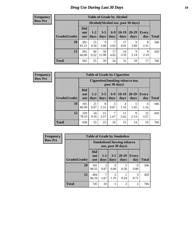# *Drug Use During Last 30 Days* **19**

#### **Frequency Row Pct**

| <b>Table of Grade by Alcohol</b> |                                 |                                     |                 |                 |                 |               |                     |       |  |  |  |
|----------------------------------|---------------------------------|-------------------------------------|-----------------|-----------------|-----------------|---------------|---------------------|-------|--|--|--|
|                                  |                                 | Alcohol (Alcohol use, past 30 days) |                 |                 |                 |               |                     |       |  |  |  |
| Grade(Grade)                     | <b>Did</b><br>not<br><b>use</b> | $1 - 2$<br>days                     | $3 - 5$<br>days | $6 - 9$<br>days | $10-19$<br>days | 20-29<br>days | <b>Every</b><br>day | Total |  |  |  |
| 10                               | 281<br>81.21                    | 15<br>4.34                          | 9<br>2.60       | 7<br>2.02       | 17<br>4.91      | 9<br>2.60     | 8<br>2.31           | 346   |  |  |  |
| 12                               | 281<br>66.90                    | 40<br>9.52                          | 50<br>11.90     | 17<br>4.05      | 14<br>3.33      | 9<br>2.14     | 9<br>2.14           | 420   |  |  |  |
| <b>Total</b>                     | 562                             | 55                                  | 59              | 24              | 31              | 18            | 17                  | 766   |  |  |  |

| <b>Table of Grade by Cigarettes</b> |                                 |                                                   |                 |               |                 |                   |                     |       |  |  |  |
|-------------------------------------|---------------------------------|---------------------------------------------------|-----------------|---------------|-----------------|-------------------|---------------------|-------|--|--|--|
|                                     |                                 | Cigarettes (Smoking tobacco use,<br>past 30 days) |                 |               |                 |                   |                     |       |  |  |  |
| Grade(Grade)                        | <b>Did</b><br>not<br><b>use</b> | $1-2$<br>days                                     | $3 - 5$<br>days | $6-9$<br>days | $10-19$<br>days | $20 - 29$<br>days | <b>Every</b><br>day | Total |  |  |  |
| 10                                  | 301<br>86.99                    | 21<br>6.07                                        | 8<br>2.31       | 3<br>0.87     | 4<br>1.16       | 5<br>1.45         | 4<br>1.16           | 346   |  |  |  |
| 12                                  | 329<br>78.33                    | 34<br>8.10                                        | 15<br>3.57      | 7<br>1.67     | 11<br>2.62      | 9<br>2.14         | 15<br>3.57          | 420   |  |  |  |
| <b>Total</b>                        | 630                             | 55                                                | 23              | 10            | 15              | 14                | 19                  | 766   |  |  |  |

| Frequency      |              | <b>Table of Grade by Smokeless</b> |                       |                 |                        |              |              |  |  |
|----------------|--------------|------------------------------------|-----------------------|-----------------|------------------------|--------------|--------------|--|--|
| <b>Row Pct</b> |              | <b>Smokeless</b> (Chewing tobacco  |                       |                 |                        |              |              |  |  |
|                | Grade(Grade) | <b>Did</b><br>not<br><b>use</b>    | $1 - 2$<br>days       | $3 - 5$<br>days | $20 - 29$<br>days      | Every<br>day | <b>Total</b> |  |  |
|                | 10           | 341<br>98.55                       | 3<br>0.87             | 0<br>0.00       | $\mathfrak{D}$<br>0.58 | 0.00         | 346          |  |  |
|                | 12           | 404<br>96.19                       | $\mathcal{I}$<br>1.67 | 5<br>1.19       | 0.24                   | 3<br>0.71    | 420          |  |  |
|                | <b>Total</b> | 745                                | 10                    | 5               | 3                      | 3            | 766          |  |  |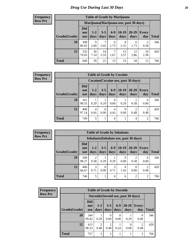| <b>Table of Grade by Marijuana</b> |                                 |                                         |                 |                 |                 |                   |              |              |  |  |  |
|------------------------------------|---------------------------------|-----------------------------------------|-----------------|-----------------|-----------------|-------------------|--------------|--------------|--|--|--|
|                                    |                                 | Marijuana (Marijuana use, past 30 days) |                 |                 |                 |                   |              |              |  |  |  |
| Grade(Grade)                       | <b>Did</b><br>not<br><b>use</b> | $1 - 2$<br>days                         | $3 - 5$<br>days | $6 - 9$<br>days | $10-19$<br>days | $20 - 29$<br>days | Every<br>day | <b>Total</b> |  |  |  |
| 10                                 | 308<br>89.02                    | 9<br>2.60                               | 2.02            | 6<br>1.73       | 8<br>2.31       | 6<br>1.73         | 2<br>0.58    | 346          |  |  |  |
| 12                                 | 332<br>79.05                    | 30<br>7.14                              | 14<br>3.33      | 7<br>1.67       | 15<br>3.57      | 12<br>2.86        | 10<br>2.38   | 420          |  |  |  |
| <b>Total</b>                       | 640                             | 39                                      | 21              | 13              | 23              | 18                | 12           | 766          |  |  |  |

#### **Frequency Row Pct**

| <b>Table of Grade by Cocaine</b> |                          |                                     |                 |                  |                 |                   |                     |       |  |  |
|----------------------------------|--------------------------|-------------------------------------|-----------------|------------------|-----------------|-------------------|---------------------|-------|--|--|
|                                  |                          | Cocaine (Cocaine use, past 30 days) |                 |                  |                 |                   |                     |       |  |  |
| Grade(Grade)                     | Did<br>not<br><b>use</b> | $1 - 2$<br>days                     | $3 - 5$<br>days | $6 - 9$<br>days  | $10-19$<br>days | $20 - 29$<br>days | <b>Every</b><br>day | Total |  |  |
| 10                               | 341<br>98.55             | 0.29                                | 0.29            | $\theta$<br>0.00 | 0.29            | 0.58              | 0<br>0.00           | 346   |  |  |
| 12                               | 408<br>97.14             | 4<br>0.95                           | 0<br>0.00       | 4<br>0.95        | 0<br>0.00       | 2<br>0.48         | 2<br>0.48           | 420   |  |  |
| <b>Total</b>                     | 749                      | 5                                   |                 | $\overline{4}$   |                 | 4                 | 2                   | 766   |  |  |

| <b>Table of Grade by Inhalants</b> |                                 |                        |                  |               |                  |                                        |                        |              |  |  |
|------------------------------------|---------------------------------|------------------------|------------------|---------------|------------------|----------------------------------------|------------------------|--------------|--|--|
|                                    |                                 |                        |                  |               |                  | Inhalants (Inhalant use, past 30 days) |                        |              |  |  |
| Grade(Grade)                       | <b>Did</b><br>not<br><b>use</b> | $1 - 2$<br>days        | $3 - 5$<br>days  | $6-9$<br>days | $10-19$<br>days  | $20 - 29$<br>days                      | <b>Every</b><br>day    | <b>Total</b> |  |  |
| 10                                 | 340<br>98.27                    | $\overline{2}$<br>0.58 | 0.29             | 0.29          | $\Omega$<br>0.00 | 2<br>0.58                              | $\theta$<br>0.00       | 346          |  |  |
| 12                                 | 406<br>96.67                    | 3<br>0.71              | $\Omega$<br>0.00 | 3<br>0.71     | 6<br>1.43        | 0<br>0.00                              | $\mathfrak{D}$<br>0.48 | 420          |  |  |
| <b>Total</b>                       | 746                             | 5                      |                  | 4             | 6                | $\overline{2}$                         | $\overline{2}$         | 766          |  |  |

| Frequency      |              |                                 |                                      | <b>Table of Grade by Steroids</b> |                          |                   |                     |       |  |
|----------------|--------------|---------------------------------|--------------------------------------|-----------------------------------|--------------------------|-------------------|---------------------|-------|--|
| <b>Row Pct</b> |              |                                 | Steroids (Steroid use, past 30 days) |                                   |                          |                   |                     |       |  |
|                | Grade(Grade) | <b>Did</b><br>not<br><b>use</b> | $1 - 2$<br>days                      | $3 - 5$<br>days                   | $6-9$<br>days            | $20 - 29$<br>days | <b>Every</b><br>day | Total |  |
|                | 10           | 344<br>99.42                    | 0.29                                 | $\Omega$<br>0.00                  | $\left( \right)$<br>0.00 | 0.29              | $\Omega$<br>0.00    | 346   |  |
|                | 12           | 413<br>98.33                    | $\overline{2}$<br>0.48               | 2<br>0.48                         | 0.24                     | 0<br>0.00         | റ<br>0.48           | 420   |  |
|                | <b>Total</b> | 757                             | 3                                    | $\overline{2}$                    |                          |                   | $\overline{2}$      | 766   |  |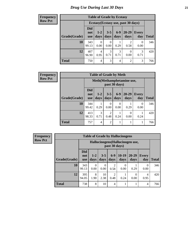| <b>Table of Grade by Ecstasy</b> |                                 |                 |                  |                 |                                     |                     |              |  |  |  |
|----------------------------------|---------------------------------|-----------------|------------------|-----------------|-------------------------------------|---------------------|--------------|--|--|--|
|                                  |                                 |                 |                  |                 | Ecstasy (Ecstasy use, past 30 days) |                     |              |  |  |  |
| Grade(Grade)                     | <b>Did</b><br>not<br><b>use</b> | $1 - 2$<br>days | $3 - 5$<br>days  | $6 - 9$<br>days | $20 - 29$<br>days                   | <b>Every</b><br>day | <b>Total</b> |  |  |  |
| 10                               | 343<br>99.13                    | 0.00            | $\Omega$<br>0.00 | 0.29            | 2<br>0.58                           | 0<br>0.00           | 346          |  |  |  |
| 12                               | 407<br>96.90                    | 4<br>0.95       | 3<br>0.71        | 3<br>0.71       | 0<br>0.00                           | 3<br>0.71           | 420          |  |  |  |
| Total                            | 750                             | 4               | 3                | 4               | 2                                   | 3                   | 766          |  |  |  |

| <b>Frequency</b> | <b>Table of Grade by Meth</b> |                                 |                 |                        |               |                           |                     |              |  |
|------------------|-------------------------------|---------------------------------|-----------------|------------------------|---------------|---------------------------|---------------------|--------------|--|
| Row Pct          |                               |                                 |                 |                        | past 30 days) | Meth(Methamphetamine use, |                     |              |  |
|                  | Grade(Grade)                  | <b>Did</b><br>not<br><b>use</b> | $1 - 2$<br>days | $3 - 5$<br>days        | $6-9$<br>days | $20 - 29$<br>days         | <b>Every</b><br>day | <b>Total</b> |  |
|                  | 10                            | 344<br>99.42                    | 0.29            | 0<br>0.00              | 0<br>0.00     | 0.29                      | $\Omega$<br>0.00    | 346          |  |
|                  | 12                            | 413<br>98.33                    | 3<br>0.71       | $\overline{c}$<br>0.48 | 0.24          | 0.00                      | 0.24                | 420          |  |
|                  | <b>Total</b>                  | 757                             | $\overline{4}$  | $\overline{2}$         | 1             |                           |                     | 766          |  |

| <b>Table of Grade by Hallucinogens</b> |                                 |                                                   |                 |                        |                 |                   |                     |       |  |  |  |
|----------------------------------------|---------------------------------|---------------------------------------------------|-----------------|------------------------|-----------------|-------------------|---------------------|-------|--|--|--|
|                                        |                                 | Hallucinogens (Hallucinogen use,<br>past 30 days) |                 |                        |                 |                   |                     |       |  |  |  |
| Grade(Grade)                           | <b>Did</b><br>not<br><b>use</b> | $1 - 2$<br>days                                   | $3 - 5$<br>days | $6 - 9$<br>days        | $10-19$<br>days | $20 - 29$<br>days | <b>Every</b><br>day | Total |  |  |  |
| 10                                     | 343<br>99.13                    | $\Omega$<br>0.00                                  | 0<br>0.00       | $\overline{2}$<br>0.58 | 0<br>0.00       | 0.29              | 0<br>0.00           | 346   |  |  |  |
| 12                                     | 395<br>94.05                    | 8<br>1.90                                         | 10<br>2.38      | $\overline{2}$<br>0.48 | 0.24            | 0<br>0.00         | 4<br>0.95           | 420   |  |  |  |
| <b>Total</b>                           | 738                             | 8                                                 | 10              | 4                      | 1               |                   | 4                   | 766   |  |  |  |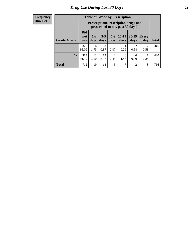| <b>Table of Grade by Prescription</b> |                                 |                                                                                |                 |                        |                 |                   |              |       |  |  |
|---------------------------------------|---------------------------------|--------------------------------------------------------------------------------|-----------------|------------------------|-----------------|-------------------|--------------|-------|--|--|
|                                       |                                 | <b>Prescription</b> (Prescription drugs not<br>prescribed to me, past 30 days) |                 |                        |                 |                   |              |       |  |  |
| Grade(Grade)                          | <b>Did</b><br>not<br><b>use</b> | $1 - 2$<br>days                                                                | $3 - 5$<br>days | $6-9$<br>days          | $10-19$<br>days | $20 - 29$<br>days | Every<br>day | Total |  |  |
| 10                                    | 329<br>95.09                    | 6<br>1.73                                                                      | 3<br>0.87       | 3<br>0.87              | 0.29            | റ<br>0.58         | 2<br>0.58    | 346   |  |  |
| 12                                    | 383<br>91.19                    | 13<br>3.10                                                                     | 15<br>3.57      | $\overline{c}$<br>0.48 | 6<br>1.43       | 0<br>0.00         | 0.24         | 420   |  |  |
| <b>Total</b>                          | 712                             | 19                                                                             | 18              | 5                      | 7               | $\mathfrak{D}$    | 3            | 766   |  |  |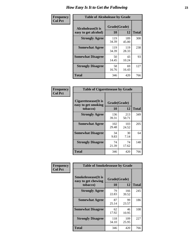| Frequency      | <b>Table of Alcoholease by Grade</b>              |                    |              |     |  |  |  |  |
|----------------|---------------------------------------------------|--------------------|--------------|-----|--|--|--|--|
| <b>Col Pct</b> | <b>Alcoholease</b> (It is<br>easy to get alcohol) | Grade(Grade)<br>10 | <b>Total</b> |     |  |  |  |  |
|                | <b>Strongly Agree</b>                             | 119<br>34.39       | 189<br>45.00 | 308 |  |  |  |  |
|                | <b>Somewhat Agree</b>                             | 119<br>34.39       | 119<br>28.33 | 238 |  |  |  |  |
|                | <b>Somewhat Disagree</b>                          | 50<br>14.45        | 43<br>10.24  | 93  |  |  |  |  |
|                | <b>Strongly Disagree</b>                          | 58<br>16.76        | 69<br>16.43  | 127 |  |  |  |  |
|                | <b>Total</b>                                      | 346                | 420          | 766 |  |  |  |  |

| Frequency      | <b>Table of Cigarettesease by Grade</b>                  |                    |              |              |  |  |  |  |
|----------------|----------------------------------------------------------|--------------------|--------------|--------------|--|--|--|--|
| <b>Col Pct</b> | Cigarettesease (It is<br>easy to get smoking<br>tobacco) | Grade(Grade)<br>10 | 12           | <b>Total</b> |  |  |  |  |
|                | <b>Strongly Agree</b>                                    | 136<br>39.31       | 213<br>50.71 | 349          |  |  |  |  |
|                | <b>Somewhat Agree</b>                                    | 102<br>29.48       | 103<br>24.52 | 205          |  |  |  |  |
|                | <b>Somewhat Disagree</b>                                 | 34<br>9.83         | 30<br>7.14   | 64           |  |  |  |  |
|                | <b>Strongly Disagree</b>                                 | 74<br>21.39        | 74<br>17.62  | 148          |  |  |  |  |
|                | Total                                                    | 346                | 420          | 766          |  |  |  |  |

| Frequency      | <b>Table of Smokelessease by Grade</b>                         |                           |              |     |  |  |  |  |  |
|----------------|----------------------------------------------------------------|---------------------------|--------------|-----|--|--|--|--|--|
| <b>Col Pct</b> | <b>Smokelessease</b> (It is<br>easy to get chewing<br>tobacco) | Grade(Grade)<br><b>10</b> | <b>Total</b> |     |  |  |  |  |  |
|                | <b>Strongly Agree</b>                                          | 79<br>22.83               | 166<br>39.52 | 245 |  |  |  |  |  |
|                | <b>Somewhat Agree</b>                                          | 87<br>25.14               | 99<br>23.57  | 186 |  |  |  |  |  |
|                | <b>Somewhat Disagree</b>                                       | 62<br>17.92               | 46<br>10.95  | 108 |  |  |  |  |  |
|                | <b>Strongly Disagree</b>                                       | 118<br>34.10              | 109<br>25.95 | 227 |  |  |  |  |  |
|                | Total                                                          | 346                       | 420          | 766 |  |  |  |  |  |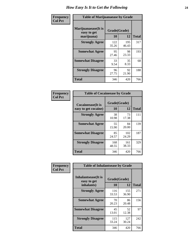| Frequency      | <b>Table of Marijuanaease by Grade</b>           |                    |              |              |  |  |  |
|----------------|--------------------------------------------------|--------------------|--------------|--------------|--|--|--|
| <b>Col Pct</b> | Marijuanaease(It is<br>easy to get<br>marijuana) | Grade(Grade)<br>10 | 12           | <b>Total</b> |  |  |  |
|                | <b>Strongly Agree</b>                            | 122<br>35.26       | 195<br>46.43 | 317          |  |  |  |
|                | <b>Somewhat Agree</b>                            | 95<br>27.46        | 98<br>23.33  | 193          |  |  |  |
|                | <b>Somewhat Disagree</b>                         | 33<br>9.54         | 35<br>8.33   | 68           |  |  |  |
|                | <b>Strongly Disagree</b>                         | 96<br>27.75        | 92<br>21.90  | 188          |  |  |  |
|                | <b>Total</b>                                     | 346                | 420          | 766          |  |  |  |

| <b>Table of Cocaineease by Grade</b>              |              |                    |     |  |  |  |  |  |
|---------------------------------------------------|--------------|--------------------|-----|--|--|--|--|--|
| <b>Cocaineease</b> (It is<br>easy to get cocaine) | 10           | Grade(Grade)<br>12 |     |  |  |  |  |  |
| <b>Strongly Agree</b>                             | 38<br>10.98  | 73<br>17.38        | 111 |  |  |  |  |  |
| <b>Somewhat Agree</b>                             | 55<br>15.90  | 84<br>20.00        | 139 |  |  |  |  |  |
| <b>Somewhat Disagree</b>                          | 85<br>24.57  | 102<br>24.29       | 187 |  |  |  |  |  |
| <b>Strongly Disagree</b>                          | 168<br>48.55 | 161<br>38.33       | 329 |  |  |  |  |  |
| <b>Total</b>                                      | 346          | 420                | 766 |  |  |  |  |  |

| Frequency      | <b>Table of Inhalantsease by Grade</b> |              |              |              |
|----------------|----------------------------------------|--------------|--------------|--------------|
| <b>Col Pct</b> | Inhalantsease(It is<br>easy to get     | Grade(Grade) |              |              |
|                | inhalants)                             | 10           | 12           | <b>Total</b> |
|                | <b>Strongly Agree</b>                  | 116<br>33.53 | 155<br>36.90 | 271          |
|                | <b>Somewhat Agree</b>                  | 70<br>20.23  | 86<br>20.48  | 156          |
|                | <b>Somewhat Disagree</b>               | 45<br>13.01  | 52<br>12.38  | 97           |
|                | <b>Strongly Disagree</b>               | 115<br>33.24 | 127<br>30.24 | 242          |
|                | <b>Total</b>                           | 346          | 420          | 766          |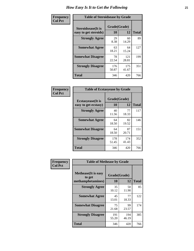| Frequency      | <b>Table of Steroidsease by Grade</b>       |                    |              |     |  |  |  |  |  |  |  |  |  |
|----------------|---------------------------------------------|--------------------|--------------|-----|--|--|--|--|--|--|--|--|--|
| <b>Col Pct</b> | Steroidsease(It is<br>easy to get steroids) | Grade(Grade)<br>10 | <b>Total</b> |     |  |  |  |  |  |  |  |  |  |
|                | <b>Strongly Agree</b>                       | 29<br>8.38         | 60<br>14.29  | 89  |  |  |  |  |  |  |  |  |  |
|                | <b>Somewhat Agree</b>                       | 63<br>18.21        | 64<br>15.24  | 127 |  |  |  |  |  |  |  |  |  |
|                | <b>Somewhat Disagree</b>                    | 78<br>22.54        | 121<br>28.81 | 199 |  |  |  |  |  |  |  |  |  |
|                | <b>Strongly Disagree</b>                    | 176<br>50.87       | 175<br>41.67 | 351 |  |  |  |  |  |  |  |  |  |
|                | <b>Total</b>                                | 346                | 420          | 766 |  |  |  |  |  |  |  |  |  |

| Frequency      | <b>Table of Ecstasyease by Grade</b>              |                    |              |              |  |  |  |  |  |  |  |  |
|----------------|---------------------------------------------------|--------------------|--------------|--------------|--|--|--|--|--|--|--|--|
| <b>Col Pct</b> | <b>Ecstasyease</b> (It is<br>easy to get ecstasy) | Grade(Grade)<br>10 | 12           | <b>Total</b> |  |  |  |  |  |  |  |  |
|                | <b>Strongly Agree</b>                             | 40<br>11.56        | 77<br>18.33  | 117          |  |  |  |  |  |  |  |  |
|                | <b>Somewhat Agree</b>                             | 64<br>18.50        | 82<br>19.52  | 146          |  |  |  |  |  |  |  |  |
|                | <b>Somewhat Disagree</b>                          | 64<br>18.50        | 87<br>20.71  | 151          |  |  |  |  |  |  |  |  |
|                | <b>Strongly Disagree</b>                          | 178<br>51.45       | 174<br>41.43 | 352          |  |  |  |  |  |  |  |  |
|                | Total                                             | 346                | 420          | 766          |  |  |  |  |  |  |  |  |

| Frequency      | <b>Table of Methease by Grade</b>                          |                    |              |              |
|----------------|------------------------------------------------------------|--------------------|--------------|--------------|
| <b>Col Pct</b> | <b>Methease</b> (It is easy<br>to get<br>methamphetamines) | Grade(Grade)<br>10 | 12           | <b>Total</b> |
|                | <b>Strongly Agree</b>                                      | 35<br>10.12        | 50<br>11.90  | 85           |
|                | <b>Somewhat Agree</b>                                      | 45<br>13.01        | 77<br>18.33  | 122          |
|                | <b>Somewhat Disagree</b>                                   | 75<br>21.68        | 99<br>23.57  | 174          |
|                | <b>Strongly Disagree</b>                                   | 191<br>55.20       | 194<br>46.19 | 385          |
|                | <b>Total</b>                                               | 346                | 420          | 766          |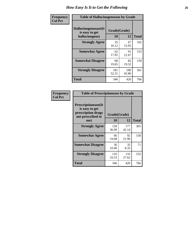| <b>Frequency</b> | <b>Table of Hallucinogensease by Grade</b>               |                    |              |     |  |  |  |  |  |  |  |  |
|------------------|----------------------------------------------------------|--------------------|--------------|-----|--|--|--|--|--|--|--|--|
| <b>Col Pct</b>   | Hallucinogensease(It<br>is easy to get<br>hallucinogens) | Grade(Grade)<br>10 | <b>Total</b> |     |  |  |  |  |  |  |  |  |
|                  | <b>Strongly Agree</b>                                    | 35<br>10.12        | 67<br>15.95  | 102 |  |  |  |  |  |  |  |  |
|                  | <b>Somewhat Agree</b>                                    | 62<br>17.92        | 91<br>21.67  | 153 |  |  |  |  |  |  |  |  |
|                  | <b>Somewhat Disagree</b>                                 | 68<br>19.65        | 82<br>19.52  | 150 |  |  |  |  |  |  |  |  |
|                  | <b>Strongly Disagree</b>                                 | 181<br>52.31       | 180<br>42.86 | 361 |  |  |  |  |  |  |  |  |
|                  | <b>Total</b>                                             | 346                | 420          | 766 |  |  |  |  |  |  |  |  |

| Frequency<br>Col Pct |
|----------------------|
|                      |

| <b>Table of Prescriptionease by Grade</b>                                                |              |              |              |
|------------------------------------------------------------------------------------------|--------------|--------------|--------------|
| <b>Prescriptionease</b> (It<br>is easy to get<br>prescription drugs<br>not prescribed to |              | Grade(Grade) |              |
| me)                                                                                      | 10           | 12           | <b>Total</b> |
| <b>Strongly Agree</b>                                                                    | 128<br>36.99 | 177<br>42.14 | 305          |
| <b>Somewhat Agree</b>                                                                    | 66<br>19.08  | 92<br>21.90  | 158          |
| <b>Somewhat Disagree</b>                                                                 | 36<br>10.40  | 35<br>8.33   | 71           |
| <b>Strongly Disagree</b>                                                                 | 116<br>33.53 | 116<br>27.62 | 232          |
| <b>Total</b>                                                                             | 346          | 420          | 766          |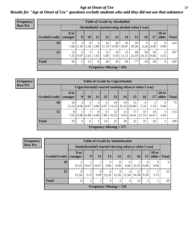*Age at Onset of Use* **27** *Results for "Age at Onset of Use" questions exclude students who said they did not use that substance*

| <b>Frequency</b> | <b>Table of Grade by Alcoholinit</b> |                        |                                                  |           |                        |                                |             |             |             |             |                  |                       |              |  |
|------------------|--------------------------------------|------------------------|--------------------------------------------------|-----------|------------------------|--------------------------------|-------------|-------------|-------------|-------------|------------------|-----------------------|--------------|--|
| <b>Row Pct</b>   |                                      |                        | Alcoholinit (I started using alcohol when I was) |           |                        |                                |             |             |             |             |                  |                       |              |  |
|                  | Grade(Grade)                         | <b>8</b> or<br>vounger | 9                                                | 10        | 11                     | 12                             | 13          | 14          | 15          | 16          | 17               | <b>18 or</b><br>older | <b>Total</b> |  |
|                  | 10                                   | 7.69                   | 3<br>2.10                                        | 8<br>5.59 | 4<br>2.80              | 16<br>11.19                    | 20<br>13.99 | 43<br>30.07 | 29<br>20.28 | 9<br>6.29   | $\Omega$<br>0.00 | $\theta$<br>0.00      | 143          |  |
|                  | 12                                   | 15<br>7.25             | 2<br>0.97                                        | 5<br>2.42 | $\overline{4}$<br>1.93 | 12<br>5.80                     | 19<br>9.18  | 23<br>11.11 | 48<br>23.19 | 50<br>24.15 | 20<br>9.66       | 9<br>4.35             | 207          |  |
|                  | <b>Total</b>                         | 26                     | 5                                                | 13        | 8                      | 28                             | 39          | 66          | 77          | 59          | 20               | 9                     | 350          |  |
|                  |                                      |                        |                                                  |           |                        | <b>Frequency Missing = 416</b> |             |             |             |             |                  |                       |              |  |

| <b>Frequency</b> | <b>Table of Grade by Cigarettesinit</b> |                                                      |           |      |                  |           |                           |             |             |             |             |                       |       |
|------------------|-----------------------------------------|------------------------------------------------------|-----------|------|------------------|-----------|---------------------------|-------------|-------------|-------------|-------------|-----------------------|-------|
| <b>Row Pct</b>   |                                         | Cigarettesinit(I started smoking tobacco when I was) |           |      |                  |           |                           |             |             |             |             |                       |       |
|                  | Grade(Grade)                            | 8 or<br>  vounger                                    | 9         | 10   | 11               | 12        | 13                        | 14          | 15          | 16          | 17          | <b>18 or</b><br>older | Total |
|                  | 10                                      | 10<br>13.33                                          | 3<br>4.00 | 6.67 | 3<br>$4.00\vert$ | 6.67      | 10<br> 13.33              | 19<br>25.33 | 15<br>20.00 | 5.33        | 1.33        | $\Omega$<br>0.00      | 75    |
|                  | 12                                      | 8<br>7.02                                            | 0.88      | 0.88 | 0<br>$0.00\vert$ | 9<br>7.89 | 12<br>10.53               | 11<br>9.65  | 17<br>14.91 | 31<br>27.19 | 19<br>16.67 | 4.39                  | 114   |
|                  | <b>Total</b>                            | 18                                                   | 4         | 6    | 3                | 14        | 22                        | 30          | 32          | 35          | 20          |                       | 189   |
|                  |                                         |                                                      |           |      |                  |           | Frequency Missing $= 577$ |             |             |             |             |                       |       |

| <b>Table of Grade by Smokelessinit</b> |                                                                                                                            |                                                                                       |       |                           |                  |                  |                         |                  |                  |   |  |  |  |  |
|----------------------------------------|----------------------------------------------------------------------------------------------------------------------------|---------------------------------------------------------------------------------------|-------|---------------------------|------------------|------------------|-------------------------|------------------|------------------|---|--|--|--|--|
|                                        |                                                                                                                            | Smokelessinit (I started chewing tobacco when I was)                                  |       |                           |                  |                  |                         |                  |                  |   |  |  |  |  |
| Grade(Grade)                           | 8 or<br>younger                                                                                                            | <b>18 or</b><br>15<br>9<br>13<br>14<br>older<br><b>16</b><br>17<br><b>Total</b><br>11 |       |                           |                  |                  |                         |                  |                  |   |  |  |  |  |
| 10                                     | 2<br>33.33                                                                                                                 | 16.67                                                                                 | 16.67 | $\Omega$<br>0.00          | $\Omega$<br>0.00 | $\Omega$<br>0.00 | $\overline{2}$<br>33.33 | $\Omega$<br>0.00 | $\Omega$<br>0.00 | 6 |  |  |  |  |
| 12                                     | 3<br>4<br>11<br>0<br>$\overline{4}$<br>4<br>4<br>9.38<br>34.38<br>3.13<br>3.13<br>0.00<br>12.50<br>12.50<br>12.50<br>12.50 |                                                                                       |       |                           |                  |                  |                         |                  |                  |   |  |  |  |  |
| <b>Total</b>                           | 13<br>$\overline{2}$<br>3<br>$\overline{4}$<br>6<br>$\overline{4}$<br>4                                                    |                                                                                       |       |                           |                  |                  |                         |                  |                  |   |  |  |  |  |
|                                        |                                                                                                                            |                                                                                       |       | Frequency Missing $= 728$ |                  |                  |                         |                  |                  |   |  |  |  |  |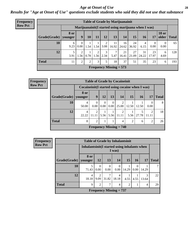#### *Age at Onset of Use* **28**

*Results for "Age at Onset of Use" questions exclude students who said they did not use that substance*

| <b>Frequency</b> | <b>Table of Grade by Marijuanainit</b>                                    |                        |                                                      |      |                                |                         |                           |             |             |             |             |                                |              |
|------------------|---------------------------------------------------------------------------|------------------------|------------------------------------------------------|------|--------------------------------|-------------------------|---------------------------|-------------|-------------|-------------|-------------|--------------------------------|--------------|
| <b>Row Pct</b>   |                                                                           |                        | Marijuanainit (I started using marijuana when I was) |      |                                |                         |                           |             |             |             |             |                                |              |
|                  | Grade(Grade)                                                              | <b>8 or</b><br>younger | 9                                                    | 10   | 11                             | 12                      | 13                        | 14          | 15          | 16          | 17          | <b>18 or</b><br>$\Omega$ older | <b>Total</b> |
|                  | 10                                                                        | 6<br>9.23              | $\mathbf{0}$<br>0.00                                 | 1.54 | 1.54                           | 3.08                    | 11<br>16.92               | 16<br>24.62 | 24<br>36.92 | 4<br>6.15   | 0<br>0.00   | $\overline{0}$<br>0.00         | 65           |
|                  | 12                                                                        | 5<br>3.91              | $\overline{2}$<br>1.56                               |      | $\mathcal{D}$<br>$0.78$   1.56 | 3<br>$\vert 2.34 \vert$ | $\mathcal{I}$<br>5.47     | 21<br>16.41 | 27<br>21.09 | 31<br>24.22 | 23<br>17.97 | 6<br>4.69                      | 128          |
|                  | <b>Total</b><br>37<br>2<br>2<br>3<br>5<br>35<br>23<br>18<br>51<br>11<br>6 |                        |                                                      |      |                                |                         |                           |             |             |             |             | 193                            |              |
|                  |                                                                           |                        |                                                      |      |                                |                         | Frequency Missing $= 573$ |             |             |             |             |                                |              |

| <b>Frequency</b> | <b>Table of Grade by Cocaineinit</b> |                                                  |                                                 |      |      |                                    |       |           |            |              |  |  |  |
|------------------|--------------------------------------|--------------------------------------------------|-------------------------------------------------|------|------|------------------------------------|-------|-----------|------------|--------------|--|--|--|
| <b>Row Pct</b>   |                                      | Cocaineinit (I started using cocaine when I was) |                                                 |      |      |                                    |       |           |            |              |  |  |  |
|                  | Grade(Grade)                         | 8 or<br>younger                                  | 9 <sup>°</sup>                                  | 12   | 13   | 14                                 | 15    | <b>16</b> | 17         | <b>Total</b> |  |  |  |
|                  | 10                                   | 4<br>50.00                                       | $\Omega$<br>$0.00\,$                            | 0.00 | 0.00 | 25.00                              | 12.50 | 12.50     | 0.00       | 8            |  |  |  |
|                  | 12                                   | 4<br>22.22                                       | $\mathfrak{D}$                                  |      |      | 2<br>$11.11$   5.56   5.56   11.11 | 5.56  | 27.78     | 2<br>11.11 | 18           |  |  |  |
|                  | <b>Total</b>                         | 8                                                | $\mathfrak{D}$<br>$\mathfrak{D}$<br>റ<br>6<br>4 |      |      |                                    |       |           |            |              |  |  |  |
|                  |                                      |                                                  |                                                 |      |      | <b>Frequency Missing = 740</b>     |       |           |            |              |  |  |  |

| <b>Frequency</b> |              | <b>Table of Grade by Inhalantsinit</b>        |                        |                                |                  |                |                      |            |              |
|------------------|--------------|-----------------------------------------------|------------------------|--------------------------------|------------------|----------------|----------------------|------------|--------------|
| <b>Row Pct</b>   |              | Inhalantsinit (I started using inhalants when |                        |                                |                  |                |                      |            |              |
|                  | Grade(Grade) | 8 or<br>vounger                               | <b>12</b>              | 13                             | 14               | 15             | <b>16</b>            | <b>17</b>  | <b>Total</b> |
|                  | 10           | 5<br>71.43                                    | $\Omega$<br>0.00       | $\Omega$<br>0.00               | $\theta$<br>0.00 | 14.29          | $\Omega$<br>$0.00\,$ | 14.29      |              |
|                  | 12           | 4<br>18.18                                    | $\overline{2}$<br>9.09 | 31.82                          | 4<br>18.18       | 4.55           | 4.55                 | 3<br>13.64 | 22           |
|                  | <b>Total</b> | 9                                             | $\mathfrak{D}$         | 7                              | 4                | $\overline{2}$ |                      | 4          | 29           |
|                  |              |                                               |                        | <b>Frequency Missing = 737</b> |                  |                |                      |            |              |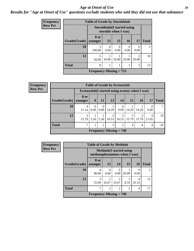#### *Age at Onset of Use* **29**

### *Results for "Age at Onset of Use" questions exclude students who said they did not use that substance*

| Frequency      | <b>Table of Grade by Steroidsinit</b> |                                                              |           |           |           |                         |               |  |  |  |  |
|----------------|---------------------------------------|--------------------------------------------------------------|-----------|-----------|-----------|-------------------------|---------------|--|--|--|--|
| <b>Row Pct</b> |                                       | <b>Steroidsinit (I started using</b><br>steroids when I was) |           |           |           |                         |               |  |  |  |  |
|                | Grade(Grade)                          | 8 or<br>younger                                              | <b>12</b> | <b>15</b> | <b>16</b> | 17                      | <b>Total</b>  |  |  |  |  |
|                | 10                                    | 3<br>100.00                                                  | 0<br>0.00 | 0<br>0.00 | 0.00      | 0<br>0.00               | $\mathcal{R}$ |  |  |  |  |
|                | 12                                    | 5<br>50.00                                                   | 10.00     | 10.00     | 10.00     | $\mathfrak{D}$<br>20.00 | 10            |  |  |  |  |
|                | <b>Total</b>                          | 8                                                            |           |           |           | 2                       | 13            |  |  |  |  |
|                |                                       | Frequency Missing $= 753$                                    |           |           |           |                         |               |  |  |  |  |

| <b>Frequency</b>                                                   |              |                   |           |                        |                           | <b>Table of Grade by Ecstasyinit</b> |                      |                |                |              |  |
|--------------------------------------------------------------------|--------------|-------------------|-----------|------------------------|---------------------------|--------------------------------------|----------------------|----------------|----------------|--------------|--|
| <b>Row Pct</b><br>Ecstasyinit (I started using ecstasy when I was) |              |                   |           |                        |                           |                                      |                      |                |                |              |  |
|                                                                    | Grade(Grade) | 8 or<br>  younger | 9         | <b>11</b>              | 13                        | 14                                   | 15                   | <b>16</b>      |                | <b>Total</b> |  |
|                                                                    | 10           | 4<br>57.14        | 0<br>0.00 | $\overline{0}$<br>0.00 | 14.29                     | $\Omega$<br>0.00                     | 14.29                | 14.29          | 0.00           |              |  |
|                                                                    | 12           | 3<br>15.79        |           |                        | $5.26$   $5.26$   $10.53$ | $\overline{c}$                       | 3<br>$10.53$   15.79 | 3<br>15.79     | 4<br>21.05     | 19           |  |
|                                                                    | <b>Total</b> | 7                 |           |                        | 3                         | $\overline{c}$                       | $\overline{4}$       | $\overline{4}$ | $\overline{4}$ | 26           |  |
|                                                                    |              |                   |           |                        |                           | Frequency Missing $= 740$            |                      |                |                |              |  |

| <b>Frequency</b> |                        | <b>Table of Grade by Methinit</b> |                                                                  |                         |                |            |              |  |  |  |
|------------------|------------------------|-----------------------------------|------------------------------------------------------------------|-------------------------|----------------|------------|--------------|--|--|--|
| <b>Row Pct</b>   |                        |                                   | <b>Methinit</b> (I started using<br>methamphetamines when I was) |                         |                |            |              |  |  |  |
|                  | Grade(Grade)   younger | 8 or                              | 13                                                               | 14                      | 15             | 16         | <b>Total</b> |  |  |  |
|                  | <b>10</b>              | 4<br>80.00                        | $\Omega$<br>0.00                                                 | $\Omega$<br>0.00        | 20.00          | 0<br>0.00  |              |  |  |  |
|                  | 12                     | 3<br>25.00                        | $\overline{2}$<br>16.67                                          | $\overline{2}$<br>16.67 | 8.33           | 4<br>33.33 | 12           |  |  |  |
|                  | <b>Total</b>           | ┑                                 | $\overline{2}$                                                   | $\overline{2}$          | $\overline{2}$ | 4          | 17           |  |  |  |
|                  |                        | Frequency Missing $= 749$         |                                                                  |                         |                |            |              |  |  |  |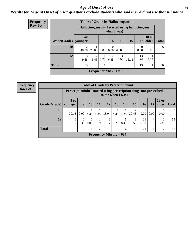#### Age at Onset of Use **30**

### *Results for "Age at Onset of Use" questions exclude students who said they did not use that substance*

| <b>Frequency</b> |                          |                           |                                                                 |                  |                  | <b>Table of Grade by Hallucinogensinit</b> |                  |                      |                       |              |  |
|------------------|--------------------------|---------------------------|-----------------------------------------------------------------|------------------|------------------|--------------------------------------------|------------------|----------------------|-----------------------|--------------|--|
| <b>Row Pct</b>   |                          |                           | Hallucinogensinit (I started using hallucinogens<br>when I was) |                  |                  |                                            |                  |                      |                       |              |  |
|                  | $Grade(Grade)$   younger | 8 or                      | 9                                                               | 13               | 14               | 15                                         | <b>16</b>        | 17                   | <b>18 or</b><br>older | <b>Total</b> |  |
|                  | 10                       | $\overline{2}$<br>40.00   | 20.00                                                           | $\Omega$<br>0.00 | $\Omega$<br>0.00 | $\overline{2}$<br>40.00                    | $\Omega$<br>0.00 | $\mathbf{0}$<br>0.00 | 0<br>0.00             | 5            |  |
|                  | 12                       | 3<br>9.68                 | $\overline{2}$<br>6.45                                          | 3.23             | 6.45             | 4<br>12.90                                 | 5<br>16.13       | 13<br>41.94          | 3.23                  | 31           |  |
|                  | <b>Total</b>             | 5                         | 3                                                               |                  | $\overline{2}$   | 6                                          | 5                | 13                   |                       | 36           |  |
|                  |                          | Frequency Missing $= 730$ |                                                                 |                  |                  |                                            |                  |                      |                       |              |  |

| <b>Frequency</b> |
|------------------|
| <b>Row Pct</b>   |

| <b>Table of Grade by Prescriptioninit</b> |            |                                                                                          |                  |      |                           |           |           |            |             |                          |                       |              |
|-------------------------------------------|------------|------------------------------------------------------------------------------------------|------------------|------|---------------------------|-----------|-----------|------------|-------------|--------------------------|-----------------------|--------------|
|                                           |            | Prescription in the started using prescription drugs not prescribed<br>to me when I was) |                  |      |                           |           |           |            |             |                          |                       |              |
| Grade(Grade)   younger                    | 8 or       | 9                                                                                        | 10               | 11   | 12                        | 13        | 14        | 15         | 16          | 17                       | <b>18 or</b><br>older | <b>Total</b> |
| 10                                        | 9<br>39.13 | $\theta$<br>0.00                                                                         | 4.35             | 4.35 | 3<br>13.04                | 4.35      | 4.35      | 7<br>30.43 | $0.00\,$    | $\boldsymbol{0}$<br>0.00 | $\Omega$<br>0.00      | 23           |
| 12                                        | 6<br>10.17 | 2<br>3.39                                                                                | $\Omega$<br>0.00 | 1.69 | 6<br>10.17                | 4<br>6.78 | 5<br>8.47 | 8<br>13.56 | 21<br>35.59 | 4<br>6.78                | 3.39                  | 59           |
| <b>Total</b>                              | 15         | $\overline{c}$                                                                           |                  | 2    | 9                         | 5         | 6         | 15         | 21          | 4                        | 2                     | 82           |
|                                           |            |                                                                                          |                  |      | Frequency Missing $= 684$ |           |           |            |             |                          |                       |              |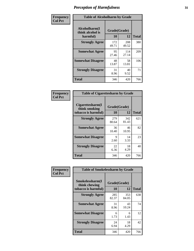| Frequency      | <b>Table of Alcoholharm by Grade</b>          |                    |              |              |  |  |  |
|----------------|-----------------------------------------------|--------------------|--------------|--------------|--|--|--|
| <b>Col Pct</b> | Alcoholharm(I<br>think alcohol is<br>harmful) | Grade(Grade)<br>10 | 12           | <b>Total</b> |  |  |  |
|                | <b>Strongly Agree</b>                         | 172<br>49.71       | 208<br>49.52 | 380          |  |  |  |
|                | <b>Somewhat Agree</b>                         | 95<br>27.46        | 114<br>27.14 | 209          |  |  |  |
|                | <b>Somewhat Disagree</b>                      | 48<br>13.87        | 58<br>13.81  | 106          |  |  |  |
|                | <b>Strongly Disagree</b>                      | 31<br>8.96         | 40<br>9.52   | 71           |  |  |  |
|                | <b>Total</b>                                  | 346                | 420          | 766          |  |  |  |

| <b>Table of Cigarettesharm by Grade</b>                  |                    |              |              |  |  |  |  |  |
|----------------------------------------------------------|--------------------|--------------|--------------|--|--|--|--|--|
| Cigarettesharm(I<br>think smoking<br>tobacco is harmful) | Grade(Grade)<br>10 | 12           | <b>Total</b> |  |  |  |  |  |
| <b>Strongly Agree</b>                                    | 279<br>80.64       | 342<br>81.43 | 621          |  |  |  |  |  |
| <b>Somewhat Agree</b>                                    | 36<br>10.40        | 46<br>10.95  | 82           |  |  |  |  |  |
| <b>Somewhat Disagree</b>                                 | 9<br>2.60          | 14<br>3.33   | 23           |  |  |  |  |  |
| <b>Strongly Disagree</b>                                 | 22<br>6.36         | 18<br>4.29   | 40           |  |  |  |  |  |
| <b>Total</b>                                             | 346                | 420          | 766          |  |  |  |  |  |

| Frequency      | <b>Table of Smokelessharm by Grade</b>                  |                    |              |     |  |  |  |  |
|----------------|---------------------------------------------------------|--------------------|--------------|-----|--|--|--|--|
| <b>Col Pct</b> | Smokelessharm(I<br>think chewing<br>tobacco is harmful) | Grade(Grade)<br>10 | <b>Total</b> |     |  |  |  |  |
|                | <b>Strongly Agree</b>                                   | 285<br>82.37       | 353<br>84.05 | 638 |  |  |  |  |
|                | <b>Somewhat Agree</b>                                   | 31<br>8.96         | 43<br>10.24  | 74  |  |  |  |  |
|                | <b>Somewhat Disagree</b>                                | 6<br>1.73          | 6<br>1.43    | 12  |  |  |  |  |
|                | <b>Strongly Disagree</b>                                | 24<br>6.94         | 18<br>4.29   | 42  |  |  |  |  |
|                | <b>Total</b>                                            | 346                | 420          | 766 |  |  |  |  |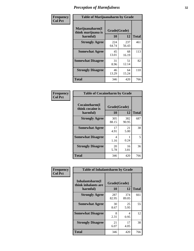| Frequency      | <b>Table of Marijuanaharm by Grade</b>            |                    |              |              |  |  |  |
|----------------|---------------------------------------------------|--------------------|--------------|--------------|--|--|--|
| <b>Col Pct</b> | Marijuanaharm(I<br>think marijuana is<br>harmful) | Grade(Grade)<br>10 | 12           | <b>Total</b> |  |  |  |
|                | <b>Strongly Agree</b>                             | 224<br>64.74       | 237<br>56.43 | 461          |  |  |  |
|                | <b>Somewhat Agree</b>                             | 45<br>13.01        | 68<br>16.19  | 113          |  |  |  |
|                | <b>Somewhat Disagree</b>                          | 31<br>8.96         | 51<br>12.14  | 82           |  |  |  |
|                | <b>Strongly Disagree</b>                          | 46<br>13.29        | 64<br>15.24  | 110          |  |  |  |
|                | <b>Total</b>                                      | 346                | 420          | 766          |  |  |  |

| <b>Table of Cocaineharm by Grade</b>          |                    |              |              |  |  |  |  |  |  |
|-----------------------------------------------|--------------------|--------------|--------------|--|--|--|--|--|--|
| Cocaineharm(I<br>think cocaine is<br>harmful) | Grade(Grade)<br>10 | 12           | <b>Total</b> |  |  |  |  |  |  |
| <b>Strongly Agree</b>                         | 305<br>88.15       | 382<br>90.95 | 687          |  |  |  |  |  |  |
| <b>Somewhat Agree</b>                         | 17<br>4.91         | 21<br>5.00   | 38           |  |  |  |  |  |  |
| <b>Somewhat Disagree</b>                      | 4<br>1.16          | 0.24         | 5            |  |  |  |  |  |  |
| <b>Strongly Disagree</b>                      | 20<br>5.78         | 16<br>3.81   | 36           |  |  |  |  |  |  |
| <b>Total</b>                                  | 346                | 420          | 766          |  |  |  |  |  |  |

| Frequency      | <b>Table of Inhalantsharm by Grade</b>             |                    |              |              |
|----------------|----------------------------------------------------|--------------------|--------------|--------------|
| <b>Col Pct</b> | Inhalantsharm(I<br>think inhalants are<br>harmful) | Grade(Grade)<br>10 | 12           | <b>Total</b> |
|                | <b>Strongly Agree</b>                              | 287<br>82.95       | 374<br>89.05 | 661          |
|                | <b>Somewhat Agree</b>                              | 30<br>8.67         | 25<br>5.95   | 55           |
|                | <b>Somewhat Disagree</b>                           | 8<br>2.31          | 4<br>0.95    | 12           |
|                | <b>Strongly Disagree</b>                           | 21<br>6.07         | 17<br>4.05   | 38           |
|                | <b>Total</b>                                       | 346                | 420          | 766          |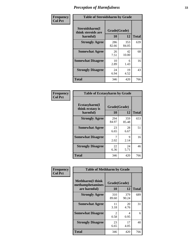| Frequency      | <b>Table of Steroidsharm by Grade</b>            |                    |              |              |
|----------------|--------------------------------------------------|--------------------|--------------|--------------|
| <b>Col Pct</b> | Steroidsharm(I<br>think steroids are<br>harmful) | Grade(Grade)<br>10 | 12           | <b>Total</b> |
|                | <b>Strongly Agree</b>                            | 286<br>82.66       | 353<br>84.05 | 639          |
|                | <b>Somewhat Agree</b>                            | 26<br>7.51         | 42<br>10.00  | 68           |
|                | <b>Somewhat Disagree</b>                         | 10<br>2.89         | 6<br>1.43    | 16           |
|                | <b>Strongly Disagree</b>                         | 24<br>6.94         | 19<br>4.52   | 43           |
|                | <b>Total</b>                                     | 346                | 420          | 766          |

| <b>Table of Ecstasyharm by Grade</b>          |                    |              |     |  |  |
|-----------------------------------------------|--------------------|--------------|-----|--|--|
| Ecstasyharm(I<br>think ecstasy is<br>harmful) | Grade(Grade)<br>10 | <b>Total</b> |     |  |  |
| <b>Strongly Agree</b>                         | 294<br>84.97       | 359<br>85.48 | 653 |  |  |
| <b>Somewhat Agree</b>                         | 23<br>6.65         | 28<br>6.67   | 51  |  |  |
| <b>Somewhat Disagree</b>                      | 7<br>2.02          | 9<br>2.14    | 16  |  |  |
| <b>Strongly Disagree</b>                      | 22<br>6.36         | 24<br>5.71   | 46  |  |  |
| Total                                         | 346                | 420          | 766 |  |  |

| Frequency      | <b>Table of Methharm by Grade</b>                            |                    |              |              |
|----------------|--------------------------------------------------------------|--------------------|--------------|--------------|
| <b>Col Pct</b> | <b>Methharm</b> (I think<br>methamphetamines<br>are harmful) | Grade(Grade)<br>10 | 12           | <b>Total</b> |
|                | <b>Strongly Agree</b>                                        | 310<br>89.60       | 379<br>90.24 | 689          |
|                | <b>Somewhat Agree</b>                                        | 11<br>3.18         | 20<br>4.76   | 31           |
|                | <b>Somewhat Disagree</b>                                     | 2<br>0.58          | 4<br>0.95    | 6            |
|                | <b>Strongly Disagree</b>                                     | 23<br>6.65         | 17<br>4.05   | 40           |
|                | <b>Total</b>                                                 | 346                | 420          | 766          |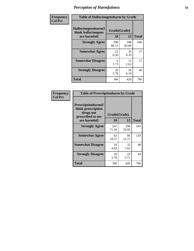| Frequency      | <b>Table of Hallucinogensharm by Grade</b>                 |                    |              |              |
|----------------|------------------------------------------------------------|--------------------|--------------|--------------|
| <b>Col Pct</b> | Hallucinogensharm(I<br>think hallucinogens<br>are harmful) | Grade(Grade)<br>10 | 12           | <b>Total</b> |
|                | <b>Strongly Agree</b>                                      | 298<br>86.13       | 348<br>82.86 | 646          |
|                | <b>Somewhat Agree</b>                                      | 22<br>6.36         | 35<br>8.33   | 57           |
|                | <b>Somewhat Disagree</b>                                   | 6<br>1.73          | 11<br>2.62   | 17           |
|                | <b>Strongly Disagree</b>                                   | 20<br>5.78         | 26<br>6.19   | 46           |
|                | <b>Total</b>                                               | 346                | 420          | 766          |

| <b>Table of Prescriptionharm by Grade</b>                                         |              |              |              |  |  |
|-----------------------------------------------------------------------------------|--------------|--------------|--------------|--|--|
| <b>Prescriptionharm</b> (I<br>think prescription<br>drugs not<br>prescribed to me | Grade(Grade) |              |              |  |  |
| are harmful)                                                                      | 10           | 12           | <b>Total</b> |  |  |
| <b>Strongly Agree</b>                                                             | 247<br>71.39 | 298<br>70.95 | 545          |  |  |
| <b>Somewhat Agree</b>                                                             | 63<br>18.21  | 66<br>15.71  | 129          |  |  |
| <b>Somewhat Disagree</b>                                                          | 16<br>4.62   | 32<br>7.62   | 48           |  |  |
| <b>Strongly Disagree</b>                                                          | 20<br>5.78   | 24<br>5.71   | 44           |  |  |
| <b>Total</b>                                                                      | 346          | 420          | 766          |  |  |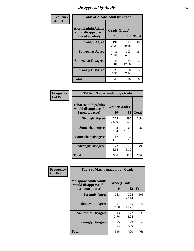# *Disapproval by Adults* **35**

| Frequency      | <b>Table of Alcoholadult by Grade</b>                                 |                    |              |              |
|----------------|-----------------------------------------------------------------------|--------------------|--------------|--------------|
| <b>Col Pct</b> | <b>Alcoholadult</b> (Adults<br>would disapprove if<br>I used alcohol) | Grade(Grade)<br>10 | 12           | <b>Total</b> |
|                | <b>Strongly Agree</b>                                                 | 191<br>55.20       | 212<br>50.48 | 403          |
|                | <b>Somewhat Agree</b>                                                 | 81<br>23.41        | 103<br>24.52 | 184          |
|                | <b>Somewhat Disagree</b>                                              | 45<br>13.01        | 75<br>17.86  | 120          |
|                | <b>Strongly Disagree</b>                                              | 29<br>8.38         | 30<br>7.14   | 59           |
|                | <b>Total</b>                                                          | 346                | 420          | 766          |

| <b>Table of Tobaccoadult by Grade</b>                                 |                    |              |              |  |  |
|-----------------------------------------------------------------------|--------------------|--------------|--------------|--|--|
| <b>Tobaccoadult</b> (Adults<br>would disapprove if<br>I used tobacco) | Grade(Grade)<br>10 | 12           | <b>Total</b> |  |  |
| <b>Strongly Agree</b>                                                 | 273<br>78.90       | 295<br>70.24 | 568          |  |  |
| <b>Somewhat Agree</b>                                                 | 33<br>9.54         | 65<br>15.48  | 98           |  |  |
| <b>Somewhat Disagree</b>                                              | 17<br>4.91         | 34<br>8.10   | 51           |  |  |
| <b>Strongly Disagree</b>                                              | 23<br>6.65         | 26<br>6.19   | 49           |  |  |
| <b>Total</b>                                                          | 346                | 420          | 766          |  |  |

| Frequency      | <b>Table of Marijuanaadult by Grade</b>        |              |              |              |
|----------------|------------------------------------------------|--------------|--------------|--------------|
| <b>Col Pct</b> | Marijuanaadult(Adults<br>would disapprove if I | Grade(Grade) |              |              |
|                | used marijuana)                                | 10           | 12           | <b>Total</b> |
|                | <b>Strongly Agree</b>                          | 281<br>81.21 | 324<br>77.14 | 605          |
|                | <b>Somewhat Agree</b>                          | 27<br>7.80   | 45<br>10.71  | 72           |
|                | <b>Somewhat Disagree</b>                       | 13<br>3.76   | 22<br>5.24   | 35           |
|                | <b>Strongly Disagree</b>                       | 25<br>7.23   | 29<br>6.90   | 54           |
|                | <b>Total</b>                                   | 346          | 420          | 766          |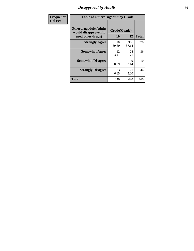# *Disapproval by Adults* **36**

| Frequency      | <b>Table of Otherdrugadult by Grade</b>                                     |                    |              |              |
|----------------|-----------------------------------------------------------------------------|--------------------|--------------|--------------|
| <b>Col Pct</b> | <b>Otherdrugadult</b> (Adults<br>would disapprove if I<br>used other drugs) | Grade(Grade)<br>10 | 12           | <b>Total</b> |
|                | <b>Strongly Agree</b>                                                       | 310<br>89.60       | 366<br>87.14 | 676          |
|                | <b>Somewhat Agree</b>                                                       | 12<br>3.47         | 24<br>5.71   | 36           |
|                | <b>Somewhat Disagree</b>                                                    | 0.29               | 9<br>2.14    | 10           |
|                | <b>Strongly Disagree</b>                                                    | 23<br>6.65         | 21<br>5.00   | 44           |
|                | <b>Total</b>                                                                | 346                | 420          | 766          |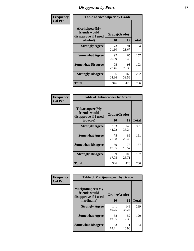# *Disapproval by Peers* **37**

| Frequency      | <b>Table of Alcoholpeer by Grade</b>                    |              |              |              |  |
|----------------|---------------------------------------------------------|--------------|--------------|--------------|--|
| <b>Col Pct</b> | Alcoholpeer(My<br>friends would<br>disapprove if I used | Grade(Grade) |              |              |  |
|                | alcohol)                                                | 10           | 12           | <b>Total</b> |  |
|                | <b>Strongly Agree</b>                                   | 73<br>21.10  | 91<br>21.67  | 164          |  |
|                | <b>Somewhat Agree</b>                                   | 92<br>26.59  | 65<br>15.48  | 157          |  |
|                | <b>Somewhat Disagree</b>                                | 95<br>27.46  | 98<br>23.33  | 193          |  |
|                | <b>Strongly Disagree</b>                                | 86<br>24.86  | 166<br>39.52 | 252          |  |
|                | Total                                                   | 346          | 420          | 766          |  |

| Frequency      | <b>Table of Tobaccopeer by Grade</b>                                |                    |              |              |
|----------------|---------------------------------------------------------------------|--------------------|--------------|--------------|
| <b>Col Pct</b> | Tobaccopeer(My<br>friends would<br>disapprove if I used<br>tobacco) | Grade(Grade)<br>10 | 12           | <b>Total</b> |
|                | <b>Strongly Agree</b>                                               | 153<br>44.22       | 148<br>35.24 | 301          |
|                | <b>Somewhat Agree</b>                                               | 75<br>21.68        | 86<br>20.48  | 161          |
|                | <b>Somewhat Disagree</b>                                            | 59<br>17.05        | 78<br>18.57  | 137          |
|                | <b>Strongly Disagree</b>                                            | 59<br>17.05        | 108<br>25.71 | 167          |
|                | Total                                                               | 346                | 420          | 766          |

| Frequency      | <b>Table of Marijuanapeer by Grade</b>                    |              |              |              |
|----------------|-----------------------------------------------------------|--------------|--------------|--------------|
| <b>Col Pct</b> | Marijuanapeer(My<br>friends would<br>disapprove if I used | Grade(Grade) |              |              |
|                | marijuana)                                                | 10           | 12           | <b>Total</b> |
|                | <b>Strongly Agree</b>                                     | 141<br>40.75 | 148<br>35.24 | 289          |
|                | <b>Somewhat Agree</b>                                     | 68<br>19.65  | 52<br>12.38  | 120          |
|                | <b>Somewhat Disagree</b>                                  | 63<br>18.21  | 71<br>16.90  | 134          |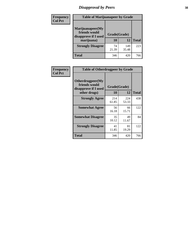# *Disapproval by Peers* **38**

| <b>Frequency</b> | <b>Table of Marijuanapeer by Grade</b>                    |              |              |              |
|------------------|-----------------------------------------------------------|--------------|--------------|--------------|
| <b>Col Pct</b>   | Marijuanapeer(My<br>friends would<br>disapprove if I used | Grade(Grade) |              |              |
|                  | marijuana)                                                | <b>10</b>    | 12           | <b>Total</b> |
|                  | <b>Strongly Disagree</b>                                  | 74<br>21.39  | 149<br>35.48 | 223          |
|                  | <b>Total</b>                                              | 346          | 420          | 766          |

| <b>Frequency</b> | <b>Table of Otherdrugpeer by Grade</b>                                    |                           |              |              |
|------------------|---------------------------------------------------------------------------|---------------------------|--------------|--------------|
| <b>Col Pct</b>   | Otherdrugpeer(My<br>friends would<br>disapprove if I used<br>other drugs) | Grade(Grade)<br><b>10</b> | 12           | <b>Total</b> |
|                  |                                                                           |                           |              |              |
|                  | <b>Strongly Agree</b>                                                     | 214<br>61.85              | 224<br>53.33 | 438          |
|                  | <b>Somewhat Agree</b>                                                     | 56<br>16.18               | 66<br>15.71  | 122          |
|                  | <b>Somewhat Disagree</b>                                                  | 35<br>10.12               | 49<br>11.67  | 84           |
|                  | <b>Strongly Disagree</b>                                                  | 41<br>11.85               | 81<br>19.29  | 122          |
|                  | <b>Total</b>                                                              | 346                       | 420          | 766          |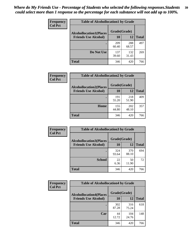| Frequency<br><b>Col Pct</b> | <b>Table of Alcohollocation1 by Grade</b> |              |              |              |
|-----------------------------|-------------------------------------------|--------------|--------------|--------------|
|                             | <b>Alcohollocation1(Places</b>            | Grade(Grade) |              |              |
|                             | <b>Friends Use Alcohol)</b>               | 10           | 12           | <b>Total</b> |
|                             |                                           | 209<br>60.40 | 288<br>68.57 | 497          |
|                             | Do Not Use                                | 137<br>39.60 | 132<br>31.43 | 269          |
|                             | <b>Total</b>                              | 346          | 420          | 766          |

| <b>Frequency</b> | <b>Table of Alcohollocation2 by Grade</b> |              |              |              |
|------------------|-------------------------------------------|--------------|--------------|--------------|
| <b>Col Pct</b>   | <b>Alcohollocation2(Places</b>            | Grade(Grade) |              |              |
|                  | <b>Friends Use Alcohol)</b>               | 10           | 12           | <b>Total</b> |
|                  |                                           | 191<br>55.20 | 218<br>51.90 | 409          |
|                  | Home                                      | 155<br>44.80 | 202<br>48.10 | 357          |
|                  | <b>Total</b>                              | 346          | 420          | 766          |

| Frequency<br><b>Col Pct</b> | <b>Table of Alcohollocation 3 by Grade</b> |              |              |              |
|-----------------------------|--------------------------------------------|--------------|--------------|--------------|
|                             | <b>Alcohollocation3(Places</b>             | Grade(Grade) |              |              |
|                             | <b>Friends Use Alcohol)</b>                | 10           | 12           | <b>Total</b> |
|                             |                                            | 324<br>93.64 | 370<br>88.10 | 694          |
|                             | <b>School</b>                              | 22<br>6.36   | 50<br>11.90  | 72           |
|                             | <b>Total</b>                               | 346          | 420          | 766          |

| <b>Frequency</b> | <b>Table of Alcohollocation4 by Grade</b> |              |              |              |  |
|------------------|-------------------------------------------|--------------|--------------|--------------|--|
| <b>Col Pct</b>   | <b>Alcohollocation4(Places</b>            | Grade(Grade) |              |              |  |
|                  | <b>Friends Use Alcohol)</b>               | 10           | 12           | <b>Total</b> |  |
|                  |                                           | 302<br>87.28 | 316<br>75.24 | 618          |  |
|                  | Car                                       | 44<br>12.72  | 104<br>24.76 | 148          |  |
|                  | <b>Total</b>                              | 346          | 420          | 766          |  |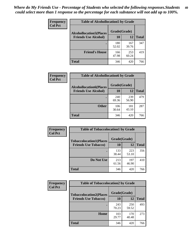| Frequency<br><b>Col Pct</b> | <b>Table of Alcohollocation5 by Grade</b> |              |              |              |  |
|-----------------------------|-------------------------------------------|--------------|--------------|--------------|--|
|                             | <b>Alcohollocation5(Places</b>            | Grade(Grade) |              |              |  |
|                             | <b>Friends Use Alcohol)</b>               | 10           | 12           | <b>Total</b> |  |
|                             |                                           | 180<br>52.02 | 167<br>39.76 | 347          |  |
|                             | <b>Friend's House</b>                     | 166<br>47.98 | 253<br>60.24 | 419          |  |
|                             | <b>Total</b>                              | 346          | 420          | 766          |  |

| <b>Frequency</b> | <b>Table of Alcohollocation6 by Grade</b>                     |                           |              |              |
|------------------|---------------------------------------------------------------|---------------------------|--------------|--------------|
| <b>Col Pct</b>   | <b>Alcohollocation6(Places</b><br><b>Friends Use Alcohol)</b> | Grade(Grade)<br><b>10</b> | 12           | <b>Total</b> |
|                  |                                                               | 240<br>69.36              | 239<br>56.90 | 479          |
|                  | <b>Other</b>                                                  | 106<br>30.64              | 181<br>43.10 | 287          |
|                  | <b>Total</b>                                                  | 346                       | 420          | 766          |

| <b>Frequency</b> | <b>Table of Tobaccolocation1 by Grade</b> |              |              |              |
|------------------|-------------------------------------------|--------------|--------------|--------------|
| <b>Col Pct</b>   | <b>Tobaccolocation1(Places</b>            | Grade(Grade) |              |              |
|                  | <b>Friends Use Tobacco)</b>               | 10           | 12           | <b>Total</b> |
|                  |                                           | 133<br>38.44 | 223<br>53.10 | 356          |
|                  | Do Not Use                                | 213<br>61.56 | 197<br>46.90 | 410          |
|                  | <b>Total</b>                              | 346          | 420          | 766          |

| <b>Frequency</b> | <b>Table of Tobaccolocation2 by Grade</b> |              |              |              |  |
|------------------|-------------------------------------------|--------------|--------------|--------------|--|
| <b>Col Pct</b>   | <b>Tobaccolocation2(Places</b>            | Grade(Grade) |              |              |  |
|                  | <b>Friends Use Tobacco)</b>               | 10           | 12           | <b>Total</b> |  |
|                  |                                           | 243<br>70.23 | 250<br>59.52 | 493          |  |
|                  | Home                                      | 103<br>29.77 | 170<br>40.48 | 273          |  |
|                  | <b>Total</b>                              | 346          | 420          | 766          |  |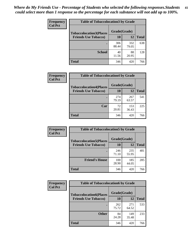| Frequency      | <b>Table of Tobaccolocation3 by Grade</b> |              |              |              |  |
|----------------|-------------------------------------------|--------------|--------------|--------------|--|
| <b>Col Pct</b> | <b>Tobaccolocation3(Places</b>            | Grade(Grade) |              |              |  |
|                | <b>Friends Use Tobacco)</b>               | 10           | 12           | <b>Total</b> |  |
|                |                                           | 306<br>88.44 | 332<br>79.05 | 638          |  |
|                | <b>School</b>                             | 40<br>11.56  | 88<br>20.95  | 128          |  |
|                | <b>Total</b>                              | 346          | 420          | 766          |  |

| Frequency      | <b>Table of Tobaccolocation4 by Grade</b> |              |              |              |
|----------------|-------------------------------------------|--------------|--------------|--------------|
| <b>Col Pct</b> | <b>Tobaccolocation4(Places</b>            | Grade(Grade) |              |              |
|                | <b>Friends Use Tobacco)</b>               | 10           | <b>12</b>    | <b>Total</b> |
|                |                                           | 274<br>79.19 | 267<br>63.57 | 541          |
|                | Car                                       | 72<br>20.81  | 153<br>36.43 | 225          |
|                | <b>Total</b>                              | 346          | 420          | 766          |

| Frequency      | <b>Table of Tobaccolocation5 by Grade</b>                     |                    |              |              |
|----------------|---------------------------------------------------------------|--------------------|--------------|--------------|
| <b>Col Pct</b> | <b>Tobaccolocation5(Places</b><br><b>Friends Use Tobacco)</b> | Grade(Grade)<br>10 | 12           | <b>Total</b> |
|                |                                                               | 246<br>71.10       | 235<br>55.95 | 481          |
|                | <b>Friend's House</b>                                         | 100<br>28.90       | 185<br>44.05 | 285          |
|                | <b>Total</b>                                                  | 346                | 420          | 766          |

| Frequency      | <b>Table of Tobaccolocation6 by Grade</b> |              |              |              |  |  |
|----------------|-------------------------------------------|--------------|--------------|--------------|--|--|
| <b>Col Pct</b> | <b>Tobaccolocation6(Places</b>            | Grade(Grade) |              |              |  |  |
|                | <b>Friends Use Tobacco)</b>               | 10           | 12           | <b>Total</b> |  |  |
|                |                                           | 262<br>75.72 | 271<br>64.52 | 533          |  |  |
|                | <b>Other</b>                              | 84<br>24.28  | 149<br>35.48 | 233          |  |  |
|                | <b>Total</b>                              | 346          | 420          | 766          |  |  |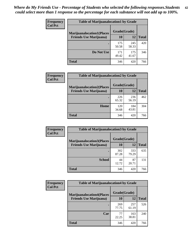| <b>Frequency</b> | <b>Table of Marijuanalocation1 by Grade</b> |              |              |              |
|------------------|---------------------------------------------|--------------|--------------|--------------|
| <b>Col Pct</b>   | <b>Marijuanalocation1(Places</b>            | Grade(Grade) |              |              |
|                  | <b>Friends Use Marijuana</b> )              | <b>10</b>    | 12           | <b>Total</b> |
|                  |                                             | 175<br>50.58 | 245<br>58.33 | 420          |
|                  | Do Not Use                                  | 171<br>49.42 | 175<br>41.67 | 346          |
|                  | <b>Total</b>                                | 346          | 420          | 766          |

| Frequency      | <b>Table of Marijuanalocation2 by Grade</b>                        |                    |              |              |
|----------------|--------------------------------------------------------------------|--------------------|--------------|--------------|
| <b>Col Pct</b> | <b>Marijuanalocation2(Places</b><br><b>Friends Use Marijuana</b> ) | Grade(Grade)<br>10 | 12           | <b>Total</b> |
|                |                                                                    | 226<br>65.32       | 236<br>56.19 | 462          |
|                | Home                                                               | 120<br>34.68       | 184<br>43.81 | 304          |
|                | <b>Total</b>                                                       | 346                | 420          | 766          |

| <b>Frequency</b><br><b>Col Pct</b> | <b>Table of Marijuanalocation3 by Grade</b> |              |              |              |
|------------------------------------|---------------------------------------------|--------------|--------------|--------------|
|                                    | <b>Marijuanalocation3(Places</b>            | Grade(Grade) |              |              |
|                                    | <b>Friends Use Marijuana</b> )              | <b>10</b>    | 12           | <b>Total</b> |
|                                    |                                             | 302<br>87.28 | 333<br>79.29 | 635          |
|                                    | <b>School</b>                               | 44<br>12.72  | 87<br>20.71  | 131          |
|                                    | <b>Total</b>                                | 346          | 420          | 766          |

| <b>Frequency</b> | <b>Table of Marijuanalocation4 by Grade</b> |              |              |              |  |
|------------------|---------------------------------------------|--------------|--------------|--------------|--|
| <b>Col Pct</b>   | <b>Marijuanalocation4(Places</b>            | Grade(Grade) |              |              |  |
|                  | <b>Friends Use Marijuana</b> )              | <b>10</b>    | 12           | <b>Total</b> |  |
|                  |                                             | 269<br>77.75 | 257<br>61.19 | 526          |  |
|                  | Car                                         | 77<br>22.25  | 163<br>38.81 | 240          |  |
|                  | <b>Total</b>                                | 346          | 420          | 766          |  |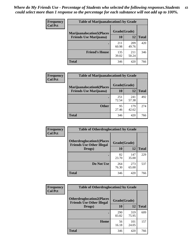| <b>Frequency</b> | <b>Table of Marijuanalocation5 by Grade</b> |              |              |              |
|------------------|---------------------------------------------|--------------|--------------|--------------|
| <b>Col Pct</b>   | <b>Marijuanalocation5</b> (Places           | Grade(Grade) |              |              |
|                  | <b>Friends Use Marijuana</b> )              | 10           | 12           | <b>Total</b> |
|                  |                                             | 211<br>60.98 | 209<br>49.76 | 420          |
|                  | <b>Friend's House</b>                       | 135<br>39.02 | 211<br>50.24 | 346          |
|                  | <b>Total</b>                                | 346          | 420          | 766          |

| <b>Frequency</b> | <b>Table of Marijuanalocation6 by Grade</b>                        |                    |              |              |
|------------------|--------------------------------------------------------------------|--------------------|--------------|--------------|
| <b>Col Pct</b>   | <b>Marijuanalocation6(Places</b><br><b>Friends Use Marijuana</b> ) | Grade(Grade)<br>10 | 12           | <b>Total</b> |
|                  |                                                                    | 251<br>72.54       | 241<br>57.38 | 492          |
|                  | <b>Other</b>                                                       | 95<br>27.46        | 179<br>42.62 | 274          |
|                  | <b>Total</b>                                                       | 346                | 420          | 766          |

| <b>Frequency</b> | <b>Table of Otherdruglocation1 by Grade</b>                          |              |              |              |
|------------------|----------------------------------------------------------------------|--------------|--------------|--------------|
| <b>Col Pct</b>   | <b>Otherdruglocation1(Places</b><br><b>Friends Use Other Illegal</b> | Grade(Grade) |              |              |
|                  | Drugs)                                                               | 10           | 12           | <b>Total</b> |
|                  |                                                                      | 82<br>23.70  | 147<br>35.00 | 229          |
|                  | Do Not Use                                                           | 264<br>76.30 | 273<br>65.00 | 537          |
|                  | <b>Total</b>                                                         | 346          | 420          | 766          |

| <b>Frequency</b> | <b>Table of Otherdruglocation2 by Grade</b>                           |              |              |              |
|------------------|-----------------------------------------------------------------------|--------------|--------------|--------------|
| <b>Col Pct</b>   | <b>Otherdruglocation2(Places)</b><br><b>Friends Use Other Illegal</b> | Grade(Grade) |              |              |
|                  | Drugs)                                                                | 10           | 12           | <b>Total</b> |
|                  |                                                                       | 290<br>83.82 | 319<br>75.95 | 609          |
|                  | <b>Home</b>                                                           | 56<br>16.18  | 101<br>24.05 | 157          |
|                  | <b>Total</b>                                                          | 346          | 420          | 766          |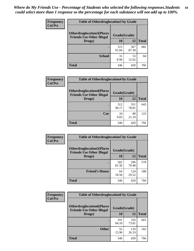| <b>Frequency</b> | <b>Table of Otherdruglocation3 by Grade</b>                          |              |              |              |  |
|------------------|----------------------------------------------------------------------|--------------|--------------|--------------|--|
| <b>Col Pct</b>   | <b>Otherdruglocation3(Places</b><br><b>Friends Use Other Illegal</b> | Grade(Grade) |              |              |  |
|                  | Drugs)                                                               | 10           | 12           | <b>Total</b> |  |
|                  |                                                                      | 315<br>91.04 | 367<br>87.38 | 682          |  |
|                  | <b>School</b>                                                        | 31<br>8.96   | 53<br>12.62  | 84           |  |
|                  | <b>Total</b>                                                         | 346          | 420          | 766          |  |

| <b>Frequency</b> | <b>Table of Otherdruglocation4 by Grade</b>                          |              |              |              |
|------------------|----------------------------------------------------------------------|--------------|--------------|--------------|
| <b>Col Pct</b>   | <b>Otherdruglocation4(Places</b><br><b>Friends Use Other Illegal</b> | Grade(Grade) |              |              |
|                  | Drugs)                                                               | 10           | 12           | <b>Total</b> |
|                  |                                                                      | 312<br>90.17 | 331<br>78.81 | 643          |
|                  | Car                                                                  | 34<br>9.83   | 89<br>21.19  | 123          |
|                  | <b>Total</b>                                                         | 346          | 420          | 766          |

| <b>Frequency</b><br><b>Col Pct</b> | <b>Table of Otherdruglocation5 by Grade</b>                          |              |              |              |
|------------------------------------|----------------------------------------------------------------------|--------------|--------------|--------------|
|                                    | <b>Otherdruglocation5(Places</b><br><b>Friends Use Other Illegal</b> | Grade(Grade) |              |              |
|                                    | Drugs)                                                               | 10           | 12           | <b>Total</b> |
|                                    |                                                                      | 282<br>81.50 | 296<br>70.48 | 578          |
|                                    | <b>Friend's House</b>                                                | 64<br>18.50  | 124<br>29.52 | 188          |
|                                    | <b>Total</b>                                                         | 346          | 420          | 766          |

| <b>Frequency</b> | <b>Table of Otherdruglocation6 by Grade</b>                          |              |              |              |
|------------------|----------------------------------------------------------------------|--------------|--------------|--------------|
| <b>Col Pct</b>   | <b>Otherdruglocation6(Places</b><br><b>Friends Use Other Illegal</b> | Grade(Grade) |              |              |
|                  | Drugs)                                                               | 10           | 12           | <b>Total</b> |
|                  |                                                                      | 291<br>84.10 | 310<br>73.81 | 601          |
|                  | <b>Other</b>                                                         | 55<br>15.90  | 110<br>26.19 | 165          |
|                  | <b>Total</b>                                                         | 346          | 420          | 766          |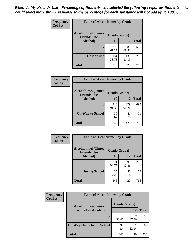| Frequency      | <b>Table of Alcoholtime1 by Grade</b>           |              |              |              |
|----------------|-------------------------------------------------|--------------|--------------|--------------|
| <b>Col Pct</b> | <b>Alcoholtime1(Times</b><br><b>Friends Use</b> | Grade(Grade) |              |              |
|                | Alcohol)                                        | 10           | 12           | <b>Total</b> |
|                |                                                 | 212<br>61.27 | 289<br>68.81 | 501          |
|                | Do Not Use                                      | 134<br>38.73 | 131<br>31.19 | 265          |
|                | <b>Total</b>                                    | 346          | 420          | 766          |

| Frequency<br><b>Col Pct</b> | <b>Table of Alcoholtime2 by Grade</b>           |              |              |              |
|-----------------------------|-------------------------------------------------|--------------|--------------|--------------|
|                             | <b>Alcoholtime2(Times</b><br><b>Friends Use</b> | Grade(Grade) |              |              |
|                             | Alcohol)                                        | 10           | 12           | <b>Total</b> |
|                             |                                                 | 316<br>91.33 | 379<br>90.24 | 695          |
|                             | <b>On Way to School</b>                         | 30<br>8.67   | 41<br>9.76   | 71           |
|                             | <b>Total</b>                                    | 346          | 420          | 766          |

| Frequency      | <b>Table of Alcoholtime3 by Grade</b>                           |              |              |              |
|----------------|-----------------------------------------------------------------|--------------|--------------|--------------|
| <b>Col Pct</b> | <b>Alcoholtime3(Times</b><br>Grade(Grade)<br><b>Friends Use</b> |              |              |              |
|                | <b>Alcohol</b> )                                                | 10           | 12           | <b>Total</b> |
|                |                                                                 | 321<br>92.77 | 390<br>92.86 | 711          |
|                | <b>During School</b>                                            | 25<br>7.23   | 30<br>7.14   | 55           |
|                | Total                                                           | 346          | 420          | 766          |

| <b>Frequency</b> | <b>Table of Alcoholtime4 by Grade</b> |              |              |              |
|------------------|---------------------------------------|--------------|--------------|--------------|
| <b>Col Pct</b>   | <b>Alcoholtime4(Times</b>             | Grade(Grade) |              |              |
|                  | <b>Friends Use Alcohol)</b>           | 10           | 12           | <b>Total</b> |
|                  | ٠                                     | 313<br>90.46 | 369<br>87.86 | 682          |
|                  | <b>On Way Home From School</b>        | 33<br>9.54   | 51<br>12.14  | 84           |
|                  | <b>Total</b>                          | 346          | 420          | 766          |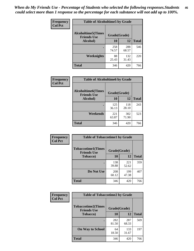*When do My Friends Use - Percentage of Students who selected the following responses.Students could select more than 1 response so the percentage for each substance will not add up to 100%.* **46**

| Frequency      | <b>Table of Alcoholtime5 by Grade</b>           |              |              |              |
|----------------|-------------------------------------------------|--------------|--------------|--------------|
| <b>Col Pct</b> | <b>Alcoholtime5(Times</b><br><b>Friends Use</b> | Grade(Grade) |              |              |
|                | Alcohol)                                        | 10           | 12           | <b>Total</b> |
|                |                                                 | 258<br>74.57 | 288<br>68.57 | 546          |
|                | Weeknights                                      | 88<br>25.43  | 132<br>31.43 | 220          |
|                | <b>Total</b>                                    | 346          | 420          | 766          |

| <b>Frequency</b> | <b>Table of Alcoholtime6 by Grade</b>           |              |              |              |
|------------------|-------------------------------------------------|--------------|--------------|--------------|
| <b>Col Pct</b>   | <b>Alcoholtime6(Times</b><br><b>Friends Use</b> |              | Grade(Grade) |              |
|                  | Alcohol)                                        | 10           | 12           | <b>Total</b> |
|                  |                                                 | 125<br>36.13 | 118<br>28.10 | 243          |
|                  | Weekends                                        | 221<br>63.87 | 302<br>71.90 | 523          |
|                  | <b>Total</b>                                    | 346          | 420          | 766          |

| Frequency      | <b>Table of Tobaccotime1 by Grade</b>                           |              |              |              |
|----------------|-----------------------------------------------------------------|--------------|--------------|--------------|
| <b>Col Pct</b> | <b>Tobaccotime1(Times</b><br>Grade(Grade)<br><b>Friends Use</b> |              |              |              |
|                | <b>Tobacco</b> )                                                | 10           | <b>12</b>    | <b>Total</b> |
|                |                                                                 | 138<br>39.88 | 221<br>52.62 | 359          |
|                | Do Not Use                                                      | 208<br>60.12 | 199<br>47.38 | 407          |
|                | <b>Total</b>                                                    | 346          | 420          | 766          |

| <b>Frequency</b> | <b>Table of Tobaccotime2 by Grade</b>           |              |              |              |
|------------------|-------------------------------------------------|--------------|--------------|--------------|
| <b>Col Pct</b>   | <b>Tobaccotime2(Times</b><br><b>Friends Use</b> | Grade(Grade) |              |              |
|                  | <b>Tobacco</b> )                                | <b>10</b>    | 12           | <b>Total</b> |
|                  |                                                 | 282<br>81.50 | 287<br>68.33 | 569          |
|                  | <b>On Way to School</b>                         | 64<br>18.50  | 133<br>31.67 | 197          |
|                  | <b>Total</b>                                    | 346          | 420          | 766          |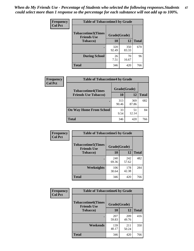*When do My Friends Use - Percentage of Students who selected the following responses.Students could select more than 1 response so the percentage for each substance will not add up to 100%.* **47**

| <b>Frequency</b> | <b>Table of Tobaccotime3 by Grade</b>           |              |              |              |  |
|------------------|-------------------------------------------------|--------------|--------------|--------------|--|
| <b>Col Pct</b>   | <b>Tobaccotime3(Times</b><br><b>Friends Use</b> | Grade(Grade) |              |              |  |
|                  | <b>Tobacco</b> )                                | 10           | 12           | <b>Total</b> |  |
|                  |                                                 | 320<br>92.49 | 350<br>83.33 | 670          |  |
|                  | <b>During School</b>                            | 26<br>7.51   | 70<br>16.67  | 96           |  |
|                  | <b>Total</b>                                    | 346          | 420          | 766          |  |

| <b>Frequency</b> | <b>Table of Tobaccotime4 by Grade</b> |              |              |              |
|------------------|---------------------------------------|--------------|--------------|--------------|
| <b>Col Pct</b>   | <b>Tobaccotime4(Times</b>             | Grade(Grade) |              |              |
|                  | <b>Friends Use Tobacco)</b>           | 10           | 12           | <b>Total</b> |
|                  |                                       | 313<br>90.46 | 369<br>87.86 | 682          |
|                  | <b>On Way Home From School</b>        | 33<br>9.54   | 51<br>12.14  | 84           |
|                  | <b>Total</b>                          | 346          | 420          | 766          |

| Frequency      | <b>Table of Tobaccotime5 by Grade</b>            |              |              |              |
|----------------|--------------------------------------------------|--------------|--------------|--------------|
| <b>Col Pct</b> | <b>Tobaccotime5</b> (Times<br><b>Friends Use</b> | Grade(Grade) |              |              |
|                | <b>Tobacco</b> )                                 | 10           | 12           | <b>Total</b> |
|                |                                                  | 240<br>69.36 | 242<br>57.62 | 482          |
|                | Weeknights                                       | 106<br>30.64 | 178<br>42.38 | 284          |
|                | <b>Total</b>                                     | 346          | 420          | 766          |

| <b>Frequency</b> | <b>Table of Tobaccotime6 by Grade</b>                           |              |              |              |  |
|------------------|-----------------------------------------------------------------|--------------|--------------|--------------|--|
| <b>Col Pct</b>   | <b>Tobaccotime6(Times</b><br>Grade(Grade)<br><b>Friends Use</b> |              |              |              |  |
|                  | <b>Tobacco</b> )                                                | 10           | <b>12</b>    | <b>Total</b> |  |
|                  |                                                                 | 207<br>59.83 | 209<br>49.76 | 416          |  |
|                  | Weekends                                                        | 139<br>40.17 | 211<br>50.24 | 350          |  |
|                  | <b>Total</b>                                                    | 346          | 420          | 766          |  |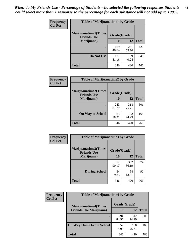| Frequency      | <b>Table of Marijuanatime1 by Grade</b>           |              |              |              |  |
|----------------|---------------------------------------------------|--------------|--------------|--------------|--|
| <b>Col Pct</b> | <b>Marijuanatime1(Times</b><br><b>Friends Use</b> | Grade(Grade) |              |              |  |
|                | Marijuana)                                        | 10           | 12           | <b>Total</b> |  |
|                |                                                   | 169<br>48.84 | 251<br>59.76 | 420          |  |
|                | Do Not Use                                        | 177<br>51.16 | 169<br>40.24 | 346          |  |
|                | <b>Total</b>                                      | 346          | 420          | 766          |  |

| <b>Frequency</b> | <b>Table of Marijuanatime2 by Grade</b>           |              |              |              |
|------------------|---------------------------------------------------|--------------|--------------|--------------|
| <b>Col Pct</b>   | <b>Marijuanatime2(Times</b><br><b>Friends Use</b> | Grade(Grade) |              |              |
|                  | Marijuana)                                        | 10           | 12           | <b>Total</b> |
|                  | $\bullet$                                         | 283<br>81.79 | 318<br>75.71 | 601          |
|                  | <b>On Way to School</b>                           | 63<br>18.21  | 102<br>24.29 | 165          |
|                  | <b>Total</b>                                      | 346          | 420          | 766          |

| Frequency<br><b>Col Pct</b> | <b>Table of Marijuanatime3 by Grade</b>    |              |              |              |  |
|-----------------------------|--------------------------------------------|--------------|--------------|--------------|--|
|                             | Marijuanatime3(Times<br><b>Friends Use</b> | Grade(Grade) |              |              |  |
|                             | Marijuana)                                 | 10           | 12           | <b>Total</b> |  |
|                             |                                            | 312<br>90.17 | 362<br>86.19 | 674          |  |
|                             | <b>During School</b>                       | 34<br>9.83   | 58<br>13.81  | 92           |  |
|                             | <b>Total</b>                               | 346          | 420          | 766          |  |

| <b>Frequency</b> | <b>Table of Marijuanatime4 by Grade</b> |              |              |              |
|------------------|-----------------------------------------|--------------|--------------|--------------|
| <b>Col Pct</b>   | <b>Marijuanatime4</b> (Times            | Grade(Grade) |              |              |
|                  | <b>Friends Use Marijuana</b> )          | 10           | 12           | <b>Total</b> |
|                  |                                         | 294<br>84.97 | 312<br>74.29 | 606          |
|                  | <b>On Way Home From School</b>          | 52<br>15.03  | 108<br>25.71 | 160          |
|                  | <b>Total</b>                            | 346          | 420          | 766          |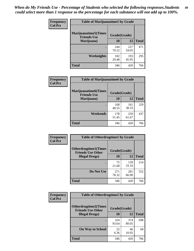| Frequency      | <b>Table of Marijuanatime5 by Grade</b>            |              |              |              |  |
|----------------|----------------------------------------------------|--------------|--------------|--------------|--|
| <b>Col Pct</b> | <b>Marijuanatime5</b> (Times<br><b>Friends Use</b> | Grade(Grade) |              |              |  |
|                | Marijuana)                                         | 10           | 12           | <b>Total</b> |  |
|                |                                                    | 244<br>70.52 | 227<br>54.05 | 471          |  |
|                | Weeknights                                         | 102<br>29.48 | 193<br>45.95 | 295          |  |
|                | <b>Total</b>                                       | 346          | 420          | 766          |  |

| Frequency      | <b>Table of Marijuanatime6 by Grade</b>    |              |              |              |
|----------------|--------------------------------------------|--------------|--------------|--------------|
| <b>Col Pct</b> | Marijuanatime6(Times<br><b>Friends Use</b> | Grade(Grade) |              |              |
|                | Marijuana)                                 | 10           | 12           | <b>Total</b> |
|                |                                            | 168<br>48.55 | 161<br>38.33 | 329          |
|                | Weekends                                   | 178<br>51.45 | 259<br>61.67 | 437          |
|                | <b>Total</b>                               | 346          | 420          | 766          |

| <b>Frequency</b> | <b>Table of Otherdrugtime1 by Grade</b>                  |              |              |              |  |
|------------------|----------------------------------------------------------|--------------|--------------|--------------|--|
| <b>Col Pct</b>   | <b>Otherdrugtime1</b> (Times<br><b>Friends Use Other</b> | Grade(Grade) |              |              |  |
|                  | <b>Illegal Drugs</b> )                                   | 10           | 12           | <b>Total</b> |  |
|                  |                                                          | 75<br>21.68  | 139<br>33.10 | 214          |  |
|                  | Do Not Use                                               | 271<br>78.32 | 281<br>66.90 | 552          |  |
|                  | <b>Total</b>                                             | 346          | 420          | 766          |  |

| Frequency      | <b>Table of Otherdrugtime2 by Grade</b>                                 |              |              |              |  |  |
|----------------|-------------------------------------------------------------------------|--------------|--------------|--------------|--|--|
| <b>Col Pct</b> | <b>Otherdrugtime2(Times</b><br>Grade(Grade)<br><b>Friends Use Other</b> |              |              |              |  |  |
|                | <b>Illegal Drugs</b> )                                                  | 10           | 12           | <b>Total</b> |  |  |
|                |                                                                         | 324<br>93.64 | 374<br>89.05 | 698          |  |  |
|                | <b>On Way to School</b>                                                 | 22<br>6.36   | 46<br>10.95  | 68           |  |  |
|                | Total                                                                   | 346          | 420          | 766          |  |  |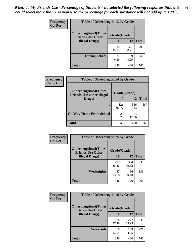| <b>Frequency</b> | <b>Table of Otherdrugtime3 by Grade</b>                                 |              |              |              |  |  |
|------------------|-------------------------------------------------------------------------|--------------|--------------|--------------|--|--|
| <b>Col Pct</b>   | <b>Otherdrugtime3(Times</b><br>Grade(Grade)<br><b>Friends Use Other</b> |              |              |              |  |  |
|                  | <b>Illegal Drugs)</b>                                                   | 10           | 12           | <b>Total</b> |  |  |
|                  |                                                                         | 324<br>93.64 | 381<br>90.71 | 705          |  |  |
|                  | <b>During School</b>                                                    | 22<br>6.36   | 39<br>9.29   | 61           |  |  |
|                  | Total                                                                   | 346          | 420          | 766          |  |  |

| <b>Frequency</b> | <b>Table of Otherdrugtime4 by Grade</b>                         |              |              |              |  |  |
|------------------|-----------------------------------------------------------------|--------------|--------------|--------------|--|--|
| <b>Col Pct</b>   | <b>Otherdrugtime4(Times</b><br><b>Friends Use Other Illegal</b> | Grade(Grade) |              |              |  |  |
|                  | Drugs)                                                          | 10           | 12           | <b>Total</b> |  |  |
|                  |                                                                 | 321<br>92.77 | 366<br>87.14 | 687          |  |  |
|                  | <b>On Way Home From School</b>                                  | 25<br>7.23   | 54<br>12.86  | 79           |  |  |
|                  | <b>Total</b>                                                    | 346          | 420          | 766          |  |  |

| <b>Frequency</b> | <b>Table of Otherdrugtime5 by Grade</b>                  |              |              |              |  |  |
|------------------|----------------------------------------------------------|--------------|--------------|--------------|--|--|
| <b>Col Pct</b>   | <b>Otherdrugtime5</b> (Times<br><b>Friends Use Other</b> | Grade(Grade) |              |              |  |  |
|                  | <b>Illegal Drugs</b> )                                   | 10           | 12           | <b>Total</b> |  |  |
|                  |                                                          | 299<br>86.42 | 334<br>79.52 | 633          |  |  |
|                  | <b>Weeknights</b>                                        | 47<br>13.58  | 86<br>20.48  | 133          |  |  |
|                  | Total                                                    | 346          | 420          | 766          |  |  |

| <b>Frequency</b> | <b>Table of Otherdrugtime6 by Grade</b>                                 |              |              |              |  |  |
|------------------|-------------------------------------------------------------------------|--------------|--------------|--------------|--|--|
| <b>Col Pct</b>   | <b>Otherdrugtime6(Times</b><br>Grade(Grade)<br><b>Friends Use Other</b> |              |              |              |  |  |
|                  | <b>Illegal Drugs</b> )                                                  | 10           | 12           | <b>Total</b> |  |  |
|                  |                                                                         | 268<br>77.46 | 277<br>65.95 | 545          |  |  |
|                  | Weekends                                                                | 78<br>22.54  | 143<br>34.05 | 221          |  |  |
|                  | <b>Total</b>                                                            | 346          | 420          | 766          |  |  |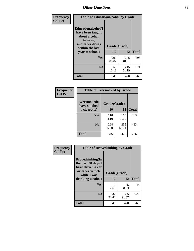| Frequency<br><b>Col Pct</b> | <b>Table of Educationalcohol by Grade</b>                                                                  |              |              |              |  |  |
|-----------------------------|------------------------------------------------------------------------------------------------------------|--------------|--------------|--------------|--|--|
|                             | Educationalcohol(I<br>have been taught<br>about alcohol,<br>tobacco,<br>and other drugs<br>within the last | Grade(Grade) |              |              |  |  |
|                             | year at school)                                                                                            | 10           | 12           | <b>Total</b> |  |  |
|                             | <b>Yes</b>                                                                                                 | 290<br>83.82 | 205<br>48.81 | 495          |  |  |
|                             | N <sub>0</sub>                                                                                             | 56<br>16.18  | 215<br>51.19 | 271          |  |  |
|                             | <b>Total</b>                                                                                               | 346          | 420          | 766          |  |  |

| Frequency      | <b>Table of Eversmoked by Grade</b> |              |              |              |  |  |  |
|----------------|-------------------------------------|--------------|--------------|--------------|--|--|--|
| <b>Col Pct</b> | Eversmoked(I<br>have smoked         | Grade(Grade) |              |              |  |  |  |
|                | a cigarette)                        | 10           | 12           | <b>Total</b> |  |  |  |
|                | Yes                                 | 118<br>34.10 | 165<br>39.29 | 283          |  |  |  |
|                | N <sub>0</sub>                      | 228<br>65.90 | 255<br>60.71 | 483          |  |  |  |
|                | <b>Total</b>                        | 346          | 420          | 766          |  |  |  |

| Frequency      | <b>Table of Drovedrinking by Grade</b>                                                                              |                    |              |     |  |  |
|----------------|---------------------------------------------------------------------------------------------------------------------|--------------------|--------------|-----|--|--|
| <b>Col Pct</b> | Drovedrinking(In<br>the past 30 days I<br>have driven a car<br>or other vehicle<br>while I was<br>drinking alcohol) | Grade(Grade)<br>10 | <b>Total</b> |     |  |  |
|                |                                                                                                                     |                    | 12           |     |  |  |
|                | Yes                                                                                                                 | 9                  | 35           | 44  |  |  |
|                |                                                                                                                     | 2.60               | 8.33         |     |  |  |
|                | N <sub>0</sub>                                                                                                      | 337                | 385          | 722 |  |  |
|                |                                                                                                                     | 97.40              | 91.67        |     |  |  |
|                | <b>Total</b>                                                                                                        | 346                | 420          | 766 |  |  |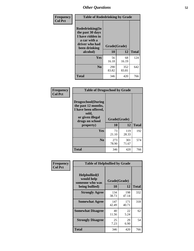| Frequency<br><b>Col Pct</b> | <b>Table of Rodedrinking by Grade</b>                                                                      |              |              |              |  |  |
|-----------------------------|------------------------------------------------------------------------------------------------------------|--------------|--------------|--------------|--|--|
|                             | Rodedrinking(In<br>the past 30 days<br>I have ridden in<br>a car with a<br>driver who had<br>been drinking | Grade(Grade) |              |              |  |  |
|                             | alcohol)                                                                                                   | 10           | 12           | <b>Total</b> |  |  |
|                             | <b>Yes</b>                                                                                                 | 56<br>16.18  | 68<br>16.19  | 124          |  |  |
|                             | N <sub>0</sub>                                                                                             | 290<br>83.82 | 352<br>83.81 | 642          |  |  |
|                             | <b>Total</b>                                                                                               | 346          | 420          | 766          |  |  |

#### **Frequency Col Pct**

| <b>Table of Drugsschool by Grade</b>                                                                                      |              |              |              |  |  |  |  |
|---------------------------------------------------------------------------------------------------------------------------|--------------|--------------|--------------|--|--|--|--|
| <b>Drugsschool</b> (During<br>the past 12 months,<br>I have been offered,<br>sold,<br>or given illegal<br>drugs on school | Grade(Grade) |              |              |  |  |  |  |
| property)                                                                                                                 | 10           | 12           | <b>Total</b> |  |  |  |  |
| Yes                                                                                                                       | 73<br>21.10  | 119<br>28.33 | 192          |  |  |  |  |
| N <sub>0</sub>                                                                                                            | 273<br>78.90 | 301<br>71.67 | 574          |  |  |  |  |
| Total                                                                                                                     | 346          | 420          | 766          |  |  |  |  |

| Frequency      | <b>Table of Helpbullied by Grade</b>            |              |              |              |  |  |
|----------------|-------------------------------------------------|--------------|--------------|--------------|--|--|
| <b>Col Pct</b> | Helpbullied(I)<br>would help<br>someone who was | Grade(Grade) |              |              |  |  |
|                | being bullied)                                  | <b>10</b>    | 12           | <b>Total</b> |  |  |
|                | <b>Strongly Agree</b>                           | 134<br>38.73 | 198<br>47.14 | 332          |  |  |
|                | <b>Somewhat Agree</b>                           | 147<br>42.49 | 171<br>40.71 | 318          |  |  |
|                | <b>Somewhat Disagree</b>                        | 40<br>11.56  | 22<br>5.24   | 62           |  |  |
|                | <b>Strongly Disagree</b>                        | 25<br>7.23   | 29<br>6.90   | 54           |  |  |
|                | Total                                           | 346          | 420          | 766          |  |  |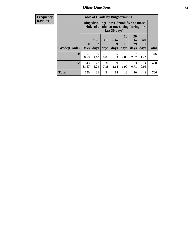| <b>Frequency</b> |              | <b>Table of Grade by Bingedrinking</b>                                                                  |              |                              |                          |                        |                               |                        |              |
|------------------|--------------|---------------------------------------------------------------------------------------------------------|--------------|------------------------------|--------------------------|------------------------|-------------------------------|------------------------|--------------|
| <b>Row Pct</b>   |              | Bingedrinking(I have drunk five or more<br>drinks of alcohol at one sitting during the<br>last 30 days) |              |                              |                          |                        |                               |                        |              |
|                  | Grade(Grade) | $\mathbf{0}$<br><b>Days</b>                                                                             | 1 or<br>days | 3 <sub>to</sub><br>5<br>days | <b>6 to</b><br>9<br>days | 10<br>to<br>19<br>days | <b>20</b><br>to<br>29<br>days | All<br>30<br>days      | <b>Total</b> |
|                  | <b>10</b>    | 307<br>88.73                                                                                            | 9<br>2.60    | $\mathcal{F}$<br>0.87        | 5<br>1.45                | 10<br>2.89             | 7<br>2.02                     | 5<br>1.45              | 346          |
|                  | 12           | 343<br>81.67                                                                                            | 22<br>5.24   | 31<br>7.38                   | 9<br>2.14                | 8<br>1.90              | 3<br>0.71                     | $\overline{4}$<br>0.95 | 420          |
|                  | <b>Total</b> | 650                                                                                                     | 31           | 34                           | 14                       | 18                     | 10                            | 9                      | 766          |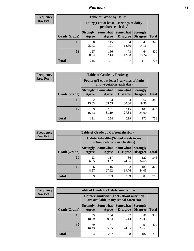### *Nutrition* **54**

| <b>Frequency</b><br>Row Pct |
|-----------------------------|
|                             |

| <b>Table of Grade by Dairy</b> |                          |                                                                 |                                    |                                    |              |
|--------------------------------|--------------------------|-----------------------------------------------------------------|------------------------------------|------------------------------------|--------------|
|                                |                          | Dairy (I eat at least 3 servings of dairy<br>products each day) |                                    |                                    |              |
| Grade(Grade)                   | <b>Strongly</b><br>Agree | <b>Somewhat</b><br>Agree                                        | <b>Somewhat</b><br><b>Disagree</b> | <b>Strongly</b><br><b>Disagree</b> | <b>Total</b> |
| 10                             | 88<br>25.43              | 145<br>41.91                                                    | 64<br>18.50                        | 49<br>14.16                        | 346          |
| 12                             | 127<br>30.24             | 156<br>37.14                                                    | 73<br>17.38                        | 64<br>15.24                        | 420          |
| <b>Total</b>                   | 215                      | 301                                                             | 137                                | 113                                | 766          |

| <b>Frequency</b> |  |
|------------------|--|
| <b>Row Pct</b>   |  |

| <b>Table of Grade by Fruitveg</b> |                          |                                                                          |                               |                                    |              |
|-----------------------------------|--------------------------|--------------------------------------------------------------------------|-------------------------------|------------------------------------|--------------|
|                                   |                          | Fruitveg(I eat at least 5 servings of fruits<br>and vegetables each day) |                               |                                    |              |
| Grade(Grade)                      | <b>Strongly</b><br>Agree | Agree                                                                    | Somewhat Somewhat<br>Disagree | <b>Strongly</b><br><b>Disagree</b> | <b>Total</b> |
| 10                                | 52<br>15.03              | 123<br>35.55                                                             | 104<br>30.06                  | 67<br>19.36                        | 346          |
| 12                                | 69<br>16.43              | 131<br>31.19                                                             | 115<br>27.38                  | 105<br>25.00                       | 420          |
| <b>Total</b>                      | 121                      | 254                                                                      | 219                           | 172                                | 766          |

| <b>Frequency</b> |              |                          | <b>Table of Grade by Cafeteriahealthy</b>                             |                                        |                                    |              |  |
|------------------|--------------|--------------------------|-----------------------------------------------------------------------|----------------------------------------|------------------------------------|--------------|--|
| <b>Row Pct</b>   |              |                          | Cafeteriahealthy (School meals in my<br>school cafeteria are healthy) |                                        |                                    |              |  |
|                  | Grade(Grade) | <b>Strongly</b><br>Agree | Agree                                                                 | Somewhat   Somewhat<br><b>Disagree</b> | <b>Strongly</b><br><b>Disagree</b> | <b>Total</b> |  |
|                  | 10           | 23<br>6.65               | 117<br>33.82                                                          | 86<br>24.86                            | 120<br>34.68                       | 346          |  |
|                  | 12           | 36<br>8.57               | 116<br>27.62                                                          | 83<br>19.76                            | 185<br>44.05                       | 420          |  |
|                  | <b>Total</b> | 59                       | 233                                                                   | 169                                    | 305                                | 766          |  |

| <b>Frequency</b> |
|------------------|
| <b>Row Pct</b>   |

| <b>Table of Grade by Cafeterianutrition</b> |                          |                                                                                           |                             |                                    |              |  |
|---------------------------------------------|--------------------------|-------------------------------------------------------------------------------------------|-----------------------------|------------------------------------|--------------|--|
|                                             |                          | <b>Cafeterianutrition</b> (Facts about nutrition<br>are available in my school cafeteria) |                             |                                    |              |  |
| Grade(Grade)                                | <b>Strongly</b><br>Agree | <b>Somewhat</b><br>Agree                                                                  | <b>Somewhat</b><br>Disagree | <b>Strongly</b><br><b>Disagree</b> | <b>Total</b> |  |
| 10                                          | 65<br>18.79              | 106<br>30.64                                                                              | 87<br>25.14                 | 88<br>25.43                        | 346          |  |
| 12                                          | 69<br>16.43              | 151<br>35.95                                                                              | 101<br>24.05                | 99<br>23.57                        | 420          |  |
| Total                                       | 134                      | 257                                                                                       | 188                         | 187                                | 766          |  |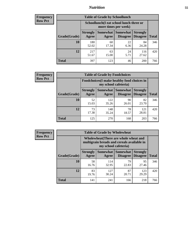### *Nutrition* **55**

| <b>Frequency</b><br>Row Pct |
|-----------------------------|
|                             |

| <b>Table of Grade by Schoollunch</b> |                          |                                                                 |                             |                                    |              |  |
|--------------------------------------|--------------------------|-----------------------------------------------------------------|-----------------------------|------------------------------------|--------------|--|
|                                      |                          | Schoollunch(I eat school lunch three or<br>more times per week) |                             |                                    |              |  |
| Grade(Grade)                         | <b>Strongly</b><br>Agree | Somewhat  <br>Agree                                             | <b>Somewhat</b><br>Disagree | <b>Strongly</b><br><b>Disagree</b> | <b>Total</b> |  |
| 10                                   | 180<br>52.02             | 60<br>17.34                                                     | 22<br>6.36                  | 84<br>24.28                        | 346          |  |
| 12                                   | 217<br>51.67             | 63<br>15.00                                                     | 24<br>5.71                  | 116<br>27.62                       | 420          |  |
| <b>Total</b>                         | 397                      | 123                                                             | 46                          | 200                                | 766          |  |

| <b>Frequency</b> |  |
|------------------|--|
| <b>Row Pct</b>   |  |

| <b>Table of Grade by Foodchoices</b> |                          |                                                                     |                               |                                    |              |  |
|--------------------------------------|--------------------------|---------------------------------------------------------------------|-------------------------------|------------------------------------|--------------|--|
|                                      |                          | Foodchoices (I make healthy food choices in<br>my school cafeteria) |                               |                                    |              |  |
| Grade(Grade)                         | <b>Strongly</b><br>Agree | Agree                                                               | Somewhat Somewhat<br>Disagree | <b>Strongly</b><br><b>Disagree</b> | <b>Total</b> |  |
| 10                                   | 52<br>15.03              | 122<br>35.26                                                        | 90<br>26.01                   | 82<br>23.70                        | 346          |  |
| 12                                   | 73<br>17.38              | 148<br>35.24                                                        | 78<br>18.57                   | 121<br>28.81                       | 420          |  |
| <b>Total</b>                         | 125                      | 270                                                                 | 168                           | 203                                | 766          |  |

| <b>Frequency</b> |
|------------------|
| <b>Row Pct</b>   |

| y | <b>Table of Grade by Wholewheat</b> |                                                                                                             |              |                                               |                                    |              |  |
|---|-------------------------------------|-------------------------------------------------------------------------------------------------------------|--------------|-----------------------------------------------|------------------------------------|--------------|--|
|   |                                     | Wholewheat (There are whole wheat and<br>multigrain breads and cereals available in<br>my school cafeteria) |              |                                               |                                    |              |  |
|   | Grade(Grade)                        | <b>Strongly</b><br>Agree                                                                                    | Agree        | <b>Somewhat   Somewhat</b><br><b>Disagree</b> | <b>Strongly</b><br><b>Disagree</b> | <b>Total</b> |  |
|   | 10                                  | 58<br>16.76                                                                                                 | 114<br>32.95 | 79<br>22.83                                   | 95<br>27.46                        | 346          |  |
|   | 12                                  | 83<br>19.76                                                                                                 | 127<br>30.24 | 87<br>20.71                                   | 123<br>29.29                       | 420          |  |
|   | <b>Total</b>                        | 141                                                                                                         | 241          | 166                                           | 218                                | 766          |  |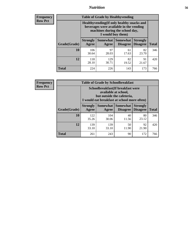### *Nutrition* **56**

**Frequency Row Pct**

| <b>Table of Grade by Healthyvending</b> |                                                                                                                                               |                          |                                    |                                    |              |  |
|-----------------------------------------|-----------------------------------------------------------------------------------------------------------------------------------------------|--------------------------|------------------------------------|------------------------------------|--------------|--|
|                                         | Healthyvending (If only healthy snacks and<br>beverages were available in the vending<br>machines during the school day,<br>I would buy them) |                          |                                    |                                    |              |  |
| Grade(Grade)                            | <b>Strongly</b><br>Agree                                                                                                                      | <b>Somewhat</b><br>Agree | <b>Somewhat</b><br><b>Disagree</b> | <b>Strongly</b><br><b>Disagree</b> | <b>Total</b> |  |
| 10                                      | 106<br>30.64                                                                                                                                  | 97<br>28.03              | 61<br>17.63                        | 82<br>23.70                        | 346          |  |
| 12                                      | 118<br>28.10                                                                                                                                  | 129<br>30.71             | 82<br>19.52                        | 91<br>21.67                        | 420          |  |
| <b>Total</b>                            | 224                                                                                                                                           | 226                      | 143                                | 173                                | 766          |  |

**Frequency Row Pct**

| <b>Table of Grade by Schoolbreakfast</b> |                                                                                                                                         |                          |                                    |                                    |              |  |  |
|------------------------------------------|-----------------------------------------------------------------------------------------------------------------------------------------|--------------------------|------------------------------------|------------------------------------|--------------|--|--|
|                                          | Schoolbreakfast (If breakfast were<br>available at school,<br>but outside the cafeteria,<br>I would eat breakfast at school more often) |                          |                                    |                                    |              |  |  |
| Grade(Grade)                             | <b>Strongly</b><br>Agree                                                                                                                | <b>Somewhat</b><br>Agree | <b>Somewhat</b><br><b>Disagree</b> | <b>Strongly</b><br><b>Disagree</b> | <b>Total</b> |  |  |
| 10                                       | 122<br>35.26                                                                                                                            | 104<br>30.06             | 40<br>11.56                        | 80<br>23.12                        | 346          |  |  |
| 12                                       | 139<br>33.10                                                                                                                            | 139<br>33.10             | 50<br>11.90                        | 92<br>21.90                        | 420          |  |  |
| <b>Total</b>                             | 261                                                                                                                                     | 243                      | 90                                 | 172                                | 766          |  |  |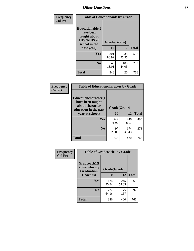| Frequency<br><b>Col Pct</b> | <b>Table of Educationaids by Grade</b>                                                                    |                    |              |              |
|-----------------------------|-----------------------------------------------------------------------------------------------------------|--------------------|--------------|--------------|
|                             | <b>Educationaids</b> (I<br>have been<br>taught about<br><b>HIV/AIDS</b> at<br>school in the<br>past year) | Grade(Grade)<br>10 | 12           | <b>Total</b> |
|                             | Yes                                                                                                       | 301<br>86.99       | 235<br>55.95 | 536          |
|                             | N <sub>0</sub>                                                                                            | 45<br>13.01        | 185<br>44.05 | 230          |
|                             | <b>Total</b>                                                                                              | 346                | 420          | 766          |

| Frequency      | <b>Table of Educationcharacter by Grade</b>                                                             |              |              |              |  |  |
|----------------|---------------------------------------------------------------------------------------------------------|--------------|--------------|--------------|--|--|
| <b>Col Pct</b> | Educationcharacter(I<br>have been taught<br>about character<br>education in the past<br>year at school) | Grade(Grade) |              |              |  |  |
|                |                                                                                                         | 10           | 12           | <b>Total</b> |  |  |
|                | Yes                                                                                                     | 249<br>71.97 | 246<br>58.57 | 495          |  |  |
|                | N <sub>0</sub>                                                                                          | 97<br>28.03  | 174<br>41.43 | 271          |  |  |
|                | <b>Total</b>                                                                                            | 346          | 420          | 766          |  |  |

| Frequency      | <b>Table of Gradcoach1 by Grade</b> |              |              |              |
|----------------|-------------------------------------|--------------|--------------|--------------|
| <b>Col Pct</b> | Gradcoach1(I                        |              |              |              |
|                | know who my<br><b>Graduation</b>    | Grade(Grade) |              |              |
|                | Coach is)                           | 10           | 12           | <b>Total</b> |
|                | <b>Yes</b>                          | 124<br>35.84 | 245<br>58.33 | 369          |
|                | N <sub>0</sub>                      | 222<br>64.16 | 175<br>41.67 | 397          |
|                | <b>Total</b>                        | 346          | 420          | 766          |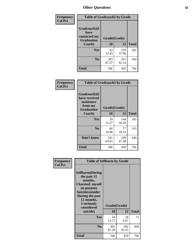| Frequency      |                                   | <b>Table of Gradcoach2 by Grade</b> |              |              |  |
|----------------|-----------------------------------|-------------------------------------|--------------|--------------|--|
| <b>Col Pct</b> |                                   |                                     |              |              |  |
|                | Gradcoach2(I<br>have              |                                     |              |              |  |
|                | contacted my<br><b>Graduation</b> | Grade(Grade)                        |              |              |  |
|                | Coach)                            | 10                                  | 12           | <b>Total</b> |  |
|                | Yes                               | 43<br>12.43                         | 159<br>37.86 | 202          |  |
|                | N <sub>0</sub>                    | 303<br>87.57                        | 261<br>62.14 | 564          |  |
|                | <b>Total</b>                      | 346                                 | 420          | 766          |  |

| Frequency<br><b>Col Pct</b> | <b>Table of Gradcoach3 by Grade</b>                                         |              |              |              |
|-----------------------------|-----------------------------------------------------------------------------|--------------|--------------|--------------|
|                             | Gradcoach3(I<br>have received<br>assistance<br>from my<br><b>Graduation</b> | Grade(Grade) |              |              |
|                             | Coach)                                                                      | 10           | 12           | <b>Total</b> |
|                             | Yes                                                                         | 39<br>11.27  | 144<br>34.29 | 183          |
|                             | N <sub>0</sub>                                                              | 66<br>19.08  | 77<br>18.33  | 143          |
|                             | Don't know                                                                  | 241<br>69.65 | 199<br>47.38 | 440          |
|                             | <b>Total</b>                                                                | 346          | 420          | 766          |

| Frequency<br><b>Col Pct</b> | <b>Table of Selfharm by Grade</b>                                                                                                                                          |                    |              |              |
|-----------------------------|----------------------------------------------------------------------------------------------------------------------------------------------------------------------------|--------------------|--------------|--------------|
|                             | <b>Selfharm</b> (During<br>the past 12<br>months,<br>I harmed myself<br>on purpose<br><b>Suicideconsider</b><br>During the past<br>12 months,<br>I seriously<br>considered | Grade(Grade)<br>10 | 12           | <b>Total</b> |
|                             | suicide)                                                                                                                                                                   |                    |              |              |
|                             | Yes                                                                                                                                                                        | 44<br>12.72        | 28<br>6.67   | 72           |
|                             | N <sub>0</sub>                                                                                                                                                             | 302<br>87.28       | 392<br>93.33 | 694          |
|                             | <b>Total</b>                                                                                                                                                               | 346                | 420          | 766          |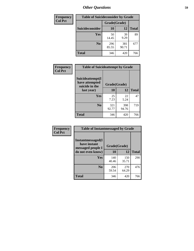| <b>Frequency</b> | <b>Table of Suicideconsider by Grade</b> |              |              |              |
|------------------|------------------------------------------|--------------|--------------|--------------|
| <b>Col Pct</b>   |                                          | Grade(Grade) |              |              |
|                  | <b>Suicideconsider</b>                   | 10           | 12           | <b>Total</b> |
|                  | Yes                                      | 50<br>14.45  | 39<br>9.29   | 89           |
|                  | N <sub>0</sub>                           | 296<br>85.55 | 381<br>90.71 | 677          |
|                  | <b>Total</b>                             | 346          | 420          | 766          |

| Frequency      | <b>Table of Suicideattempt by Grade</b>              |              |              |              |
|----------------|------------------------------------------------------|--------------|--------------|--------------|
| <b>Col Pct</b> | Suicideattempt(I<br>have attempted<br>suicide in the | Grade(Grade) |              |              |
|                | last year)                                           | 10           | 12           | <b>Total</b> |
|                | Yes                                                  | 25<br>7.23   | 22<br>5.24   | 47           |
|                | N <sub>0</sub>                                       | 321<br>92.77 | 398<br>94.76 | 719          |
|                | <b>Total</b>                                         | 346          | 420          | 766          |

| Frequency      | <b>Table of Instantmessaged by Grade</b>               |              |              |              |
|----------------|--------------------------------------------------------|--------------|--------------|--------------|
| <b>Col Pct</b> | Instantmessaged(I<br>have instant<br>messaged people I | Grade(Grade) |              |              |
|                | do not even know)                                      | 10           | 12           | <b>Total</b> |
|                | <b>Yes</b>                                             | 140<br>40.46 | 150<br>35.71 | 290          |
|                | N <sub>0</sub>                                         | 206<br>59.54 | 270<br>64.29 | 476          |
|                | <b>Total</b>                                           | 346          | 420          | 766          |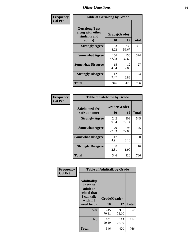| Frequency      | <b>Table of Getsalong by Grade</b>                          |              |              |              |  |  |  |
|----------------|-------------------------------------------------------------|--------------|--------------|--------------|--|--|--|
| <b>Col Pct</b> | <b>Getsalong</b> (I get<br>along with other<br>students and | Grade(Grade) |              |              |  |  |  |
|                | adults)                                                     | 10           | 12           | <b>Total</b> |  |  |  |
|                | <b>Strongly Agree</b>                                       | 153<br>44.22 | 238<br>56.67 | 391          |  |  |  |
|                | <b>Somewhat Agree</b>                                       | 166<br>47.98 | 158<br>37.62 | 324          |  |  |  |
|                | <b>Somewhat Disagree</b>                                    | 15<br>4.34   | 12<br>2.86   | 27           |  |  |  |
|                | <b>Strongly Disagree</b>                                    | 12<br>3.47   | 12<br>2.86   | 24           |  |  |  |
|                | <b>Total</b>                                                | 346          | 420          | 766          |  |  |  |

| Frequency      | <b>Table of Safehome by Grade</b> |              |                    |              |  |  |  |  |
|----------------|-----------------------------------|--------------|--------------------|--------------|--|--|--|--|
| <b>Col Pct</b> | Safehome(I feel<br>safe at home)  | <b>10</b>    | Grade(Grade)<br>12 | <b>Total</b> |  |  |  |  |
|                | <b>Strongly Agree</b>             | 242<br>69.94 | 303<br>72.14       | 545          |  |  |  |  |
|                | <b>Somewhat Agree</b>             | 79<br>22.83  | 96<br>22.86        | 175          |  |  |  |  |
|                | <b>Somewhat Disagree</b>          | 17<br>4.91   | 13<br>3.10         | 30           |  |  |  |  |
|                | <b>Strongly Disagree</b>          | 8<br>2.31    | 8<br>1.90          | 16           |  |  |  |  |
|                | <b>Total</b>                      | 346          | 420                | 766          |  |  |  |  |

| Frequency<br><b>Col Pct</b> | <b>Table of Adulttalk by Grade</b>                                                   |              |              |              |  |  |
|-----------------------------|--------------------------------------------------------------------------------------|--------------|--------------|--------------|--|--|
|                             | <b>Adulttalk</b> (I<br>know an<br>adult at<br>school that<br>I can talk<br>with if I | Grade(Grade) |              |              |  |  |
|                             | need help)                                                                           | 10           | 12           | <b>Total</b> |  |  |
|                             | <b>Yes</b>                                                                           | 245<br>70.81 | 307<br>73.10 | 552          |  |  |
|                             | N <sub>0</sub>                                                                       | 101<br>29.19 | 113<br>26.90 | 214          |  |  |
|                             | <b>Total</b>                                                                         | 346          | 420          | 766          |  |  |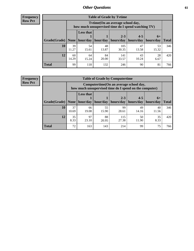**Frequency Row Pct**

| <b>Table of Grade by Tytime</b> |             |                                                                                                                  |             |              |             |             |     |  |  |  |
|---------------------------------|-------------|------------------------------------------------------------------------------------------------------------------|-------------|--------------|-------------|-------------|-----|--|--|--|
|                                 |             | Tytime (On an average school day,<br>how much unsupervised time do I spend watching TV)                          |             |              |             |             |     |  |  |  |
| Grade(Grade)   None             |             | <b>Less that</b><br>$2 - 3$<br>$4 - 5$<br>$6+$<br>hour/day   hour/day<br>  hours/day<br>hours/day<br>  hours/day |             |              |             |             |     |  |  |  |
| 10                              | 39<br>11.27 | 54<br>15.61                                                                                                      | 48<br>13.87 | 105<br>30.35 | 47<br>13.58 | 53<br>15.32 | 346 |  |  |  |
| 12                              | 60<br>14.29 | 64<br>15.24                                                                                                      | 84<br>20.00 | 141<br>33.57 | 43<br>10.24 | 28<br>6.67  | 420 |  |  |  |
| <b>Total</b>                    | 99          | 118                                                                                                              | 132         | 246          | 90          | 81          | 766 |  |  |  |

**Frequency Row Pct**

| <b>Table of Grade by Computertime</b> |             |                                                                                                   |          |                      |                      |                   |              |  |  |  |
|---------------------------------------|-------------|---------------------------------------------------------------------------------------------------|----------|----------------------|----------------------|-------------------|--------------|--|--|--|
|                                       |             | Computertime (On an average school day,<br>how much unsupervised time do I spend on the computer) |          |                      |                      |                   |              |  |  |  |
| Grade(Grade)                          | None        | <b>Less that</b><br>hour/day                                                                      | hour/day | $2 - 3$<br>hours/day | $4 - 5$<br>hours/day | $6+$<br>hours/day | <b>Total</b> |  |  |  |
| 10                                    | 37<br>10.69 | 55<br>99<br>49<br>40<br>66<br>19.08<br>15.90<br>28.61<br>11.56<br>14.16                           |          |                      |                      |                   |              |  |  |  |
| 12                                    | 35<br>8.33  | 88<br>97<br>35<br>115<br>50<br>27.38<br>23.10<br>11.90<br>8.33<br>20.95                           |          |                      |                      |                   |              |  |  |  |
| <b>Total</b>                          | 72          | 163                                                                                               | 143      | 214                  | 99                   | 75                | 766          |  |  |  |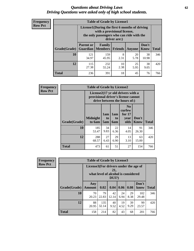#### *Questions about Driving Laws* **62** *Driving Questions were asked only of high school students.*

| <b>Frequency</b> |
|------------------|
| <b>Row Pct</b>   |

| <b>Table of Grade by License1</b> |                                     |                                                                                                                                           |                |            |               |              |  |  |  |  |
|-----------------------------------|-------------------------------------|-------------------------------------------------------------------------------------------------------------------------------------------|----------------|------------|---------------|--------------|--|--|--|--|
|                                   |                                     | License1(During the first 6 months of driving<br>with a provisional license,<br>the only passengers who can ride with the<br>driver are:) |                |            |               |              |  |  |  |  |
| Grade(Grade)                      | <b>Parent or</b><br><b>Guardian</b> | Family<br><b>Members</b>                                                                                                                  | <b>Friends</b> | Anyone     | Don't<br>Know | <b>Total</b> |  |  |  |  |
| 10                                | 121<br>34.97                        | 159<br>45.95                                                                                                                              | 8<br>2.31      | 20<br>5.78 | 38<br>10.98   | 346          |  |  |  |  |
| 12                                | 115<br>27.38                        | 10<br>25<br>38<br>232<br>2.38<br>5.95<br>55.24<br>9.05                                                                                    |                |            |               |              |  |  |  |  |
| <b>Total</b>                      | 236                                 | 391                                                                                                                                       | 18             | 45         | 76            | 766          |  |  |  |  |

| <b>Frequency</b> |              | <b>Table of Grade by License2</b> |                                                                                                          |                              |                                                      |                      |              |  |  |
|------------------|--------------|-----------------------------------|----------------------------------------------------------------------------------------------------------|------------------------------|------------------------------------------------------|----------------------|--------------|--|--|
| <b>Row Pct</b>   |              |                                   | License2(17 yr old drivers with a<br>provisional driver's license cannot<br>drive between the hours of:) |                              |                                                      |                      |              |  |  |
|                  | Grade(Grade) | <b>Midnight</b><br>to 6am         | 1am<br>to<br>5am                                                                                         | 1am<br>t <sub>0</sub><br>6am | N <sub>0</sub><br>curfew<br>for $17$<br>year<br>olds | Don't<br><b>Know</b> | <b>Total</b> |  |  |
|                  | 10           | 185<br>53.47                      | 34<br>9.83                                                                                               | 22<br>6.36                   | 14<br>4.05                                           | 91<br>26.30          | 346          |  |  |
|                  | 12           | 288<br>68.57                      | 27<br>6.43                                                                                               | 29<br>6.90                   | 13<br>3.10                                           | 63<br>15.00          | 420          |  |  |
|                  | <b>Total</b> | 473                               | 61                                                                                                       | 51                           | 27                                                   | 154                  | 766          |  |  |

| Frequency      |              | <b>Table of Grade by License3</b> |                                                                                                 |             |            |            |               |              |
|----------------|--------------|-----------------------------------|-------------------------------------------------------------------------------------------------|-------------|------------|------------|---------------|--------------|
| <b>Row Pct</b> |              |                                   | License3(For drivers under the age of<br>21.<br>what level of alcohol is considered<br>$DUI$ ?) |             |            |            |               |              |
|                | Grade(Grade) | Any<br><b>Amount</b>              | 0.02                                                                                            | 0.04        | 0.06       | 0.08       | Don't<br>know | <b>Total</b> |
|                | 10           | 70<br>20.23                       | 79<br>22.83                                                                                     | 42<br>12.14 | 24<br>6.94 | 29<br>8.38 | 102<br>29.48  | 346          |
|                | 12           | 88<br>20.95                       | 135<br>32.14                                                                                    | 40<br>9.52  | 19<br>4.52 | 39<br>9.29 | 99<br>23.57   | 420          |
|                | <b>Total</b> | 158                               | 214                                                                                             | 82          | 43         | 68         | 201           | 766          |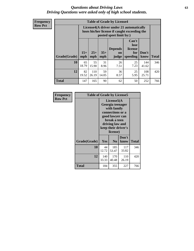#### *Questions about Driving Laws* **63** *Driving Questions were asked only of high school students.*

**Frequency Row Pct**

| <b>Table of Grade by License4</b> |             |                                                                                                                                                                                                                                                                                |            |            |            |              |     |  |  |
|-----------------------------------|-------------|--------------------------------------------------------------------------------------------------------------------------------------------------------------------------------------------------------------------------------------------------------------------------------|------------|------------|------------|--------------|-----|--|--|
|                                   |             | License4(A driver under 21 automatically<br>loses his/her license if caught exceeding the<br>posted speet limit by:)<br>Can't<br>lose<br><b>Depends</b><br>license<br>$15+$<br>$25+$<br>$35+$<br>Don't<br>for<br>on<br><b>Total</b><br>mph<br>speeding<br>mph<br>judge<br>know |            |            |            |              |     |  |  |
| Grade(Grade)                      | mph         |                                                                                                                                                                                                                                                                                |            |            |            |              |     |  |  |
| 10                                | 65<br>18.79 | 55<br>15.90                                                                                                                                                                                                                                                                    | 31<br>8.96 | 26<br>7.51 | 25<br>7.23 | 144<br>41.62 | 346 |  |  |
| 12                                | 82<br>19.52 | 110<br>59<br>36<br>25<br>108<br>26.19<br>14.05<br>5.95<br>25.71<br>8.57                                                                                                                                                                                                        |            |            |            |              |     |  |  |
| <b>Total</b>                      | 147         | 165                                                                                                                                                                                                                                                                            | 90         | 62         | 50         | 252          | 766 |  |  |

| Frequency      | <b>Table of Grade by License5</b> |              |                                                                                                                                      |                     |       |
|----------------|-----------------------------------|--------------|--------------------------------------------------------------------------------------------------------------------------------------|---------------------|-------|
| <b>Row Pct</b> |                                   |              | License5(A)<br>Georgia teenager<br>with family<br>connections or a<br>good lawyer can<br>break a teen<br>driving law and<br>license) | keep their driver's |       |
|                | Grade(Grade)                      | <b>Yes</b>   | N <sub>0</sub>                                                                                                                       | Don't<br>know       | Total |
|                | 10                                | 44<br>12.72  | 185<br>53.47                                                                                                                         | 117<br>33.82        | 346   |
|                | 12                                | 140<br>33.33 | 170<br>40.48                                                                                                                         | 110<br>26.19        | 420   |
|                | Total                             | 184          | 355                                                                                                                                  | 227                 | 766   |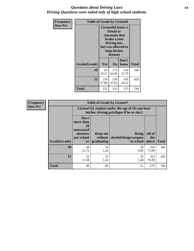#### *Questions about Driving Laws* **64** *Driving Questions were asked only of high school students.*

| <b>Frequency</b> | <b>Table of Grade by License6</b> |              |                                                                                                                                                 |               |              |  |
|------------------|-----------------------------------|--------------|-------------------------------------------------------------------------------------------------------------------------------------------------|---------------|--------------|--|
| <b>Row Pct</b>   |                                   |              | License <sub>6</sub> (I know a<br>friend or<br>classmate that<br>broke a teen<br>driving law,<br>but was allowed to<br>keep his/her<br>license) |               |              |  |
|                  | Grade(Grade)                      | Yes          | N <sub>0</sub>                                                                                                                                  | Don't<br>know | <b>Total</b> |  |
|                  | 10                                | 63<br>18.21  | 173<br>50.00                                                                                                                                    | 110<br>31.79  | 346          |  |
|                  | 12                                | 159<br>37.86 | 420                                                                                                                                             |               |              |  |
|                  | <b>Total</b>                      | 222          | 331                                                                                                                                             | 213           | 766          |  |

| <b>Frequency</b> |              |                                                                             | <b>Table of Grade by License7</b>                                                             |                                                   |                        |              |  |
|------------------|--------------|-----------------------------------------------------------------------------|-----------------------------------------------------------------------------------------------|---------------------------------------------------|------------------------|--------------|--|
| <b>Row Pct</b>   |              |                                                                             | License7(A student under the age of 18 cam loser<br>his/her driving privileges if he or she:) |                                                   |                        |              |  |
|                  | Grade(Grade) | <b>Have</b><br>more than<br>10<br>unexcused<br>absences<br>per school<br>yr | Drop out<br>without  <br>graduating                                                           | <b>Bring</b><br>alcohol/drugs/weapon<br>to school | All of<br>the<br>above | <b>Total</b> |  |
|                  | 10           | 44<br>12.72                                                                 | 18<br>5.20                                                                                    | 28<br>8.09                                        | 256<br>73.99           | 346          |  |
|                  | 12           | 52<br>12.38                                                                 | 22<br>5.24                                                                                    | 23<br>5.48                                        | 323<br>76.90           | 420          |  |
|                  | <b>Total</b> | 96                                                                          | 40                                                                                            | 51                                                | 579                    | 766          |  |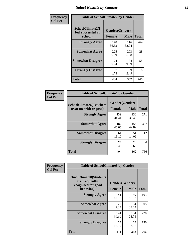# *Select Results by Gender* **65**

| Frequency      | <b>Table of SchoolClimate2 by Gender</b> |                |              |              |
|----------------|------------------------------------------|----------------|--------------|--------------|
| <b>Col Pct</b> | SchoolClimate2(I<br>feel successful at   | Gender(Gender) |              |              |
|                | school)                                  | <b>Female</b>  | <b>Male</b>  | <b>Total</b> |
|                | <b>Strongly Agree</b>                    | 148<br>36.63   | 116<br>32.04 | 264          |
|                | <b>Somewhat Agree</b>                    | 225<br>55.69   | 203<br>56.08 | 428          |
|                | <b>Somewhat Disagree</b>                 | 24<br>5.94     | 34<br>9.39   | 58           |
|                | <b>Strongly Disagree</b>                 | 7<br>1.73      | 9<br>2.49    | 16           |
|                | <b>Total</b>                             | 404            | 362          | 766          |

| Frequency      | <b>Table of SchoolClimate6 by Gender</b>                 |                                 |              |              |
|----------------|----------------------------------------------------------|---------------------------------|--------------|--------------|
| <b>Col Pct</b> | <b>SchoolClimate6(Teachers</b><br>treat me with respect) | Gender(Gender)<br><b>Female</b> | <b>Male</b>  | <b>Total</b> |
|                | <b>Strongly Agree</b>                                    | 139<br>34.41                    | 132<br>36.46 | 271          |
|                | <b>Somewhat Agree</b>                                    | 182<br>45.05                    | 155<br>42.82 | 337          |
|                | <b>Somewhat Disagree</b>                                 | 61<br>15.10                     | 51<br>14.09  | 112          |
|                | <b>Strongly Disagree</b>                                 | 22<br>5.45                      | 24<br>6.63   | 46           |
|                | <b>Total</b>                                             | 404                             | 362          | 766          |

| <b>Frequency</b> | <b>Table of SchoolClimate8 by Gender</b>                                             |               |                               |              |
|------------------|--------------------------------------------------------------------------------------|---------------|-------------------------------|--------------|
| <b>Col Pct</b>   | <b>SchoolClimate8(Students</b><br>are frequently<br>recognized for good<br>behavior) | <b>Female</b> | Gender(Gender)<br><b>Male</b> | <b>Total</b> |
|                  |                                                                                      |               |                               |              |
|                  | <b>Strongly Agree</b>                                                                | 44<br>10.89   | 59<br>16.30                   | 103          |
|                  | <b>Somewhat Agree</b>                                                                | 171<br>42.33  | 134<br>37.02                  | 305          |
|                  | <b>Somewhat Disagree</b>                                                             | 124<br>30.69  | 104<br>28.73                  | 228          |
|                  | <b>Strongly Disagree</b>                                                             | 65<br>16.09   | 65<br>17.96                   | 130          |
|                  | Total                                                                                | 404           | 362                           | 766          |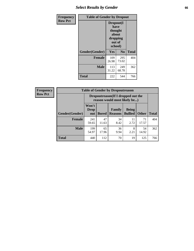# *Select Results by Gender* **66**

| Frequency      | <b>Table of Gender by Dropout</b> |                                                                        |                |              |
|----------------|-----------------------------------|------------------------------------------------------------------------|----------------|--------------|
| <b>Row Pct</b> |                                   | Dropout(I<br>have<br>thought<br>about<br>dropping<br>out of<br>school) |                |              |
|                | Gender(Gender)                    | <b>Yes</b>                                                             | N <sub>0</sub> | <b>Total</b> |
|                | <b>Female</b>                     | 109<br>26.98                                                           | 295<br>73.02   | 404          |
|                | <b>Male</b>                       | 113<br>31.22                                                           | 249<br>68.78   | 362          |
|                | <b>Total</b>                      | 222                                                                    | 544            | 766          |

| Frequency      |  |  | Tabl |
|----------------|--|--|------|
| <b>Row Pct</b> |  |  |      |
|                |  |  |      |
|                |  |  |      |
|                |  |  |      |

Г ٦

| <b>Table of Gender by Dropoutreason</b> |                             |                                                                     |                                 |                                |             |              |  |  |
|-----------------------------------------|-----------------------------|---------------------------------------------------------------------|---------------------------------|--------------------------------|-------------|--------------|--|--|
|                                         |                             | Dropoutreason (If I dropped out the<br>reason would most likely be) |                                 |                                |             |              |  |  |
| Gender(Gender)                          | Won't<br><b>Drop</b><br>out | <b>Bored</b>                                                        | <b>Family</b><br><b>Reasons</b> | <b>Being</b><br><b>Bullied</b> | Other       | <b>Total</b> |  |  |
| <b>Female</b>                           | 241<br>59.65                | 47<br>11.63                                                         | 34<br>8.42                      | 11<br>2.72                     | 71<br>17.57 | 404          |  |  |
| <b>Male</b>                             | 199<br>54.97                | 65<br>17.96                                                         | 36<br>9.94                      | 8<br>2.21                      | 54<br>14.92 | 362          |  |  |
| <b>Total</b>                            | 440                         | 112                                                                 | 70                              | 19                             | 125         | 766          |  |  |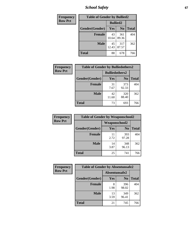*School Safety* **67**

| Frequency      | <b>Table of Gender by Bullied2</b> |                 |                |              |
|----------------|------------------------------------|-----------------|----------------|--------------|
| <b>Row Pct</b> |                                    | <b>Bullied2</b> |                |              |
|                | Gender(Gender)                     | <b>Yes</b>      | N <sub>0</sub> | <b>Total</b> |
|                | <b>Female</b>                      | 43<br>10.64     | 361<br>89.36   | 404          |
|                | <b>Male</b>                        | 45<br>12.43     | 317<br>87.57   | 362          |
|                | <b>Total</b>                       | 88              | 678            | 766          |

| <b>Frequency</b> | <b>Table of Gender by Bulliedothers2</b> |                       |                |              |  |
|------------------|------------------------------------------|-----------------------|----------------|--------------|--|
| <b>Row Pct</b>   |                                          | <b>Bulliedothers2</b> |                |              |  |
|                  | Gender(Gender)                           | Yes                   | N <sub>0</sub> | <b>Total</b> |  |
|                  | <b>Female</b>                            | 31<br>7.67            | 373<br>92.33   | 404          |  |
|                  | <b>Male</b>                              | 42<br>11.60           | 320<br>88.40   | 362          |  |
|                  | <b>Total</b>                             | 73                    | 693            | 766          |  |

| Frequency      | <b>Table of Gender by Weaponschool2</b> |                      |                |              |  |
|----------------|-----------------------------------------|----------------------|----------------|--------------|--|
| <b>Row Pct</b> |                                         | <b>Weaponschool2</b> |                |              |  |
|                | Gender(Gender)                          | Yes                  | N <sub>0</sub> | <b>Total</b> |  |
|                | <b>Female</b>                           | 11<br>2.72           | 393<br>97.28   | 404          |  |
|                | <b>Male</b>                             | 14<br>3.87           | 348<br>96.13   | 362          |  |
|                | <b>Total</b>                            | 25                   | 741            | 766          |  |

| Frequency      | <b>Table of Gender by Absentunsafe2</b> |               |                |              |  |
|----------------|-----------------------------------------|---------------|----------------|--------------|--|
| <b>Row Pct</b> |                                         | Absentunsafe2 |                |              |  |
|                | Gender(Gender)                          | Yes           | N <sub>0</sub> | <b>Total</b> |  |
|                | <b>Female</b>                           | 8<br>1.98     | 396<br>98.02   | 404          |  |
|                | <b>Male</b>                             | 13<br>3.59    | 349<br>96.41   | 362          |  |
|                | <b>Total</b>                            | 21            | 745            | 766          |  |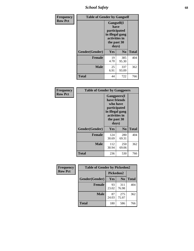*School Safety* **68**

| Frequency      | <b>Table of Gender by Gangself</b> |                                                                                                |                |              |
|----------------|------------------------------------|------------------------------------------------------------------------------------------------|----------------|--------------|
| <b>Row Pct</b> |                                    | Gangself(I<br>have<br>participated<br>in illegal gang<br>activities in<br>the past 30<br>days) |                |              |
|                | Gender(Gender)                     | Yes                                                                                            | N <sub>0</sub> | <b>Total</b> |
|                | <b>Female</b>                      | 19<br>4.70                                                                                     | 385<br>95.30   | 404          |
|                | <b>Male</b>                        | 25<br>6.91                                                                                     | 337<br>93.09   | 362          |
|                | <b>Total</b>                       | 44                                                                                             | 722            | 766          |

| Frequency      | <b>Table of Gender by Gangpeers</b> |                                                                                                                             |                |              |
|----------------|-------------------------------------|-----------------------------------------------------------------------------------------------------------------------------|----------------|--------------|
| <b>Row Pct</b> |                                     | <b>Gangpeers</b> (I<br>have friends<br>who have<br>participated<br>in illegal gang<br>activities in<br>the past 30<br>days) |                |              |
|                | Gender(Gender)                      | <b>Yes</b>                                                                                                                  | N <sub>0</sub> | <b>Total</b> |
|                | <b>Female</b>                       | 124<br>30.69                                                                                                                | 280<br>69.31   | 404          |
|                | <b>Male</b>                         | 112<br>30.94                                                                                                                | 250<br>69.06   | 362          |
|                | Total                               | 236                                                                                                                         | 530            | 766          |

| Frequency      | <b>Table of Gender by Pickedon2</b> |             |                |              |
|----------------|-------------------------------------|-------------|----------------|--------------|
| <b>Row Pct</b> |                                     | Pickedon2   |                |              |
|                | Gender(Gender)                      | Yes         | N <sub>0</sub> | <b>Total</b> |
|                | <b>Female</b>                       | 93<br>23.02 | 311<br>76.98   | 404          |
|                | <b>Male</b>                         | 87<br>24.03 | 275<br>75.97   | 362          |
|                | <b>Total</b>                        | 180         | 586            | 766          |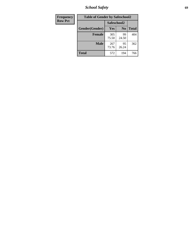*School Safety* **69**

| Frequency      | <b>Table of Gender by Safeschool2</b> |              |                |              |
|----------------|---------------------------------------|--------------|----------------|--------------|
| <b>Row Pct</b> |                                       |              | Safeschool2    |              |
|                | Gender(Gender)                        | Yes          | N <sub>0</sub> | <b>Total</b> |
|                | <b>Female</b>                         | 305<br>75.50 | 99<br>24.50    | 404          |
|                | <b>Male</b>                           | 267<br>73.76 | 95<br>26.24    | 362          |
|                | <b>Total</b>                          | 572          | 194            | 766          |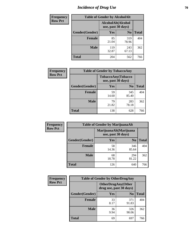# *Incidence of Drug Use* **70**

| <b>Frequency</b> | <b>Table of Gender by AlcoholAlt</b>     |              |                |              |
|------------------|------------------------------------------|--------------|----------------|--------------|
| <b>Row Pct</b>   | AlcoholAlt(Alcohol<br>use, past 30 days) |              |                |              |
|                  | Gender(Gender)                           | <b>Yes</b>   | N <sub>0</sub> | <b>Total</b> |
|                  | <b>Female</b>                            | 85<br>21.04  | 319<br>78.96   | 404          |
|                  | <b>Male</b>                              | 119<br>32.87 | 243<br>67.13   | 362          |
|                  | <b>Total</b>                             | 204          | 562            | 766          |

| Frequency      |                | <b>Table of Gender by TobaccoAny</b>     |                |              |
|----------------|----------------|------------------------------------------|----------------|--------------|
| <b>Row Pct</b> |                | TobaccoAny(Tobacco<br>use, past 30 days) |                |              |
|                | Gender(Gender) | Yes                                      | N <sub>0</sub> | <b>Total</b> |
|                | <b>Female</b>  | 59<br>14.60                              | 345<br>85.40   | 404          |
|                | <b>Male</b>    | 79<br>21.82                              | 283<br>78.18   | 362          |
|                | <b>Total</b>   | 138                                      | 628            | 766          |

| <b>Frequency</b> | <b>Table of Gender by MarijuanaAlt</b> |                                              |                |              |
|------------------|----------------------------------------|----------------------------------------------|----------------|--------------|
| <b>Row Pct</b>   |                                        | MarijuanaAlt(Marijuana<br>use, past 30 days) |                |              |
|                  | Gender(Gender)                         | <b>Yes</b>                                   | N <sub>0</sub> | <b>Total</b> |
|                  | <b>Female</b>                          | 58<br>14.36                                  | 346<br>85.64   | 404          |
|                  | <b>Male</b>                            | 68<br>18.78                                  | 294<br>81.22   | 362          |
|                  | <b>Total</b>                           | 126                                          | 640            | 766          |

| <b>Frequency</b> | <b>Table of Gender by OtherDrugAny</b> |                                                       |                |              |  |
|------------------|----------------------------------------|-------------------------------------------------------|----------------|--------------|--|
| <b>Row Pct</b>   |                                        | <b>OtherDrugAny</b> (Other<br>drug use, past 30 days) |                |              |  |
|                  | Gender(Gender)                         | <b>Yes</b>                                            | N <sub>0</sub> | <b>Total</b> |  |
|                  | <b>Female</b>                          | 33<br>8.17                                            | 371<br>91.83   | 404          |  |
|                  | <b>Male</b>                            | 36<br>9.94                                            | 326<br>90.06   | 362          |  |
|                  | <b>Total</b>                           | 69                                                    | 697            | 766          |  |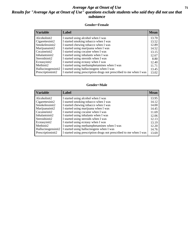#### *Average Age at Onset of Use* **71** *Results for "Average Age at Onset of Use" questions exclude students who said they did not use that substance*

#### **Gender=Female**

| <b>Variable</b>    | <b>Label</b>                                                       | <b>Mean</b> |
|--------------------|--------------------------------------------------------------------|-------------|
| Alcoholinit2       | I started using alcohol when I was                                 | 13.70       |
| Cigarettesinit2    | I started smoking tobacco when I was                               | 13.52       |
| Smokelessinit2     | I started chewing tobacco when I was                               | 12.89       |
| Marijuanainit2     | I started using marijuana when I was                               | 14.52       |
| Cocaineinit2       | I started using cocaine when I was                                 | 13.15       |
| Inhalantsinit2     | I started using inhalants when I was                               | 12.67       |
| Steroidsinit2      | I started using steroids when I was                                | 8.80        |
| Ecstasyinit2       | I started using ecstasy when I was                                 | 12.40       |
| Methinit2          | I started using methamphetamines when I was                        | 11.71       |
| Hallucinogensinit2 | I started using hallucinogens when I was                           | 13.45       |
| Prescription in t2 | I started using prescription drugs not prescribed to me when I was | 13.02       |

#### **Gender=Male**

| <b>Variable</b>    | Label                                                              | <b>Mean</b> |
|--------------------|--------------------------------------------------------------------|-------------|
| Alcoholinit2       | I started using alcohol when I was                                 | 13.95       |
| Cigarettesinit2    | I started smoking tobacco when I was                               | 14.12       |
| Smokelessinit2     | I started chewing tobacco when I was                               | 14.00       |
| Marijuanainit2     | I started using marijuana when I was                               | 14.45       |
| Cocaineinit2       | I started using cocaine when I was                                 | 11.69       |
| Inhalantsinit2     | I started using inhalants when I was                               | 12.06       |
| Steroidsinit2      | I started using steroids when I was                                | 12.13       |
| Ecstasyinit2       | I started using ecstasy when I was                                 | 13.19       |
| Methinit2          | I started using methamphetamines when I was                        | 12.20       |
| Hallucinogensinit2 | I started using hallucinogens when I was                           | 14.76       |
| Prescription in t2 | I started using prescription drugs not prescribed to me when I was | 13.69       |
|                    |                                                                    |             |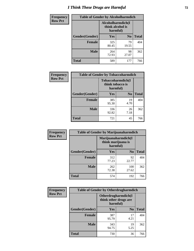# *I Think These Drugs are Harmful* **72**

| Frequency      | <b>Table of Gender by Alcoholharmdich</b> |                  |                               |              |  |
|----------------|-------------------------------------------|------------------|-------------------------------|--------------|--|
| <b>Row Pct</b> |                                           | think alcohol is | Alcoholharmdich(I<br>harmful) |              |  |
|                | Gender(Gender)                            | <b>Yes</b>       | N <sub>0</sub>                | <b>Total</b> |  |
|                | <b>Female</b>                             | 325<br>80.45     | 79<br>19.55                   | 404          |  |
|                | <b>Male</b>                               | 264<br>72.93     | 98<br>27.07                   | 362          |  |
|                | Total                                     | 589              | 177                           | 766          |  |

| Frequency      | <b>Table of Gender by Tobaccoharmdich</b> |                              |                   |              |
|----------------|-------------------------------------------|------------------------------|-------------------|--------------|
| <b>Row Pct</b> |                                           | think tobacco is<br>harmful) | Tobaccoharmdich(I |              |
|                | Gender(Gender)                            | Yes                          | N <sub>0</sub>    | <b>Total</b> |
|                | <b>Female</b>                             | 385<br>95.30                 | 19<br>4.70        | 404          |
|                | <b>Male</b>                               | 336<br>92.82                 | 26<br>7.18        | 362          |
|                | <b>Total</b>                              | 721                          | 45                | 766          |

| Frequency      | <b>Table of Gender by Marijuanaharmdich</b> |                                                       |                |              |  |
|----------------|---------------------------------------------|-------------------------------------------------------|----------------|--------------|--|
| <b>Row Pct</b> |                                             | Marijuanaharmdich(I<br>think marijuana is<br>harmful) |                |              |  |
|                | Gender(Gender)                              | <b>Yes</b>                                            | N <sub>0</sub> | <b>Total</b> |  |
|                | <b>Female</b>                               | 312<br>77.23                                          | 92<br>22.77    | 404          |  |
|                | <b>Male</b>                                 | 262<br>72.38                                          | 100<br>27.62   | 362          |  |
|                | <b>Total</b>                                | 574                                                   | 192            | 766          |  |

| Frequency      | <b>Table of Gender by Otherdrugharmdich</b> |                                                          |                |              |
|----------------|---------------------------------------------|----------------------------------------------------------|----------------|--------------|
| <b>Row Pct</b> |                                             | Otherdrugharmdich(I<br>think other drugs are<br>harmful) |                |              |
|                | Gender(Gender)                              | <b>Yes</b>                                               | N <sub>0</sub> | <b>Total</b> |
|                | <b>Female</b>                               | 387<br>95.79                                             | 17<br>4.21     | 404          |
|                | <b>Male</b>                                 | 343<br>94.75                                             | 19<br>5.25     | 362          |
|                | <b>Total</b>                                | 730                                                      | 36             | 766          |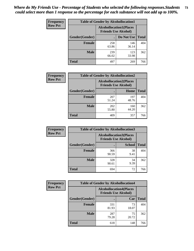| <b>Frequency</b> | <b>Table of Gender by Alcohollocation1</b> |                                                               |              |              |
|------------------|--------------------------------------------|---------------------------------------------------------------|--------------|--------------|
| <b>Row Pct</b>   |                                            | <b>Alcohollocation1(Places</b><br><b>Friends Use Alcohol)</b> |              |              |
|                  | Gender(Gender)                             |                                                               | Do Not Use   | <b>Total</b> |
|                  | <b>Female</b>                              | 258<br>63.86                                                  | 146<br>36.14 | 404          |
|                  | <b>Male</b>                                | 239<br>66.02                                                  | 123<br>33.98 | 362          |
|                  | <b>Total</b>                               | 497                                                           | 269          | 766          |

| <b>Frequency</b> | <b>Table of Gender by Alcohollocation2</b> |                                                               |              |              |
|------------------|--------------------------------------------|---------------------------------------------------------------|--------------|--------------|
| <b>Row Pct</b>   |                                            | <b>Alcohollocation2(Places</b><br><b>Friends Use Alcohol)</b> |              |              |
|                  | Gender(Gender)                             |                                                               | Home         | <b>Total</b> |
|                  | <b>Female</b>                              | 207<br>51.24                                                  | 197<br>48.76 | 404          |
|                  | <b>Male</b>                                | 202<br>55.80                                                  | 160<br>44.20 | 362          |
|                  | <b>Total</b>                               | 409                                                           | 357          | 766          |

| Frequency      | <b>Table of Gender by Alcohollocation3</b> |              |                                                                |              |
|----------------|--------------------------------------------|--------------|----------------------------------------------------------------|--------------|
| <b>Row Pct</b> |                                            |              | <b>Alcohollocation3</b> (Places<br><b>Friends Use Alcohol)</b> |              |
|                | Gender(Gender)                             |              | <b>School</b>                                                  | <b>Total</b> |
|                | <b>Female</b>                              | 366<br>90.59 | 38<br>9.41                                                     | 404          |
|                | <b>Male</b>                                | 328<br>90.61 | 34<br>9.39                                                     | 362          |
|                | <b>Total</b>                               | 694          | 72                                                             | 766          |

| <b>Frequency</b> | <b>Table of Gender by Alcohollocation4</b> |                                                               |             |              |
|------------------|--------------------------------------------|---------------------------------------------------------------|-------------|--------------|
| <b>Row Pct</b>   |                                            | <b>Alcohollocation4(Places</b><br><b>Friends Use Alcohol)</b> |             |              |
|                  | <b>Gender</b> (Gender)                     |                                                               | Car         | <b>Total</b> |
|                  | Female                                     | 331<br>81.93                                                  | 73<br>18.07 | 404          |
|                  | <b>Male</b>                                | 287<br>79.28                                                  | 75<br>20.72 | 362          |
|                  | <b>Total</b>                               | 618                                                           | 148         | 766          |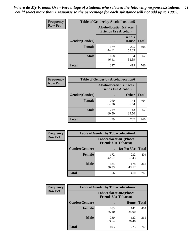| <b>Frequency</b> | <b>Table of Gender by Alcohollocation5</b> |                                                                |                                 |              |
|------------------|--------------------------------------------|----------------------------------------------------------------|---------------------------------|--------------|
| <b>Row Pct</b>   |                                            | <b>Alcohollocation5</b> (Places<br><b>Friends Use Alcohol)</b> |                                 |              |
|                  | Gender(Gender)                             |                                                                | <b>Friend's</b><br><b>House</b> | <b>Total</b> |
|                  | <b>Female</b>                              | 179<br>44.31                                                   | 225<br>55.69                    | 404          |
|                  | <b>Male</b>                                | 168<br>46.41                                                   | 194<br>53.59                    | 362          |
|                  | <b>Total</b>                               | 347                                                            | 419                             | 766          |

| <b>Frequency</b> | <b>Table of Gender by Alcohollocation6</b> |                                                               |              |              |
|------------------|--------------------------------------------|---------------------------------------------------------------|--------------|--------------|
| <b>Row Pct</b>   |                                            | <b>Alcohollocation6(Places</b><br><b>Friends Use Alcohol)</b> |              |              |
|                  | Gender(Gender)                             |                                                               | <b>Other</b> | <b>Total</b> |
|                  | <b>Female</b>                              | 260<br>64.36                                                  | 144<br>35.64 | 404          |
|                  | <b>Male</b>                                | 219<br>60.50                                                  | 143<br>39.50 | 362          |
|                  | <b>Total</b>                               | 479                                                           | 287          | 766          |

| Frequency      | <b>Table of Gender by Tobaccolocation1</b> |                                                               |              |              |  |
|----------------|--------------------------------------------|---------------------------------------------------------------|--------------|--------------|--|
| <b>Row Pct</b> |                                            | <b>Tobaccolocation1(Places</b><br><b>Friends Use Tobacco)</b> |              |              |  |
|                | Gender(Gender)                             |                                                               | Do Not Use   | <b>Total</b> |  |
|                | Female                                     | 172<br>42.57                                                  | 232<br>57.43 | 404          |  |
|                | <b>Male</b>                                | 184<br>50.83                                                  | 178<br>49.17 | 362          |  |
|                | <b>Total</b>                               | 356                                                           | 410          | 766          |  |

| <b>Frequency</b> |                | <b>Table of Gender by Tobaccolocation2</b>                    |              |              |
|------------------|----------------|---------------------------------------------------------------|--------------|--------------|
| <b>Row Pct</b>   |                | <b>Tobaccolocation2(Places</b><br><b>Friends Use Tobacco)</b> |              |              |
|                  | Gender(Gender) |                                                               | Home         | <b>Total</b> |
|                  | <b>Female</b>  | 263<br>65.10                                                  | 141<br>34.90 | 404          |
|                  | <b>Male</b>    | 230<br>63.54                                                  | 132<br>36.46 | 362          |
|                  | <b>Total</b>   | 493                                                           | 273          | 766          |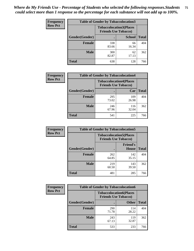| <b>Frequency</b> | <b>Table of Gender by Tobaccolocation3</b> |                                                               |               |              |  |
|------------------|--------------------------------------------|---------------------------------------------------------------|---------------|--------------|--|
| <b>Row Pct</b>   |                                            | <b>Tobaccolocation3(Places</b><br><b>Friends Use Tobacco)</b> |               |              |  |
|                  | Gender(Gender)                             |                                                               | <b>School</b> | <b>Total</b> |  |
|                  | <b>Female</b>                              | 338<br>83.66                                                  | 66<br>16.34   | 404          |  |
|                  | <b>Male</b>                                | 300<br>82.87                                                  | 62<br>17.13   | 362          |  |
|                  | <b>Total</b>                               | 638                                                           | 128           | 766          |  |

| <b>Frequency</b> | <b>Table of Gender by Tobaccolocation4</b> |                             |                                |              |
|------------------|--------------------------------------------|-----------------------------|--------------------------------|--------------|
| <b>Row Pct</b>   |                                            | <b>Friends Use Tobacco)</b> | <b>Tobaccolocation4(Places</b> |              |
|                  | Gender(Gender)                             |                             | Car                            | <b>Total</b> |
|                  | Female                                     | 295<br>73.02                | 109<br>26.98                   | 404          |
|                  | <b>Male</b>                                | 246<br>67.96                | 116<br>32.04                   | 362          |
|                  | <b>Total</b>                               | 541                         | 225                            | 766          |

| <b>Frequency</b> | <b>Table of Gender by Tobaccolocation5</b> |                                                               |                                 |              |
|------------------|--------------------------------------------|---------------------------------------------------------------|---------------------------------|--------------|
| <b>Row Pct</b>   |                                            | <b>Tobaccolocation5(Places</b><br><b>Friends Use Tobacco)</b> |                                 |              |
|                  | Gender(Gender)                             |                                                               | <b>Friend's</b><br><b>House</b> | <b>Total</b> |
|                  | <b>Female</b>                              | 262<br>64.85                                                  | 142<br>35.15                    | 404          |
|                  | <b>Male</b>                                | 219<br>60.50                                                  | 143<br>39.50                    | 362          |
|                  | <b>Total</b>                               | 481                                                           | 285                             | 766          |

| <b>Frequency</b> |                | <b>Table of Gender by Tobaccolocation6</b>                    |              |              |
|------------------|----------------|---------------------------------------------------------------|--------------|--------------|
| <b>Row Pct</b>   |                | <b>Tobaccolocation6(Places</b><br><b>Friends Use Tobacco)</b> |              |              |
|                  | Gender(Gender) |                                                               | <b>Other</b> | <b>Total</b> |
|                  | Female         | 290<br>71.78                                                  | 114<br>28.22 | 404          |
|                  | <b>Male</b>    | 243<br>67.13                                                  | 119<br>32.87 | 362          |
|                  | <b>Total</b>   | 533                                                           | 233          | 766          |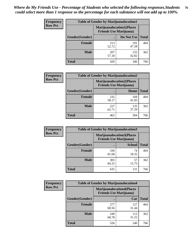| <b>Frequency</b> | <b>Table of Gender by Marijuanalocation1</b> |                                                                    |              |              |
|------------------|----------------------------------------------|--------------------------------------------------------------------|--------------|--------------|
| <b>Row Pct</b>   |                                              | <b>Marijuanalocation1(Places</b><br><b>Friends Use Marijuana</b> ) |              |              |
|                  | Gender(Gender)                               |                                                                    | Do Not Use   | <b>Total</b> |
|                  | <b>Female</b>                                | 213<br>52.72                                                       | 191<br>47.28 | 404          |
|                  | <b>Male</b>                                  | 207<br>57.18                                                       | 155<br>42.82 | 362          |
|                  | <b>Total</b>                                 | 420                                                                | 346          | 766          |

| <b>Frequency</b> | <b>Table of Gender by Marijuanalocation2</b> |                                                                    |              |              |  |
|------------------|----------------------------------------------|--------------------------------------------------------------------|--------------|--------------|--|
| <b>Row Pct</b>   |                                              | <b>Marijuanalocation2(Places</b><br><b>Friends Use Marijuana</b> ) |              |              |  |
|                  | Gender(Gender)                               |                                                                    | Home         | <b>Total</b> |  |
|                  | <b>Female</b>                                | 235<br>58.17                                                       | 169<br>41.83 | 404          |  |
|                  | <b>Male</b>                                  | 227<br>62.71                                                       | 135<br>37.29 | 362          |  |
|                  | Total                                        | 462                                                                | 304          | 766          |  |

| <b>Frequency</b> | <b>Table of Gender by Marijuanalocation3</b> |                                                                    |               |              |
|------------------|----------------------------------------------|--------------------------------------------------------------------|---------------|--------------|
| <b>Row Pct</b>   |                                              | <b>Marijuanalocation3(Places</b><br><b>Friends Use Marijuana</b> ) |               |              |
|                  | Gender(Gender)                               |                                                                    | <b>School</b> | <b>Total</b> |
|                  | <b>Female</b>                                | 330<br>81.68                                                       | 74<br>18.32   | 404          |
|                  | <b>Male</b>                                  | 305<br>84.25                                                       | 57<br>15.75   | 362          |
|                  | <b>Total</b>                                 | 635                                                                | 131           | 766          |

| <b>Frequency</b> |                        | <b>Table of Gender by Marijuanalocation4</b>                       |              |              |
|------------------|------------------------|--------------------------------------------------------------------|--------------|--------------|
| <b>Row Pct</b>   |                        | <b>Marijuanalocation4(Places</b><br><b>Friends Use Marijuana</b> ) |              |              |
|                  | <b>Gender</b> (Gender) |                                                                    | Car          | <b>Total</b> |
|                  | Female                 | 277<br>68.56                                                       | 127<br>31.44 | 404          |
|                  | <b>Male</b>            | 249<br>68.78                                                       | 113<br>31.22 | 362          |
|                  | <b>Total</b>           | 526                                                                | 240          | 766          |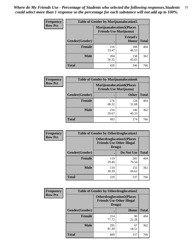| <b>Frequency</b> | <b>Table of Gender by Marijuanalocation5</b> |                                                                    |                                 |              |
|------------------|----------------------------------------------|--------------------------------------------------------------------|---------------------------------|--------------|
| <b>Row Pct</b>   |                                              | <b>Marijuanalocation5(Places</b><br><b>Friends Use Marijuana</b> ) |                                 |              |
|                  | Gender(Gender)                               |                                                                    | <b>Friend's</b><br><b>House</b> | <b>Total</b> |
|                  | <b>Female</b>                                | 216<br>53.47                                                       | 188<br>46.53                    | 404          |
|                  | <b>Male</b>                                  | 204<br>56.35                                                       | 158<br>43.65                    | 362          |
|                  | <b>Total</b>                                 | 420                                                                | 346                             | 766          |

| <b>Frequency</b> | <b>Table of Gender by Marijuanalocation6</b> |                                |                                  |              |
|------------------|----------------------------------------------|--------------------------------|----------------------------------|--------------|
| <b>Row Pct</b>   |                                              | <b>Friends Use Marijuana</b> ) | <b>Marijuanalocation6(Places</b> |              |
|                  | <b>Gender</b> (Gender)                       |                                | <b>Other</b>                     | <b>Total</b> |
|                  | <b>Female</b>                                | 276<br>68.32                   | 128<br>31.68                     | 404          |
|                  | <b>Male</b>                                  | 216<br>59.67                   | 146<br>40.33                     | 362          |
|                  | Total                                        | 492                            | 274                              | 766          |

| <b>Frequency</b> | <b>Table of Gender by Otherdruglocation1</b> |                                                                                |              |              |
|------------------|----------------------------------------------|--------------------------------------------------------------------------------|--------------|--------------|
| <b>Row Pct</b>   |                                              | <b>Otherdruglocation1(Places</b><br><b>Friends Use Other Illegal</b><br>Drugs) |              |              |
|                  | Gender(Gender)                               |                                                                                | Do Not Use   | <b>Total</b> |
|                  | Female                                       | 119<br>29.46                                                                   | 285<br>70.54 | 404          |
|                  | <b>Male</b>                                  | 110<br>30.39                                                                   | 252<br>69.61 | 362          |
|                  | <b>Total</b>                                 | 229                                                                            | 537          | 766          |

| <b>Frequency</b> | <b>Table of Gender by Otherdruglocation2</b> |                                                                                |             |              |
|------------------|----------------------------------------------|--------------------------------------------------------------------------------|-------------|--------------|
| <b>Row Pct</b>   |                                              | <b>Otherdruglocation2(Places</b><br><b>Friends Use Other Illegal</b><br>Drugs) |             |              |
|                  | Gender(Gender)                               |                                                                                | Home        | <b>Total</b> |
|                  | <b>Female</b>                                | 314<br>77.72                                                                   | 90<br>22.28 | 404          |
|                  | <b>Male</b>                                  | 295<br>81.49                                                                   | 67<br>18.51 | 362          |
|                  | <b>Total</b>                                 | 609                                                                            | 157         | 766          |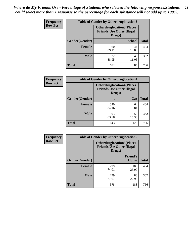| <b>Frequency</b> | <b>Table of Gender by Otherdruglocation3</b> |                                                                                |               |              |
|------------------|----------------------------------------------|--------------------------------------------------------------------------------|---------------|--------------|
| <b>Row Pct</b>   |                                              | <b>Otherdruglocation3(Places</b><br><b>Friends Use Other Illegal</b><br>Drugs) |               |              |
|                  | Gender(Gender)                               |                                                                                | <b>School</b> | <b>Total</b> |
|                  | <b>Female</b>                                | 360<br>89.11                                                                   | 44<br>10.89   | 404          |
|                  | <b>Male</b>                                  | 322<br>88.95                                                                   | 40<br>11.05   | 362          |
|                  | <b>Total</b>                                 | 682                                                                            | 84            | 766          |

| Frequency      | <b>Table of Gender by Otherdruglocation4</b> |                                                                                 |             |              |
|----------------|----------------------------------------------|---------------------------------------------------------------------------------|-------------|--------------|
| <b>Row Pct</b> |                                              | <b>Otherdruglocation4(Places)</b><br><b>Friends Use Other Illegal</b><br>Drugs) |             |              |
|                | Gender(Gender)                               |                                                                                 | Car         | <b>Total</b> |
|                | <b>Female</b>                                | 340<br>84.16                                                                    | 64<br>15.84 | 404          |
|                | <b>Male</b>                                  | 303<br>83.70                                                                    | 59<br>16.30 | 362          |
|                | <b>Total</b>                                 | 643                                                                             | 123         | 766          |

| <b>Frequency</b> | <b>Table of Gender by Otherdruglocation5</b> |              |                                                                      |              |
|------------------|----------------------------------------------|--------------|----------------------------------------------------------------------|--------------|
| <b>Row Pct</b>   |                                              | Drugs)       | <b>Otherdruglocation5(Places</b><br><b>Friends Use Other Illegal</b> |              |
|                  | Gender(Gender)                               |              | <b>Friend's</b><br><b>House</b>                                      | <b>Total</b> |
|                  | <b>Female</b>                                | 299<br>74.01 | 105<br>25.99                                                         | 404          |
|                  | <b>Male</b>                                  | 279<br>77.07 | 83<br>22.93                                                          | 362          |
|                  | <b>Total</b>                                 | 578          | 188                                                                  | 766          |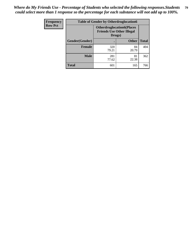| Frequency      | <b>Table of Gender by Otherdruglocation6</b> |                                            |                                  |              |
|----------------|----------------------------------------------|--------------------------------------------|----------------------------------|--------------|
| <b>Row Pct</b> |                                              | <b>Friends Use Other Illegal</b><br>Drugs) | <b>Otherdruglocation6(Places</b> |              |
|                | Gender(Gender)                               |                                            | <b>Other</b>                     | <b>Total</b> |
|                | <b>Female</b>                                | 320<br>79.21                               | 84<br>20.79                      | 404          |
|                | <b>Male</b>                                  | 281<br>77.62                               | 81<br>22.38                      | 362          |
|                | <b>Total</b>                                 | 601                                        | 165                              | 766          |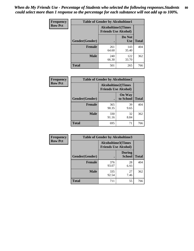| <b>Frequency</b> | <b>Table of Gender by Alcoholtime1</b> |                                                   |                      |              |
|------------------|----------------------------------------|---------------------------------------------------|----------------------|--------------|
| <b>Row Pct</b>   |                                        | Alcoholtime1(Times<br><b>Friends Use Alcohol)</b> |                      |              |
|                  | Gender(Gender)                         |                                                   | Do Not<br><b>Use</b> | <b>Total</b> |
|                  | <b>Female</b>                          | 261<br>64.60                                      | 143<br>35.40         | 404          |
|                  | <b>Male</b>                            | 240<br>66.30                                      | 122<br>33.70         | 362          |
|                  | <b>Total</b>                           | 501                                               | 265                  | 766          |

| <b>Frequency</b> | <b>Table of Gender by Alcoholtime2</b> |                                                          |                            |              |
|------------------|----------------------------------------|----------------------------------------------------------|----------------------------|--------------|
| <b>Row Pct</b>   |                                        | <b>Alcoholtime2(Times</b><br><b>Friends Use Alcohol)</b> |                            |              |
|                  | Gender(Gender)                         |                                                          | <b>On Way</b><br>to School | <b>Total</b> |
|                  | <b>Female</b>                          | 365<br>90.35                                             | 39<br>9.65                 | 404          |
|                  | <b>Male</b>                            | 330<br>91.16                                             | 32<br>8.84                 | 362          |
|                  | <b>Total</b>                           | 695                                                      | 71                         | 766          |

| Frequency      | <b>Table of Gender by Alcoholtime3</b> |                                                   |                                |              |
|----------------|----------------------------------------|---------------------------------------------------|--------------------------------|--------------|
| <b>Row Pct</b> |                                        | Alcoholtime3(Times<br><b>Friends Use Alcohol)</b> |                                |              |
|                | Gender(Gender)                         |                                                   | <b>During</b><br><b>School</b> | <b>Total</b> |
|                | Female                                 | 376<br>93.07                                      | 28<br>6.93                     | 404          |
|                | <b>Male</b>                            | 335<br>92.54                                      | 27<br>7.46                     | 362          |
|                | <b>Total</b>                           | 711                                               | 55                             | 766          |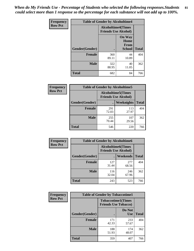*When do My Friends Use - Percentage of Students who selected the following responses.Students could select more than 1 response so the percentage for each substance will not add up to 100%.* **81**

| <b>Frequency</b> | <b>Table of Gender by Alcoholtime4</b> |                                                          |                                                |              |
|------------------|----------------------------------------|----------------------------------------------------------|------------------------------------------------|--------------|
| <b>Row Pct</b>   |                                        | <b>Alcoholtime4(Times</b><br><b>Friends Use Alcohol)</b> |                                                |              |
|                  | Gender(Gender)                         |                                                          | <b>On Way</b><br>Home<br>From<br><b>School</b> | <b>Total</b> |
|                  | <b>Female</b>                          | 360<br>89.11                                             | 44<br>10.89                                    | 404          |
|                  | <b>Male</b>                            | 322<br>88.95                                             | 40<br>11.05                                    | 362          |
|                  | <b>Total</b>                           | 682                                                      | 84                                             | 766          |

| <b>Frequency</b> | <b>Table of Gender by Alcoholtime5</b> |                                                           |              |              |  |
|------------------|----------------------------------------|-----------------------------------------------------------|--------------|--------------|--|
| <b>Row Pct</b>   |                                        | <b>Alcoholtime5</b> (Times<br><b>Friends Use Alcohol)</b> |              |              |  |
|                  | Gender(Gender)                         |                                                           | Weeknights   | <b>Total</b> |  |
|                  | <b>Female</b>                          | 291<br>72.03                                              | 113<br>27.97 | 404          |  |
|                  | <b>Male</b>                            | 255<br>70.44                                              | 107<br>29.56 | 362          |  |
|                  | <b>Total</b>                           | 546                                                       | 220          | 766          |  |

| <b>Frequency</b> | <b>Table of Gender by Alcoholtime6</b> |              |                                                          |              |  |
|------------------|----------------------------------------|--------------|----------------------------------------------------------|--------------|--|
| <b>Row Pct</b>   |                                        |              | <b>Alcoholtime6(Times</b><br><b>Friends Use Alcohol)</b> |              |  |
|                  | Gender(Gender)                         |              | Weekends                                                 | <b>Total</b> |  |
|                  | Female                                 | 127<br>31.44 | 277<br>68.56                                             | 404          |  |
|                  | <b>Male</b>                            | 116<br>32.04 | 246<br>67.96                                             | 362          |  |
|                  | <b>Total</b>                           | 243          | 523                                                      | 766          |  |

| Frequency      | <b>Table of Gender by Tobaccotime1</b> |                             |                           |              |
|----------------|----------------------------------------|-----------------------------|---------------------------|--------------|
| <b>Row Pct</b> |                                        | <b>Friends Use Tobacco)</b> | <b>Tobaccotime1(Times</b> |              |
|                | Gender(Gender)                         |                             | Do Not<br><b>Use</b>      | <b>Total</b> |
|                | <b>Female</b>                          | 171<br>42.33                | 233<br>57.67              | 404          |
|                | <b>Male</b>                            | 188<br>51.93                | 174<br>48.07              | 362          |
|                | <b>Total</b>                           | 359                         | 407                       | 766          |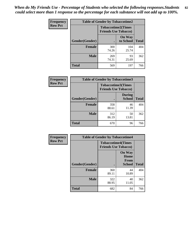| <b>Frequency</b> | <b>Table of Gender by Tobaccotime2</b> |                             |                            |              |
|------------------|----------------------------------------|-----------------------------|----------------------------|--------------|
| <b>Row Pct</b>   |                                        | <b>Friends Use Tobacco)</b> | <b>Tobaccotime2(Times</b>  |              |
|                  | Gender(Gender)                         |                             | <b>On Way</b><br>to School | <b>Total</b> |
|                  | <b>Female</b>                          | 300<br>74.26                | 104<br>25.74               | 404          |
|                  | <b>Male</b>                            | 269<br>74.31                | 93<br>25.69                | 362          |
|                  | <b>Total</b>                           | 569                         | 197                        | 766          |

| <b>Frequency</b> | <b>Table of Gender by Tobaccotime3</b> |                                                          |                                |              |
|------------------|----------------------------------------|----------------------------------------------------------|--------------------------------|--------------|
| <b>Row Pct</b>   |                                        | <b>Tobaccotime3(Times</b><br><b>Friends Use Tobacco)</b> |                                |              |
|                  | Gender(Gender)                         |                                                          | <b>During</b><br><b>School</b> | <b>Total</b> |
|                  | <b>Female</b>                          | 358<br>88.61                                             | 46<br>11.39                    | 404          |
|                  | <b>Male</b>                            | 312<br>86.19                                             | 50<br>13.81                    | 362          |
|                  | <b>Total</b>                           | 670                                                      | 96                             | 766          |

| Frequency      | <b>Table of Gender by Tobaccotime4</b> |                                                          |                                                       |              |
|----------------|----------------------------------------|----------------------------------------------------------|-------------------------------------------------------|--------------|
| <b>Row Pct</b> |                                        | <b>Tobaccotime4(Times</b><br><b>Friends Use Tobacco)</b> |                                                       |              |
|                | Gender(Gender)                         |                                                          | <b>On Way</b><br>Home<br><b>From</b><br><b>School</b> | <b>Total</b> |
|                | <b>Female</b>                          | 360<br>89.11                                             | 44<br>10.89                                           | 404          |
|                | <b>Male</b>                            | 322<br>88.95                                             | 40<br>11.05                                           | 362          |
|                | <b>Total</b>                           | 682                                                      | 84                                                    | 766          |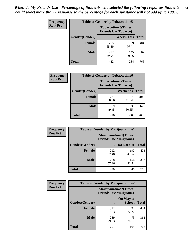| <b>Frequency</b> | <b>Table of Gender by Tobaccotime5</b> |              |                                                          |              |  |
|------------------|----------------------------------------|--------------|----------------------------------------------------------|--------------|--|
| <b>Row Pct</b>   |                                        |              | <b>Tobaccotime5(Times</b><br><b>Friends Use Tobacco)</b> |              |  |
|                  | Gender(Gender)                         |              | Weeknights                                               | <b>Total</b> |  |
|                  | <b>Female</b>                          | 265<br>65.59 | 139<br>34.41                                             | 404          |  |
|                  | <b>Male</b>                            | 217<br>59.94 | 145<br>40.06                                             | 362          |  |
|                  | <b>Total</b>                           | 482          | 284                                                      | 766          |  |

| Frequency      | <b>Table of Gender by Tobaccotime6</b> |                                                          |              |              |
|----------------|----------------------------------------|----------------------------------------------------------|--------------|--------------|
| <b>Row Pct</b> |                                        | <b>Tobaccotime6(Times</b><br><b>Friends Use Tobacco)</b> |              |              |
|                | Gender(Gender)                         |                                                          | Weekends     | <b>Total</b> |
|                | Female                                 | 237<br>58.66                                             | 167<br>41.34 | 404          |
|                | <b>Male</b>                            | 179<br>49.45                                             | 183<br>50.55 | 362          |
|                | <b>Total</b>                           | 416                                                      | 350          | 766          |

| <b>Frequency</b> | <b>Table of Gender by Marijuanatime1</b> |                                                               |              |              |  |
|------------------|------------------------------------------|---------------------------------------------------------------|--------------|--------------|--|
| <b>Row Pct</b>   |                                          | <b>Marijuanatime1(Times</b><br><b>Friends Use Marijuana</b> ) |              |              |  |
|                  | Gender(Gender)                           |                                                               | Do Not Use   | <b>Total</b> |  |
|                  | <b>Female</b>                            | 212<br>52.48                                                  | 192<br>47.52 | 404          |  |
|                  | <b>Male</b>                              | 208<br>57.46                                                  | 154<br>42.54 | 362          |  |
|                  | <b>Total</b>                             | 420                                                           | 346          | 766          |  |

| <b>Frequency</b> | <b>Table of Gender by Marijuanatime2</b> |                                                               |                            |              |
|------------------|------------------------------------------|---------------------------------------------------------------|----------------------------|--------------|
| <b>Row Pct</b>   |                                          | <b>Marijuanatime2(Times</b><br><b>Friends Use Marijuana</b> ) |                            |              |
|                  | Gender(Gender)                           |                                                               | On Way to<br><b>School</b> | <b>Total</b> |
|                  | Female                                   | 312<br>77.23                                                  | 92<br>22.77                | 404          |
|                  | <b>Male</b>                              | 289<br>79.83                                                  | 73<br>20.17                | 362          |
|                  | <b>Total</b>                             | 601                                                           | 165                        | 766          |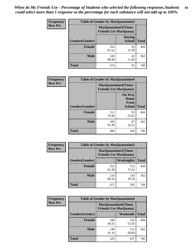*When do My Friends Use - Percentage of Students who selected the following responses.Students could select more than 1 response so the percentage for each substance will not add up to 100%.* **84**

| <b>Frequency</b> | Table of Gender by Marijuanatime3 |                                                        |                                |              |
|------------------|-----------------------------------|--------------------------------------------------------|--------------------------------|--------------|
| <b>Row Pct</b>   |                                   | Marijuanatime3(Times<br><b>Friends Use Marijuana</b> ) |                                |              |
|                  | Gender(Gender)                    |                                                        | <b>During</b><br><b>School</b> | <b>Total</b> |
|                  | <b>Female</b>                     | 354<br>87.62                                           | 50<br>12.38                    | 404          |
|                  | <b>Male</b>                       | 320<br>88.40                                           | 42<br>11.60                    | 362          |
|                  | <b>Total</b>                      | 674                                                    | 92                             | 766          |

| Frequency      | <b>Table of Gender by Marijuanatime4</b> |                                |                                      |              |
|----------------|------------------------------------------|--------------------------------|--------------------------------------|--------------|
| <b>Row Pct</b> |                                          | <b>Friends Use Marijuana</b> ) | <b>Marijuanatime4</b> (Times         |              |
|                |                                          |                                | <b>On Way</b><br>Home<br><b>From</b> |              |
|                | <b>Gender</b> (Gender)                   |                                | <b>School</b>                        | <b>Total</b> |
|                | <b>Female</b>                            | 311<br>76.98                   | 93<br>23.02                          | 404          |
|                | <b>Male</b>                              | 295<br>81.49                   | 67<br>18.51                          | 362          |
|                | <b>Total</b>                             | 606                            | 160                                  | 766          |

| Frequency      | <b>Table of Gender by Marijuanatime5</b> |              |                                                                |              |  |
|----------------|------------------------------------------|--------------|----------------------------------------------------------------|--------------|--|
| <b>Row Pct</b> |                                          |              | <b>Marijuanatime5</b> (Times<br><b>Friends Use Marijuana</b> ) |              |  |
|                | Gender(Gender)                           |              | Weeknights                                                     | <b>Total</b> |  |
|                | <b>Female</b>                            | 252<br>62.38 | 152<br>37.62                                                   | 404          |  |
|                | <b>Male</b>                              | 219<br>60.50 | 143<br>39.50                                                   | 362          |  |
|                | <b>Total</b>                             | 471          | 295                                                            | 766          |  |

| Frequency      | <b>Table of Gender by Marijuanatime6</b> |                                                                |                 |              |  |
|----------------|------------------------------------------|----------------------------------------------------------------|-----------------|--------------|--|
| <b>Row Pct</b> |                                          | <b>Marijuanatime6</b> (Times<br><b>Friends Use Marijuana</b> ) |                 |              |  |
|                | Gender(Gender)                           |                                                                | <b>Weekends</b> | <b>Total</b> |  |
|                | <b>Female</b>                            | 180<br>44.55                                                   | 224<br>55.45    | 404          |  |
|                | <b>Male</b>                              | 149<br>41.16                                                   | 213<br>58.84    | 362          |  |
|                | <b>Total</b>                             | 329                                                            | 437             | 766          |  |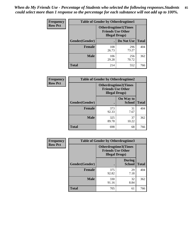| <b>Frequency</b> | <b>Table of Gender by Otherdrugtime1</b> |                                                                                   |              |              |
|------------------|------------------------------------------|-----------------------------------------------------------------------------------|--------------|--------------|
| <b>Row Pct</b>   |                                          | <b>Otherdrugtime1</b> (Times<br><b>Friends Use Other</b><br><b>Illegal Drugs)</b> |              |              |
|                  | Gender(Gender)                           |                                                                                   | Do Not Use   | <b>Total</b> |
|                  | <b>Female</b>                            | 108<br>26.73                                                                      | 296<br>73.27 | 404          |
|                  | <b>Male</b>                              | 106<br>29.28                                                                      | 256<br>70.72 | 362          |
|                  | <b>Total</b>                             | 214                                                                               | 552          | 766          |

| Frequency      | <b>Table of Gender by Otherdrugtime2</b> |                                                                                   |                            |              |
|----------------|------------------------------------------|-----------------------------------------------------------------------------------|----------------------------|--------------|
| <b>Row Pct</b> |                                          | <b>Otherdrugtime2(Times</b><br><b>Friends Use Other</b><br><b>Illegal Drugs</b> ) |                            |              |
|                | Gender(Gender)                           |                                                                                   | On Way to<br><b>School</b> | <b>Total</b> |
|                | <b>Female</b>                            | 373<br>92.33                                                                      | 31<br>7.67                 | 404          |
|                | <b>Male</b>                              | 325<br>89.78                                                                      | 37<br>10.22                | 362          |
|                | <b>Total</b>                             | 698                                                                               | 68                         | 766          |

| Frequency      | <b>Table of Gender by Otherdrugtime3</b> |                        |                                                         |              |
|----------------|------------------------------------------|------------------------|---------------------------------------------------------|--------------|
| <b>Row Pct</b> |                                          | <b>Illegal Drugs</b> ) | <b>Otherdrugtime3(Times</b><br><b>Friends Use Other</b> |              |
|                | Gender(Gender)                           |                        | <b>During</b><br><b>School</b>                          | <b>Total</b> |
|                | <b>Female</b>                            | 375<br>92.82           | 29<br>7.18                                              | 404          |
|                | <b>Male</b>                              | 330<br>91.16           | 32<br>8.84                                              | 362          |
|                | <b>Total</b>                             | 705                    | 61                                                      | 766          |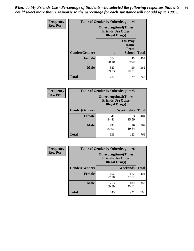*When do My Friends Use - Percentage of Students who selected the following responses.Students could select more than 1 response so the percentage for each substance will not add up to 100%.* **86**

| <b>Frequency</b> | <b>Table of Gender by Otherdrugtime4</b> |                                                                                   |                                                |              |
|------------------|------------------------------------------|-----------------------------------------------------------------------------------|------------------------------------------------|--------------|
| <b>Row Pct</b>   |                                          | <b>Otherdrugtime4(Times</b><br><b>Friends Use Other</b><br><b>Illegal Drugs</b> ) |                                                |              |
|                  | Gender(Gender)                           |                                                                                   | <b>On Way</b><br>Home<br>From<br><b>School</b> | <b>Total</b> |
|                  | Female                                   | 364<br>90.10                                                                      | 40<br>9.90                                     | 404          |
|                  | <b>Male</b>                              | 323<br>89.23                                                                      | 39<br>10.77                                    | 362          |
|                  | <b>Total</b>                             | 687                                                                               | 79                                             | 766          |

| Frequency      | <b>Table of Gender by Otherdrugtime5</b> |                                                                                    |                   |              |
|----------------|------------------------------------------|------------------------------------------------------------------------------------|-------------------|--------------|
| <b>Row Pct</b> |                                          | <b>Otherdrugtime5</b> (Times<br><b>Friends Use Other</b><br><b>Illegal Drugs</b> ) |                   |              |
|                | Gender(Gender)                           |                                                                                    | <b>Weeknights</b> | <b>Total</b> |
|                | <b>Female</b>                            | 341<br>84.41                                                                       | 63<br>15.59       | 404          |
|                | <b>Male</b>                              | 292<br>80.66                                                                       | 70<br>19.34       | 362          |
|                | <b>Total</b>                             | 633                                                                                | 133               | 766          |

| <b>Frequency</b> | <b>Table of Gender by Otherdrugtime6</b> |                                                                                   |              |              |
|------------------|------------------------------------------|-----------------------------------------------------------------------------------|--------------|--------------|
| <b>Row Pct</b>   |                                          | <b>Otherdrugtime6(Times</b><br><b>Friends Use Other</b><br><b>Illegal Drugs</b> ) |              |              |
|                  | Gender(Gender)                           |                                                                                   | Weekends     | <b>Total</b> |
|                  | Female                                   | 292<br>72.28                                                                      | 112<br>27.72 | 404          |
|                  | <b>Male</b>                              | 253<br>69.89                                                                      | 109<br>30.11 | 362          |
|                  | <b>Total</b>                             | 545                                                                               | 221          | 766          |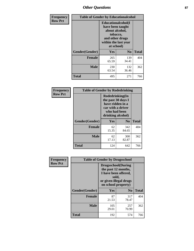# *Other Questions* **87**

| <b>Frequency</b> | <b>Table of Gender by Educationalcohol</b> |                                                                                                                                       |                |              |  |
|------------------|--------------------------------------------|---------------------------------------------------------------------------------------------------------------------------------------|----------------|--------------|--|
| <b>Row Pct</b>   |                                            | <b>Educationalcohol</b> (I<br>have been taught<br>about alcohol,<br>tobacco,<br>and other drugs<br>within the last year<br>at school) |                |              |  |
|                  | Gender(Gender)                             | <b>Yes</b>                                                                                                                            | N <sub>0</sub> | <b>Total</b> |  |
|                  | <b>Female</b>                              | 265<br>65.59                                                                                                                          | 139<br>34.41   | 404          |  |
|                  | <b>Male</b>                                | 230<br>63.54                                                                                                                          | 132<br>36.46   | 362          |  |
|                  | <b>Total</b>                               | 495                                                                                                                                   | 271            | 766          |  |

| Frequency      | <b>Table of Gender by Rodedrinking</b> |                                                                                                                     |                |              |  |
|----------------|----------------------------------------|---------------------------------------------------------------------------------------------------------------------|----------------|--------------|--|
| <b>Row Pct</b> |                                        | Rodedrinking(In<br>the past 30 days I<br>have ridden in a<br>car with a driver<br>who had been<br>drinking alcohol) |                |              |  |
|                | Gender(Gender)                         | Yes                                                                                                                 | N <sub>0</sub> | <b>Total</b> |  |
|                | <b>Female</b>                          | 62<br>15.35                                                                                                         | 342<br>84.65   | 404          |  |
|                | <b>Male</b>                            | 62<br>17.13                                                                                                         | 300<br>82.87   | 362          |  |
|                | <b>Total</b>                           | 124                                                                                                                 | 642            | 766          |  |

| Frequency      | <b>Table of Gender by Drugsschool</b> |                                                                                                                                     |                |              |  |
|----------------|---------------------------------------|-------------------------------------------------------------------------------------------------------------------------------------|----------------|--------------|--|
| <b>Row Pct</b> |                                       | <b>Drugsschool</b> (During<br>the past 12 months,<br>I have been offered,<br>sold,<br>or given illegal drugs<br>on school property) |                |              |  |
|                | Gender(Gender)                        | <b>Yes</b>                                                                                                                          | N <sub>0</sub> | <b>Total</b> |  |
|                | <b>Female</b>                         | 87<br>21.53                                                                                                                         | 317<br>78.47   | 404          |  |
|                | <b>Male</b>                           | 105<br>29.01                                                                                                                        | 257<br>70.99   | 362          |  |
|                | <b>Total</b>                          | 192                                                                                                                                 | 574            | 766          |  |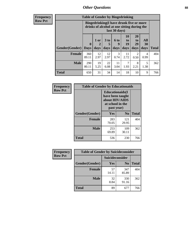# *Other Questions* **88**

**Frequency Row Pct**

| <b>Table of Gender by Bingedrinking</b> |                            |                                                                                                         |                   |                   |                        |                               |                   |              |
|-----------------------------------------|----------------------------|---------------------------------------------------------------------------------------------------------|-------------------|-------------------|------------------------|-------------------------------|-------------------|--------------|
|                                         |                            | Bingedrinking(I have drunk five or more<br>drinks of alcohol at one sitting during the<br>last 30 days) |                   |                   |                        |                               |                   |              |
| <b>Gender</b> (Gender)                  | $\mathbf 0$<br><b>Days</b> | 1 or<br>days                                                                                            | 3 to<br>5<br>days | 6 to<br>9<br>days | 10<br>to<br>19<br>days | <b>20</b><br>to<br>29<br>days | All<br>30<br>days | <b>Total</b> |
| <b>Female</b>                           | 360<br>89.11               | 12<br>2.97                                                                                              | 12<br>2.97        | 3<br>0.74         | 11<br>2.72             | 2<br>0.50                     | 4<br>0.99         | 404          |
| <b>Male</b>                             | 290<br>80.11               | 19<br>5.25                                                                                              | 22<br>6.08        | 11<br>3.04        | 7<br>1.93              | 8<br>2.21                     | 5<br>1.38         | 362          |
| <b>Total</b>                            | 650                        | 31                                                                                                      | 34                | 14                | 18                     | 10                            | 9                 | 766          |

| Frequency      | <b>Table of Gender by Educationaids</b> |                                                                                                 |                |              |  |
|----------------|-----------------------------------------|-------------------------------------------------------------------------------------------------|----------------|--------------|--|
| <b>Row Pct</b> |                                         | <b>Educationaids</b> (I<br>have been taught<br>about HIV/AIDS<br>at school in the<br>past year) |                |              |  |
|                | Gender(Gender)                          | Yes                                                                                             | N <sub>0</sub> | <b>Total</b> |  |
|                | <b>Female</b>                           | 283<br>70.05                                                                                    | 121<br>29.95   | 404          |  |
|                | <b>Male</b>                             | 253<br>69.89                                                                                    | 109<br>30.11   | 362          |  |
|                | <b>Total</b>                            | 536                                                                                             | 230            | 766          |  |

| <b>Frequency</b> | <b>Table of Gender by Suicideconsider</b> |                 |                |              |
|------------------|-------------------------------------------|-----------------|----------------|--------------|
| <b>Row Pct</b>   |                                           | Suicideconsider |                |              |
|                  | Gender(Gender)                            | Yes             | N <sub>0</sub> | <b>Total</b> |
|                  | <b>Female</b>                             | 57<br>14.11     | 347<br>85.89   | 404          |
|                  | <b>Male</b>                               | 32<br>8.84      | 330<br>91.16   | 362          |
|                  | Total                                     | 89              | 677            | 766          |